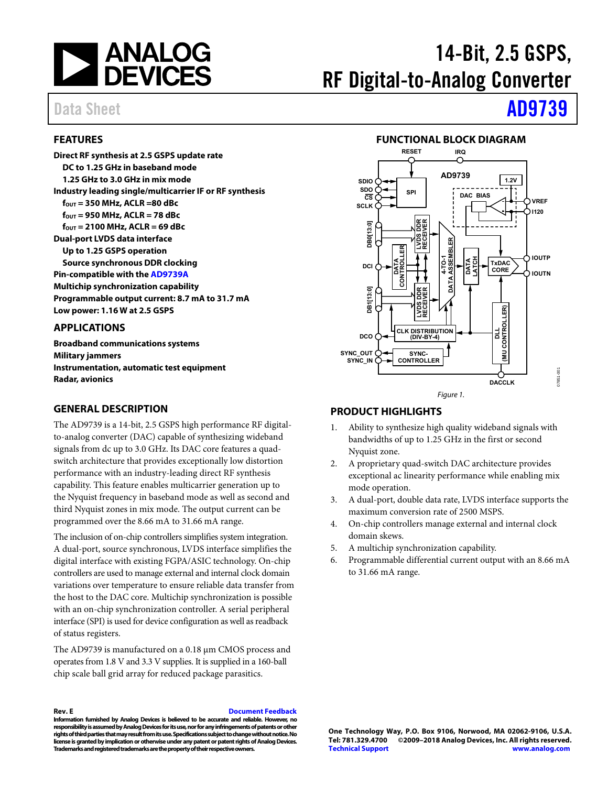

# 14-Bit, 2.5 GSPS, RF Digital-to-Analog Converter

# <span id="page-0-0"></span>**FEATURES**

**Direct RF synthesis at 2.5 GSPS update rate DC to 1.25 GHz in baseband mode 1.25 GHz to 3.0 GHz in mix mode Industry leading single/multicarrier IF or RF synthesis fOUT = 350 MHz, ACLR =80 dBc f**<sub>OUT</sub> = 950 MHz, ACLR = 78 dBc **fOUT = 2100 MHz, ACLR = 69 dBc Dual-port LVDS data interface Up to 1.25 GSPS operation Source synchronous DDR clocking Pin-compatible with th[e AD9739A](http://www.analog.com/AD9739A?doc=AD9739.pdf) Multichip synchronization capability Programmable output current: 8.7 mA to 31.7 mA Low power: 1.16 W at 2.5 GSPS** 

## <span id="page-0-1"></span>**APPLICATIONS**

**Broadband communications systems Military jammers Instrumentation, automatic test equipment Radar, avionics** 

## <span id="page-0-2"></span>**GENERAL DESCRIPTION**

The [AD9739 i](http://www.analog.com/AD9739?doc=AD9739.pdf)s a 14-bit, 2.5 GSPS high performance RF digitalto-analog converter (DAC) capable of synthesizing wideband signals from dc up to 3.0 GHz. Its DAC core features a quadswitch architecture that provides exceptionally low distortion performance with an industry-leading direct RF synthesis capability. This feature enables multicarrier generation up to the Nyquist frequency in baseband mode as well as second and third Nyquist zones in mix mode. The output current can be programmed over the 8.66 mA to 31.66 mA range.

The inclusion of on-chip controllers simplifies system integration. A dual-port, source synchronous, LVDS interface simplifies the digital interface with existing FGPA/ASIC technology. On-chip controllers are used to manage external and internal clock domain variations over temperature to ensure reliable data transfer from the host to the DAC core. Multichip synchronization is possible with an on-chip synchronization controller. A serial peripheral interface (SPI) is used for device configuration as well as readback of status registers.

The [AD9739 i](http://www.analog.com/AD9739?doc=AD9739.pdf)s manufactured on a 0.18 μm CMOS process and operates from 1.8 V and 3.3 V supplies. It is supplied in a 160-ball chip scale ball grid array for reduced package parasitics.



**Rev. E [Document Feedback](https://form.analog.com/Form_Pages/feedback/documentfeedback.aspx?doc=AD9739.pdf&product=AD9739&rev=E)** 

**Information furnished by Analog Devices is believed to be accurate and reliable. However, no responsibility is assumed by Analog Devices for its use, nor for any infringements of patents or other rights of third parties that may result from its use. Specifications subject to change without notice. No license is granted by implication or otherwise under any patent or patent rights of Analog Devices. Trademarks and registered trademarks are the property of their respective owners.** 

# Data Sheet **[AD9739](http://www.analog.com/AD9739?doc=AD9739.pdf)**

## **FUNCTIONAL BLOCK DIAGRAM**

<span id="page-0-3"></span>

# <span id="page-0-4"></span>**PRODUCT HIGHLIGHTS**

- 1. Ability to synthesize high quality wideband signals with bandwidths of up to 1.25 GHz in the first or second Nyquist zone.
- 2. A proprietary quad-switch DAC architecture provides exceptional ac linearity performance while enabling mix mode operation.
- 3. A dual-port, double data rate, LVDS interface supports the maximum conversion rate of 2500 MSPS.
- 4. On-chip controllers manage external and internal clock domain skews.
- 5. A multichip synchronization capability.
- 6. Programmable differential current output with an 8.66 mA to 31.66 mA range.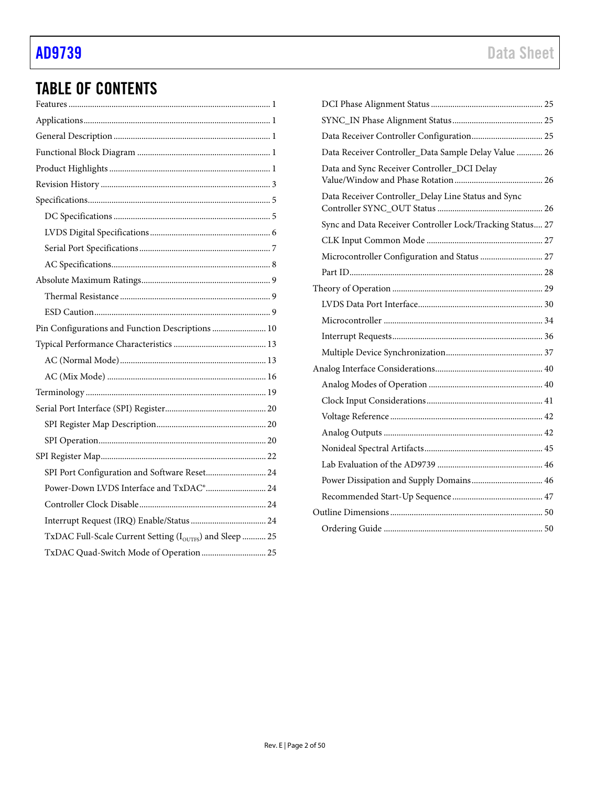# TABLE OF CONTENTS

| Pin Configurations and Function Descriptions  10        |  |
|---------------------------------------------------------|--|
|                                                         |  |
|                                                         |  |
|                                                         |  |
|                                                         |  |
|                                                         |  |
|                                                         |  |
|                                                         |  |
|                                                         |  |
| SPI Port Configuration and Software Reset 24            |  |
| Power-Down LVDS Interface and TxDAC® 24                 |  |
|                                                         |  |
|                                                         |  |
| TxDAC Full-Scale Current Setting (IOUTFS) and Sleep  25 |  |
|                                                         |  |

| Data Receiver Controller Configuration 25                 |  |
|-----------------------------------------------------------|--|
| Data Receiver Controller_Data Sample Delay Value  26      |  |
| Data and Sync Receiver Controller_DCI Delay               |  |
| Data Receiver Controller_Delay Line Status and Sync       |  |
| Sync and Data Receiver Controller Lock/Tracking Status 27 |  |
|                                                           |  |
| Microcontroller Configuration and Status  27              |  |
|                                                           |  |
|                                                           |  |
|                                                           |  |
|                                                           |  |
|                                                           |  |
|                                                           |  |
|                                                           |  |
|                                                           |  |
|                                                           |  |
|                                                           |  |
|                                                           |  |
|                                                           |  |
|                                                           |  |
| Power Dissipation and Supply Domains 46                   |  |
|                                                           |  |
|                                                           |  |
|                                                           |  |
|                                                           |  |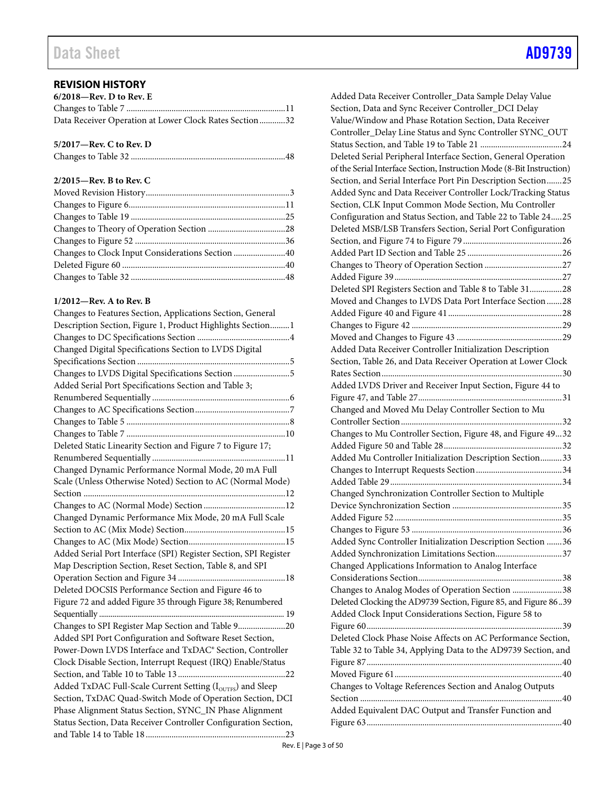# <span id="page-2-0"></span>**REVISION HISTORY**

| $6/2018$ —Rev. D to Rev. E                             |  |
|--------------------------------------------------------|--|
|                                                        |  |
| Data Receiver Operation at Lower Clock Rates Section32 |  |

## **5/2017—Rev. C to Rev. D**

# **2/2015—Rev. B to Rev. C**

| Changes to Clock Input Considerations Section 40 |  |
|--------------------------------------------------|--|
|                                                  |  |
|                                                  |  |
|                                                  |  |

## **1/2012—Rev. A to Rev. B**

| Changes to Features Section, Applications Section, General       |
|------------------------------------------------------------------|
| Description Section, Figure 1, Product Highlights Section 1      |
|                                                                  |
| Changed Digital Specifications Section to LVDS Digital           |
|                                                                  |
| Changes to LVDS Digital Specifications Section 5                 |
| Added Serial Port Specifications Section and Table 3;            |
|                                                                  |
|                                                                  |
|                                                                  |
|                                                                  |
| Deleted Static Linearity Section and Figure 7 to Figure 17;      |
|                                                                  |
| Changed Dynamic Performance Normal Mode, 20 mA Full              |
| Scale (Unless Otherwise Noted) Section to AC (Normal Mode)       |
|                                                                  |
|                                                                  |
| Changed Dynamic Performance Mix Mode, 20 mA Full Scale           |
|                                                                  |
|                                                                  |
| Added Serial Port Interface (SPI) Register Section, SPI Register |
| Map Description Section, Reset Section, Table 8, and SPI         |
|                                                                  |
| Deleted DOCSIS Performance Section and Figure 46 to              |
| Figure 72 and added Figure 35 through Figure 38; Renumbered      |
|                                                                  |
| Changes to SPI Register Map Section and Table 920                |
| Added SPI Port Configuration and Software Reset Section,         |
| Power-Down LVDS Interface and TxDAC® Section, Controller         |
| Clock Disable Section, Interrupt Request (IRQ) Enable/Status     |
|                                                                  |
| Added TxDAC Full-Scale Current Setting (IOUTFES) and Sleep       |
| Section, TxDAC Quad-Switch Mode of Operation Section, DCI        |
| Phase Alignment Status Section, SYNC_IN Phase Alignment          |
| Status Section, Data Receiver Controller Configuration Section,  |
|                                                                  |

| Added Data Receiver Controller_Data Sample Delay Value                |
|-----------------------------------------------------------------------|
| Section, Data and Sync Receiver Controller_DCI Delay                  |
| Value/Window and Phase Rotation Section, Data Receiver                |
| Controller_Delay Line Status and Sync Controller SYNC_OUT             |
|                                                                       |
| Deleted Serial Peripheral Interface Section, General Operation        |
|                                                                       |
| of the Serial Interface Section, Instruction Mode (8-Bit Instruction) |
| Section, and Serial Interface Port Pin Description Section25          |
| Added Sync and Data Receiver Controller Lock/Tracking Status          |
| Section, CLK Input Common Mode Section, Mu Controller                 |
| Configuration and Status Section, and Table 22 to Table 2425          |
| Deleted MSB/LSB Transfers Section, Serial Port Configuration          |
|                                                                       |
|                                                                       |
|                                                                       |
|                                                                       |
| Deleted SPI Registers Section and Table 8 to Table 3128               |
| Moved and Changes to LVDS Data Port Interface Section 28              |
|                                                                       |
|                                                                       |
|                                                                       |
| Added Data Receiver Controller Initialization Description             |
| Section, Table 26, and Data Receiver Operation at Lower Clock         |
|                                                                       |
| Added LVDS Driver and Receiver Input Section, Figure 44 to            |
|                                                                       |
| Changed and Moved Mu Delay Controller Section to Mu                   |
|                                                                       |
|                                                                       |
| Changes to Mu Controller Section, Figure 48, and Figure 4932          |
|                                                                       |
| Added Mu Controller Initialization Description Section33              |
|                                                                       |
|                                                                       |
| Changed Synchronization Controller Section to Multiple                |
|                                                                       |
|                                                                       |
|                                                                       |
| Added Sync Controller Initialization Description Section 36           |
| Added Synchronization Limitations Section37                           |
| Changed Applications Information to Analog Interface                  |
|                                                                       |
|                                                                       |
|                                                                       |
| Changes to Analog Modes of Operation Section 38                       |
| Deleted Clocking the AD9739 Section, Figure 85, and Figure 8639       |
| Added Clock Input Considerations Section, Figure 58 to                |
|                                                                       |
| Deleted Clock Phase Noise Affects on AC Performance Section,          |
| Table 32 to Table 34, Applying Data to the AD9739 Section, and        |
|                                                                       |
|                                                                       |
| Changes to Voltage References Section and Analog Outputs              |
|                                                                       |
| Added Equivalent DAC Output and Transfer Function and                 |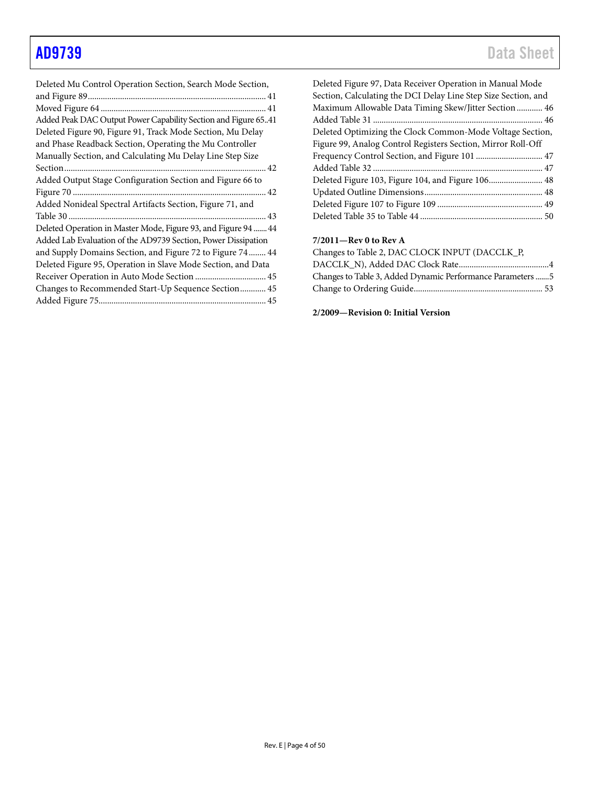| Added Peak DAC Output Power Capability Section and Figure 6541<br>Deleted Figure 90, Figure 91, Track Mode Section, Mu Delay<br>and Phase Readback Section, Operating the Mu Controller<br>Manually Section, and Calculating Mu Delay Line Step Size<br>Added Output Stage Configuration Section and Figure 66 to<br>Added Nonideal Spectral Artifacts Section, Figure 71, and<br>Deleted Operation in Master Mode, Figure 93, and Figure 94  44<br>Added Lab Evaluation of the AD9739 Section, Power Dissipation<br>and Supply Domains Section, and Figure 72 to Figure 74  44<br>Deleted Figure 95, Operation in Slave Mode Section, and Data<br>Receiver Operation in Auto Mode Section  45<br>Changes to Recommended Start-Up Sequence Section 45 | Deleted Mu Control Operation Section, Search Mode Section, |
|-------------------------------------------------------------------------------------------------------------------------------------------------------------------------------------------------------------------------------------------------------------------------------------------------------------------------------------------------------------------------------------------------------------------------------------------------------------------------------------------------------------------------------------------------------------------------------------------------------------------------------------------------------------------------------------------------------------------------------------------------------|------------------------------------------------------------|
|                                                                                                                                                                                                                                                                                                                                                                                                                                                                                                                                                                                                                                                                                                                                                       |                                                            |
|                                                                                                                                                                                                                                                                                                                                                                                                                                                                                                                                                                                                                                                                                                                                                       |                                                            |
|                                                                                                                                                                                                                                                                                                                                                                                                                                                                                                                                                                                                                                                                                                                                                       |                                                            |
|                                                                                                                                                                                                                                                                                                                                                                                                                                                                                                                                                                                                                                                                                                                                                       |                                                            |
|                                                                                                                                                                                                                                                                                                                                                                                                                                                                                                                                                                                                                                                                                                                                                       |                                                            |
|                                                                                                                                                                                                                                                                                                                                                                                                                                                                                                                                                                                                                                                                                                                                                       |                                                            |
|                                                                                                                                                                                                                                                                                                                                                                                                                                                                                                                                                                                                                                                                                                                                                       |                                                            |
|                                                                                                                                                                                                                                                                                                                                                                                                                                                                                                                                                                                                                                                                                                                                                       |                                                            |
|                                                                                                                                                                                                                                                                                                                                                                                                                                                                                                                                                                                                                                                                                                                                                       |                                                            |
|                                                                                                                                                                                                                                                                                                                                                                                                                                                                                                                                                                                                                                                                                                                                                       |                                                            |
|                                                                                                                                                                                                                                                                                                                                                                                                                                                                                                                                                                                                                                                                                                                                                       |                                                            |
|                                                                                                                                                                                                                                                                                                                                                                                                                                                                                                                                                                                                                                                                                                                                                       |                                                            |
|                                                                                                                                                                                                                                                                                                                                                                                                                                                                                                                                                                                                                                                                                                                                                       |                                                            |
|                                                                                                                                                                                                                                                                                                                                                                                                                                                                                                                                                                                                                                                                                                                                                       |                                                            |
|                                                                                                                                                                                                                                                                                                                                                                                                                                                                                                                                                                                                                                                                                                                                                       |                                                            |
|                                                                                                                                                                                                                                                                                                                                                                                                                                                                                                                                                                                                                                                                                                                                                       |                                                            |
|                                                                                                                                                                                                                                                                                                                                                                                                                                                                                                                                                                                                                                                                                                                                                       |                                                            |
|                                                                                                                                                                                                                                                                                                                                                                                                                                                                                                                                                                                                                                                                                                                                                       |                                                            |

| Deleted Figure 97, Data Receiver Operation in Manual Mode<br>Section, Calculating the DCI Delay Line Step Size Section, and |
|-----------------------------------------------------------------------------------------------------------------------------|
| Maximum Allowable Data Timing Skew/Jitter Section  46                                                                       |
|                                                                                                                             |
| Deleted Optimizing the Clock Common-Mode Voltage Section,                                                                   |
| Figure 99, Analog Control Registers Section, Mirror Roll-Off                                                                |
|                                                                                                                             |
|                                                                                                                             |
|                                                                                                                             |
|                                                                                                                             |
|                                                                                                                             |
|                                                                                                                             |

# **7/2011—Rev 0 to Rev A**

| Changes to Table 2, DAC CLOCK INPUT (DACCLK_P,             |
|------------------------------------------------------------|
|                                                            |
| Changes to Table 3, Added Dynamic Performance Parameters 5 |
|                                                            |

**2/2009—Revision 0: Initial Version**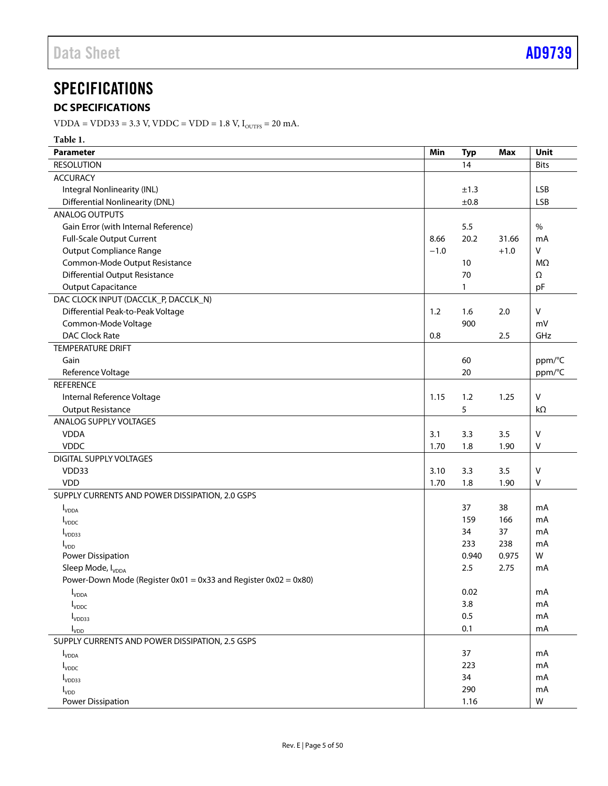# <span id="page-4-0"></span>**SPECIFICATIONS**

# <span id="page-4-1"></span>**DC SPECIFICATIONS**

VDDA = VDD33 = 3.3 V, VDDC = VDD = 1.8 V,  $I_{\text{outrs}}$  = 20 mA.

| Table 1.                                                             |        |            |            |              |
|----------------------------------------------------------------------|--------|------------|------------|--------------|
| <b>Parameter</b>                                                     | Min    | <b>Typ</b> | <b>Max</b> | Unit         |
| <b>RESOLUTION</b>                                                    |        | 14         |            | <b>Bits</b>  |
| <b>ACCURACY</b>                                                      |        |            |            |              |
| Integral Nonlinearity (INL)                                          |        | ±1.3       |            | <b>LSB</b>   |
| <b>Differential Nonlinearity (DNL)</b>                               |        | ±0.8       |            | <b>LSB</b>   |
| <b>ANALOG OUTPUTS</b>                                                |        |            |            |              |
| Gain Error (with Internal Reference)                                 |        | 5.5        |            | $\%$         |
| Full-Scale Output Current                                            | 8.66   | 20.2       | 31.66      | mA           |
| <b>Output Compliance Range</b>                                       | $-1.0$ |            | $+1.0$     | v            |
| Common-Mode Output Resistance                                        |        | 10         |            | MΩ           |
| <b>Differential Output Resistance</b>                                |        | 70         |            | Ω            |
| <b>Output Capacitance</b>                                            |        | 1          |            | pF           |
| DAC CLOCK INPUT (DACCLK_P, DACCLK_N)                                 |        |            |            |              |
| Differential Peak-to-Peak Voltage                                    | 1.2    | 1.6        | 2.0        | v            |
| Common-Mode Voltage                                                  |        | 900        |            | mV           |
| <b>DAC Clock Rate</b>                                                | 0.8    |            | 2.5        | GHz          |
| <b>TEMPERATURE DRIFT</b>                                             |        |            |            |              |
| Gain                                                                 |        | 60         |            | ppm/°C       |
| Reference Voltage                                                    |        | 20         |            | ppm/°C       |
| <b>REFERENCE</b>                                                     |        |            |            |              |
| Internal Reference Voltage                                           | 1.15   | 1.2        | 1.25       | V            |
| <b>Output Resistance</b>                                             |        | 5          |            | $k\Omega$    |
| ANALOG SUPPLY VOLTAGES                                               |        |            |            |              |
| <b>VDDA</b>                                                          | 3.1    | 3.3        | 3.5        | v            |
| <b>VDDC</b>                                                          | 1.70   | 1.8        | 1.90       | v            |
| DIGITAL SUPPLY VOLTAGES                                              |        |            |            |              |
| VDD33                                                                | 3.10   | 3.3        | 3.5        | $\mathsf{V}$ |
| <b>VDD</b>                                                           | 1.70   | 1.8        | 1.90       | v            |
| SUPPLY CURRENTS AND POWER DISSIPATION, 2.0 GSPS                      |        |            |            |              |
| $I_{VDDA}$                                                           |        | 37         | 38         | mA           |
| <b>I</b> <sub>VDDC</sub>                                             |        | 159        | 166        | mA           |
| I <sub>VDD33</sub>                                                   |        | 34         | 37         | mA           |
| $I_{VDD}$                                                            |        | 233        | 238        | mA           |
| Power Dissipation                                                    |        | 0.940      | 0.975      | W            |
| Sleep Mode, I <sub>VDDA</sub>                                        |        | 2.5        | 2.75       | mA           |
| Power-Down Mode (Register 0x01 = $0x33$ and Register 0x02 = $0x80$ ) |        |            |            |              |
| $I_{VDDA}$                                                           |        | 0.02       |            | mA           |
| $I_{VDDC}$                                                           |        | 3.8        |            | mA           |
| I <sub>VDD33</sub>                                                   |        | 0.5        |            | mA           |
| $I_{VDD}$                                                            |        | 0.1        |            | mA           |
| SUPPLY CURRENTS AND POWER DISSIPATION, 2.5 GSPS                      |        |            |            |              |
| $I_{VDDA}$                                                           |        | 37         |            | mA           |
| $I_{VDDC}$                                                           |        | 223        |            | mA           |
| I <sub>VDD33</sub>                                                   |        | 34         |            | mA           |
| $I_{VDD}$                                                            |        | 290        |            | mA           |
| Power Dissipation                                                    |        | 1.16       |            | W            |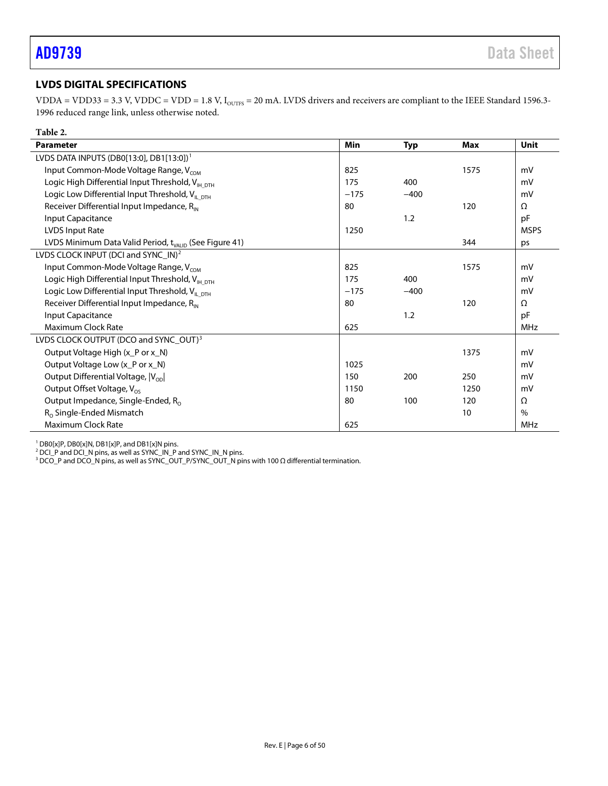# <span id="page-5-0"></span>**LVDS DIGITAL SPECIFICATIONS**

VDDA = VDD33 = 3.3 V, VDDC = VDD = 1.8 V,  $I_{\text{outrs}}$  = 20 mA. LVDS drivers and receivers are compliant to the IEEE Standard 1596.3-1996 reduced range link, unless otherwise noted.

| Table 2.                                                           |            |            |            |             |
|--------------------------------------------------------------------|------------|------------|------------|-------------|
| <b>Parameter</b>                                                   | <b>Min</b> | <b>Typ</b> | <b>Max</b> | <b>Unit</b> |
| LVDS DATA INPUTS (DB0[13:0], DB1[13:0]) <sup>1</sup>               |            |            |            |             |
| Input Common-Mode Voltage Range, V <sub>COM</sub>                  | 825        |            | 1575       | mV          |
| Logic High Differential Input Threshold, V <sub>IH DTH</sub>       | 175        | 400        |            | mV          |
| Logic Low Differential Input Threshold, V <sub>ILDTH</sub>         | $-175$     | $-400$     |            | mV          |
| Receiver Differential Input Impedance, R <sub>IN</sub>             | 80         |            | 120        | Ω           |
| Input Capacitance                                                  |            | 1.2        |            | pF          |
| <b>LVDS Input Rate</b>                                             | 1250       |            |            | <b>MSPS</b> |
| LVDS Minimum Data Valid Period, t <sub>VALID</sub> (See Figure 41) |            |            | 344        | ps          |
| LVDS CLOCK INPUT (DCI and SYNC_IN) <sup>2</sup>                    |            |            |            |             |
| Input Common-Mode Voltage Range, V <sub>COM</sub>                  | 825        |            | 1575       | mV          |
| Logic High Differential Input Threshold, V <sub>IH DTH</sub>       | 175        | 400        |            | mV          |
| Logic Low Differential Input Threshold, $V_{ILDTH}$                | $-175$     | $-400$     |            | mV          |
| Receiver Differential Input Impedance, R <sub>IN</sub>             | 80         |            | 120        | $\Omega$    |
| Input Capacitance                                                  |            | 1.2        |            | pF          |
| <b>Maximum Clock Rate</b>                                          | 625        |            |            | MHz         |
| LVDS CLOCK OUTPUT (DCO and SYNC_OUT) <sup>3</sup>                  |            |            |            |             |
| Output Voltage High (x_P or x_N)                                   |            |            | 1375       | mV          |
| Output Voltage Low (x_P or x_N)                                    | 1025       |            |            | mV          |
| Output Differential Voltage,  Vop                                  | 150        | 200        | 250        | mV          |
| Output Offset Voltage, V <sub>os</sub>                             | 1150       |            | 1250       | mV          |
| Output Impedance, Single-Ended, R <sub>o</sub>                     | 80         | 100        | 120        | $\Omega$    |
| $R_0$ Single-Ended Mismatch                                        |            |            | 10         | $\%$        |
| <b>Maximum Clock Rate</b>                                          | 625        |            |            | MHz         |

<sup>1</sup> DB0[x]P, DB0[x]N, DB1[x]P, and DB1[x]N pins.

<sup>2</sup> DCI\_P and DCI\_N pins, as well as SYNC\_IN\_P and SYNC\_IN\_N pins.

 $3$  DCO\_P and DCO\_N pins, as well as SYNC\_OUT\_P/SYNC\_OUT\_N pins with 100 Ω differential termination.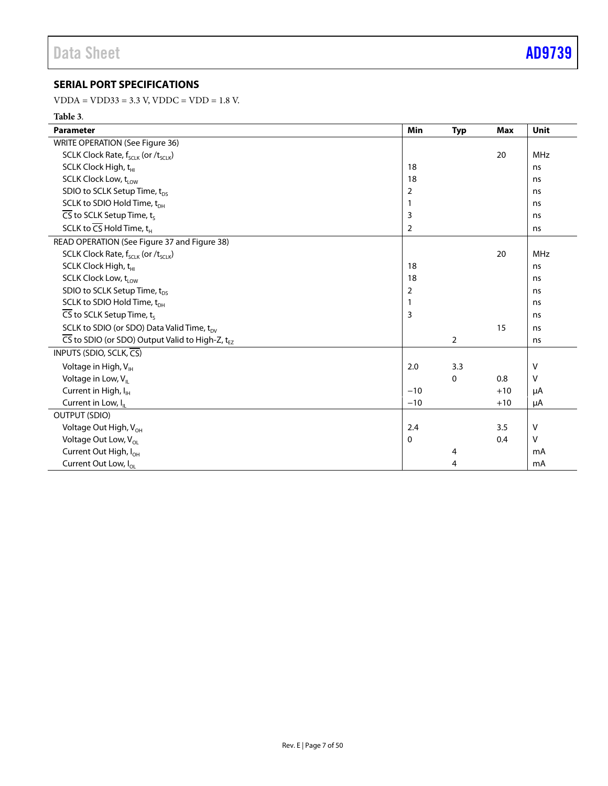# <span id="page-6-0"></span>**SERIAL PORT SPECIFICATIONS**

 $VDDA = VDD33 = 3.3 V, VDDC = VDD = 1.8 V.$ 

# **Table 3**.

| <b>Parameter</b>                                                         | Min         | <b>Typ</b>     | Max   | <b>Unit</b> |
|--------------------------------------------------------------------------|-------------|----------------|-------|-------------|
| WRITE OPERATION (See Figure 36)                                          |             |                |       |             |
| SCLK Clock Rate, $f_{\text{SCLK}}$ (or $/t_{\text{SCLK}}$ )              |             |                | 20    | <b>MHz</b>  |
| SCLK Clock High, t <sub>HI</sub>                                         | 18          |                |       | ns          |
| SCLK Clock Low, t <sub>low</sub>                                         | 18          |                |       | ns          |
| SDIO to SCLK Setup Time, t <sub>ps</sub>                                 | 2           |                |       | ns          |
| SCLK to SDIO Hold Time, t <sub>DH</sub>                                  | 1           |                |       | ns          |
| $\overline{\mathsf{CS}}$ to SCLK Setup Time, t <sub>s</sub>              | 3           |                |       | ns          |
| SCLK to $\overline{\mathsf{CS}}$ Hold Time, $\mathsf{t}_{\mathsf{H}}$    | 2           |                |       | ns          |
| READ OPERATION (See Figure 37 and Figure 38)                             |             |                |       |             |
| SCLK Clock Rate, f <sub>SCLK</sub> (or /t <sub>SCLK</sub> )              |             |                | 20    | <b>MHz</b>  |
| SCLK Clock High, t <sub>HI</sub>                                         | 18          |                |       | ns          |
| SCLK Clock Low, t <sub>low</sub>                                         | 18          |                |       | ns          |
| SDIO to SCLK Setup Time, t <sub>ps</sub>                                 | 2           |                |       | ns          |
| SCLK to SDIO Hold Time, t <sub>DH</sub>                                  | 1           |                |       | ns          |
| $\overline{\mathsf{CS}}$ to SCLK Setup Time, t.                          | 3           |                |       | ns          |
| SCLK to SDIO (or SDO) Data Valid Time, t <sub>ov</sub>                   |             |                | 15    | ns          |
| $\overline{CS}$ to SDIO (or SDO) Output Valid to High-Z, t <sub>EZ</sub> |             | $\overline{2}$ |       | ns          |
| INPUTS (SDIO, SCLK, CS)                                                  |             |                |       |             |
| Voltage in High, V <sub>IH</sub>                                         | 2.0         | 3.3            |       | V           |
| Voltage in Low, $V_{\parallel}$                                          |             | $\Omega$       | 0.8   | V           |
| Current in High, I <sub>H</sub>                                          | $-10$       |                | $+10$ | μA          |
| Current in Low, I <sub>u</sub>                                           | $-10$       |                | $+10$ | μA          |
| <b>OUTPUT (SDIO)</b>                                                     |             |                |       |             |
| Voltage Out High, V <sub>OH</sub>                                        | 2.4         |                | 3.5   | ٧           |
| Voltage Out Low, V <sub>OL</sub>                                         | $\mathbf 0$ |                | 0.4   | V           |
| Current Out High, I <sub>OH</sub>                                        |             | 4              |       | mA          |
| Current Out Low, I <sub>ol</sub>                                         |             | 4              |       | mA          |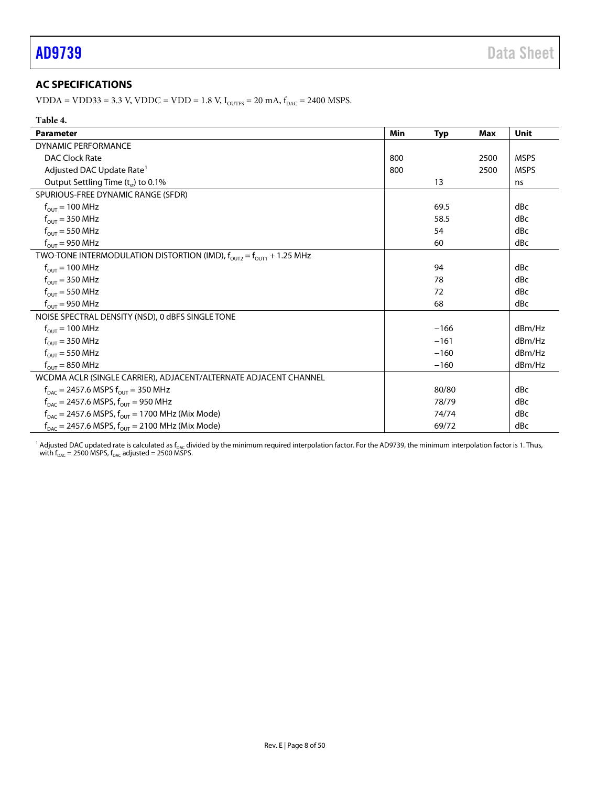# <span id="page-7-0"></span>**AC SPECIFICATIONS**

VDDA = VDD33 = 3.3 V, VDDC = VDD = 1.8 V,  $I_{\text{OUTFS}}$  = 20 mA,  $f_{\text{DAC}}$  = 2400 MSPS.

| <b>Parameter</b>                                                                     | Min | <b>Typ</b> | Max  | Unit        |
|--------------------------------------------------------------------------------------|-----|------------|------|-------------|
| <b>DYNAMIC PERFORMANCE</b>                                                           |     |            |      |             |
| DAC Clock Rate                                                                       | 800 |            | 2500 | <b>MSPS</b> |
| Adjusted DAC Update Rate <sup>1</sup>                                                | 800 |            | 2500 | <b>MSPS</b> |
| Output Settling Time $(t_{st})$ to 0.1%                                              |     | 13         |      | ns          |
| SPURIOUS-FREE DYNAMIC RANGE (SFDR)                                                   |     |            |      |             |
| $f_{\text{out}} = 100 \text{ MHz}$                                                   |     | 69.5       |      | dBc         |
| $f_{OUT}$ = 350 MHz                                                                  |     | 58.5       |      | dBc         |
| $f_{OUT}$ = 550 MHz                                                                  |     | 54         |      | dBc         |
| $f_{OUT}$ = 950 MHz                                                                  |     | 60         |      | dBc         |
| TWO-TONE INTERMODULATION DISTORTION (IMD), $f_{OUT2} = f_{OUT1} + 1.25$ MHz          |     |            |      |             |
| $f_{OUT}$ = 100 MHz                                                                  |     | 94         |      | dBc         |
| $f_{OUT}$ = 350 MHz                                                                  |     | 78         |      | dBc         |
| $f_{OUT}$ = 550 MHz                                                                  |     | 72         |      | dBc         |
| $f_{OUT} = 950 \text{ MHz}$                                                          |     | 68         |      | dBc         |
| NOISE SPECTRAL DENSITY (NSD), 0 dBFS SINGLE TONE                                     |     |            |      |             |
| $f_{\text{out}} = 100 \text{ MHz}$                                                   |     | $-166$     |      | dBm/Hz      |
| $f_{OUT}$ = 350 MHz                                                                  |     | $-161$     |      | dBm/Hz      |
| $f_{OUT}$ = 550 MHz                                                                  |     | $-160$     |      | dBm/Hz      |
| $f_{OUT} = 850 \text{ MHz}$                                                          |     | $-160$     |      | dBm/Hz      |
| WCDMA ACLR (SINGLE CARRIER), ADJACENT/ALTERNATE ADJACENT CHANNEL                     |     |            |      |             |
| $f_{\text{DAC}} = 2457.6 \text{ MSPS } f_{\text{OUT}} = 350 \text{ MHz}$             |     | 80/80      |      | dBc         |
| $f_{\text{DAC}}$ = 2457.6 MSPS, $f_{\text{OUT}}$ = 950 MHz                           |     | 78/79      |      | dBc         |
| $f_{\text{DAC}}$ = 2457.6 MSPS, $f_{\text{OUT}}$ = 1700 MHz (Mix Mode)               |     | 74/74      |      | dBc         |
| $f_{\text{DAC}} = 2457.6 \text{ MSPS}, f_{\text{OUT}} = 2100 \text{ MHz}$ (Mix Mode) |     | 69/72      |      | dBc         |

<sup>1</sup> Adjusted DAC updated rate is calculated as f<sub>DAC</sub> divided by the minimum required interpolation factor. For the AD9739, the minimum interpolation factor is 1. Thus, with  $f_{\texttt{DAC}}$  = 2500 MSPS,  $f_{\texttt{DAC}}$  adjusted = 2500 MSPS.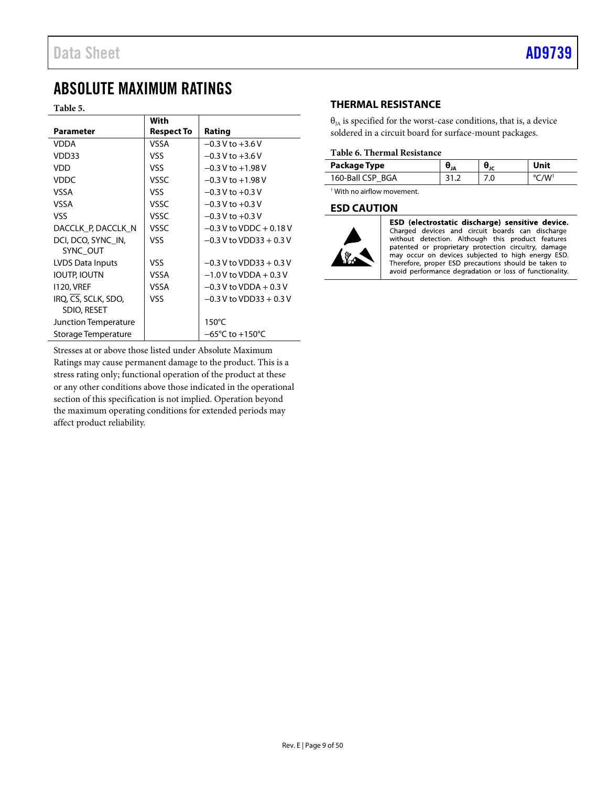# <span id="page-8-0"></span>ABSOLUTE MAXIMUM RATINGS

**Table 5.** 

|                      | With              |                                     |
|----------------------|-------------------|-------------------------------------|
| <b>Parameter</b>     | <b>Respect To</b> | Rating                              |
| VDDA                 | VSSA              | $-0.3 V$ to $+3.6 V$                |
| VDD33                | VSS               | $-0.3 V$ to $+3.6 V$                |
| VDD                  | VSS               | $-0.3$ V to $+1.98$ V               |
| <b>VDDC</b>          | VSSC              | $-0.3$ V to $+1.98$ V               |
| VSSA                 | VSS               | $-0.3$ V to $+0.3$ V                |
| VSSA                 | VSSC              | $-0.3$ V to $+0.3$ V                |
| VSS                  | VSSC              | $-0.3$ V to $+0.3$ V                |
| DACCLK P, DACCLK N   | VSSC              | $-0.3$ V to VDDC $+0.18$ V          |
| DCI, DCO, SYNC IN,   | VSS               | $-0.3$ V to VDD33 + 0.3 V           |
| SYNC OUT             |                   |                                     |
| LVDS Data Inputs     | VSS               | $-0.3$ V to VDD33 + 0.3 V           |
| IOUTP, IOUTN         | VSSA              | $-1.0$ V to VDDA + 0.3 V            |
| <b>1120, VREF</b>    | VSSA              | $-0.3$ V to VDDA + 0.3 V            |
| IRQ, CS, SCLK, SDO,  | VSS               | $-0.3$ V to VDD33 + 0.3 V           |
| SDIO, RESET          |                   |                                     |
| Junction Temperature |                   | $150^{\circ}$ C                     |
| Storage Temperature  |                   | $-65^{\circ}$ C to $+150^{\circ}$ C |

Stresses at or above those listed under Absolute Maximum Ratings may cause permanent damage to the product. This is a stress rating only; functional operation of the product at these or any other conditions above those indicated in the operational section of this specification is not implied. Operation beyond the maximum operating conditions for extended periods may affect product reliability.

# <span id="page-8-1"></span>**THERMAL RESISTANCE**

 $\theta_{IA}$  is specified for the worst-case conditions, that is, a device soldered in a circuit board for surface-mount packages.

## **Table 6. Thermal Resistance**

| Package Type     | 'JA | .J .c. | Unit |
|------------------|-----|--------|------|
| 160-Ball CSP BGA |     |        |      |

<sup>1</sup> With no airflow movement.

## <span id="page-8-2"></span>**ESD CAUTION**



ESD (electrostatic discharge) sensitive device. Charged devices and circuit boards can discharge without detection. Although this product features patented or proprietary protection circuitry, damage<br>may occur on devices subjected to high energy ESD. Therefore, proper ESD precautions should be taken to avoid performance degradation or loss of functionality.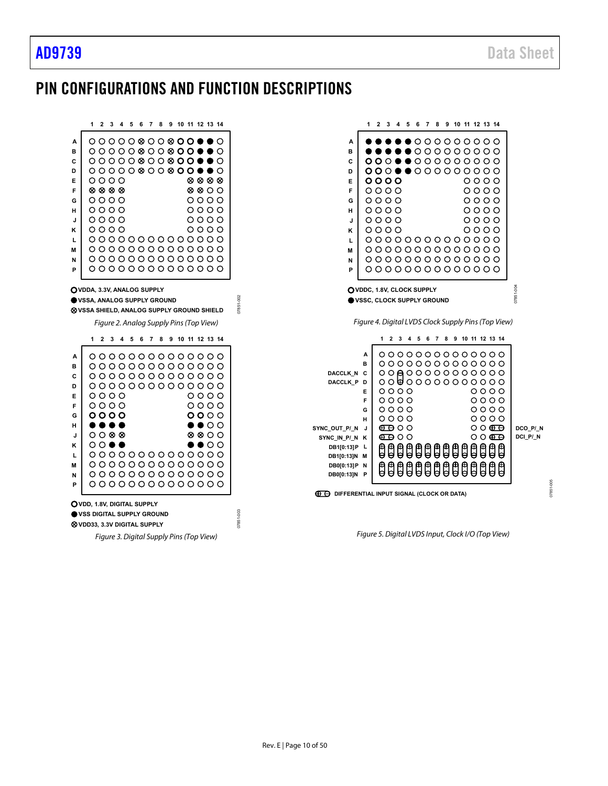# <span id="page-9-0"></span>PIN CONFIGURATIONS AND FUNCTION DESCRIPTIONS

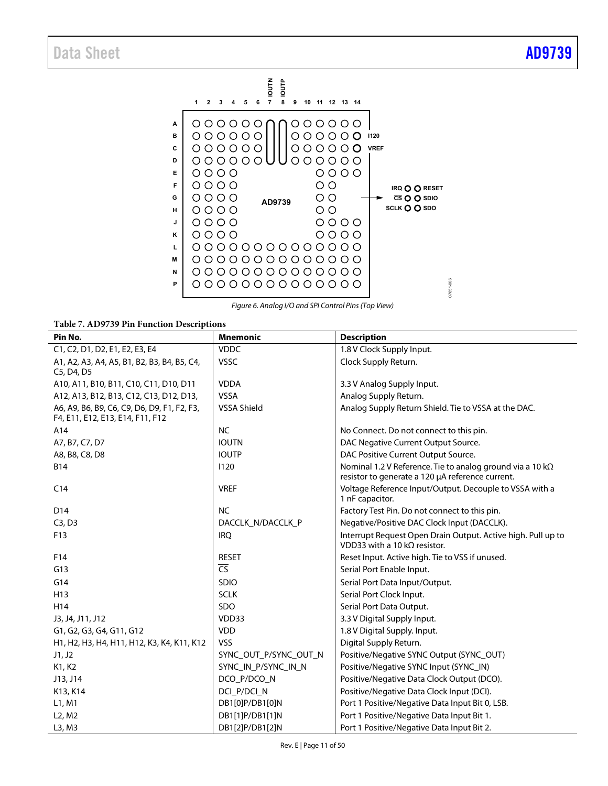

*Figure 6. Analog I/O and SPI Control Pins (Top View)*

**Table** 7**[. AD9739](http://www.analog.com/AD9739?doc=AD9739.pdf) Pin Function Descriptions** 

| rapic / AD / / 37 Fm Function Descriptions                                      |                          |                                                                                                                       |
|---------------------------------------------------------------------------------|--------------------------|-----------------------------------------------------------------------------------------------------------------------|
| Pin No.                                                                         | <b>Mnemonic</b>          | <b>Description</b>                                                                                                    |
| C1, C2, D1, D2, E1, E2, E3, E4                                                  | <b>VDDC</b>              | 1.8 V Clock Supply Input.                                                                                             |
| A1, A2, A3, A4, A5, B1, B2, B3, B4, B5, C4,<br>C5, D4, D5                       | <b>VSSC</b>              | Clock Supply Return.                                                                                                  |
| A10, A11, B10, B11, C10, C11, D10, D11                                          | <b>VDDA</b>              | 3.3 V Analog Supply Input.                                                                                            |
| A12, A13, B12, B13, C12, C13, D12, D13,                                         | <b>VSSA</b>              | Analog Supply Return.                                                                                                 |
| A6, A9, B6, B9, C6, C9, D6, D9, F1, F2, F3,<br>F4, E11, E12, E13, E14, F11, F12 | VSSA Shield              | Analog Supply Return Shield. Tie to VSSA at the DAC.                                                                  |
| A14                                                                             | <b>NC</b>                | No Connect. Do not connect to this pin.                                                                               |
| A7, B7, C7, D7                                                                  | <b>IOUTN</b>             | DAC Negative Current Output Source.                                                                                   |
| A8, B8, C8, D8                                                                  | <b>IOUTP</b>             | DAC Positive Current Output Source.                                                                                   |
| <b>B14</b>                                                                      | 1120                     | Nominal 1.2 V Reference. Tie to analog ground via a 10 k $\Omega$<br>resistor to generate a 120 µA reference current. |
| C <sub>14</sub>                                                                 | <b>VREF</b>              | Voltage Reference Input/Output. Decouple to VSSA with a<br>1 nF capacitor.                                            |
| D <sub>14</sub>                                                                 | <b>NC</b>                | Factory Test Pin. Do not connect to this pin.                                                                         |
| C3, D3                                                                          | DACCLK N/DACCLK P        | Negative/Positive DAC Clock Input (DACCLK).                                                                           |
| F13                                                                             | <b>IRO</b>               | Interrupt Request Open Drain Output. Active high. Pull up to<br>VDD33 with a 10 k $\Omega$ resistor.                  |
| F14                                                                             | <b>RESET</b>             | Reset Input. Active high. Tie to VSS if unused.                                                                       |
| G13                                                                             | $\overline{\mathsf{CS}}$ | Serial Port Enable Input.                                                                                             |
| G14                                                                             | <b>SDIO</b>              | Serial Port Data Input/Output.                                                                                        |
| H <sub>13</sub>                                                                 | <b>SCLK</b>              | Serial Port Clock Input.                                                                                              |
| H14                                                                             | SDO                      | Serial Port Data Output.                                                                                              |
| J3, J4, J11, J12                                                                | VDD33                    | 3.3 V Digital Supply Input.                                                                                           |
| G1, G2, G3, G4, G11, G12                                                        | <b>VDD</b>               | 1.8 V Digital Supply. Input.                                                                                          |
| H1, H2, H3, H4, H11, H12, K3, K4, K11, K12                                      | <b>VSS</b>               | Digital Supply Return.                                                                                                |
| J1, J2                                                                          | SYNC_OUT_P/SYNC_OUT_N    | Positive/Negative SYNC Output (SYNC_OUT)                                                                              |
| K1, K2                                                                          | SYNC_IN_P/SYNC_IN_N      | Positive/Negative SYNC Input (SYNC_IN)                                                                                |
| J13, J14                                                                        | DCO_P/DCO_N              | Positive/Negative Data Clock Output (DCO).                                                                            |
| K13, K14                                                                        | DCI_P/DCI_N              | Positive/Negative Data Clock Input (DCI).                                                                             |
| L1, M1                                                                          | DB1[0]P/DB1[0]N          | Port 1 Positive/Negative Data Input Bit 0, LSB.                                                                       |
| L <sub>2</sub> , M <sub>2</sub>                                                 | DB1[1]P/DB1[1]N          | Port 1 Positive/Negative Data Input Bit 1.                                                                            |
| L3, M3                                                                          | DB1[2]P/DB1[2]N          | Port 1 Positive/Negative Data Input Bit 2.                                                                            |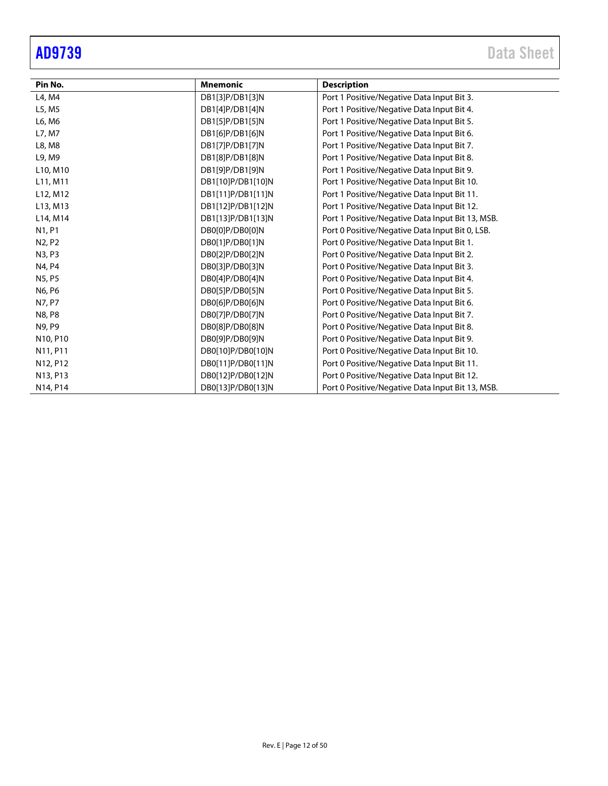$\overline{\phantom{0}}$ J.

÷

| Pin No.                           | <b>Mnemonic</b>   | <b>Description</b>                               |
|-----------------------------------|-------------------|--------------------------------------------------|
| L4, M4                            | DB1[3]P/DB1[3]N   | Port 1 Positive/Negative Data Input Bit 3.       |
| L5, M5                            | DB1[4]P/DB1[4]N   | Port 1 Positive/Negative Data Input Bit 4.       |
| L6, M6                            | DB1[5]P/DB1[5]N   | Port 1 Positive/Negative Data Input Bit 5.       |
| L7, M7                            | DB1[6]P/DB1[6]N   | Port 1 Positive/Negative Data Input Bit 6.       |
| L8, M8                            | DB1[7]P/DB1[7]N   | Port 1 Positive/Negative Data Input Bit 7.       |
| L9, M9                            | DB1[8]P/DB1[8]N   | Port 1 Positive/Negative Data Input Bit 8.       |
| L10, M10                          | DB1[9]P/DB1[9]N   | Port 1 Positive/Negative Data Input Bit 9.       |
| L <sub>11</sub> , M <sub>11</sub> | DB1[10]P/DB1[10]N | Port 1 Positive/Negative Data Input Bit 10.      |
| L12, M12                          | DB1[11]P/DB1[11]N | Port 1 Positive/Negative Data Input Bit 11.      |
| L13, M13                          | DB1[12]P/DB1[12]N | Port 1 Positive/Negative Data Input Bit 12.      |
| L14, M14                          | DB1[13]P/DB1[13]N | Port 1 Positive/Negative Data Input Bit 13, MSB. |
| N1, P1                            | DB0[0]P/DB0[0]N   | Port 0 Positive/Negative Data Input Bit 0, LSB.  |
| N <sub>2</sub> , P <sub>2</sub>   | DB0[1]P/DB0[1]N   | Port 0 Positive/Negative Data Input Bit 1.       |
| N3, P3                            | DB0[2]P/DB0[2]N   | Port 0 Positive/Negative Data Input Bit 2.       |
| N4, P4                            | DB0[3]P/DB0[3]N   | Port 0 Positive/Negative Data Input Bit 3.       |
| N5, P5                            | DB0[4]P/DB0[4]N   | Port 0 Positive/Negative Data Input Bit 4.       |
| N6, P6                            | DB0[5]P/DB0[5]N   | Port 0 Positive/Negative Data Input Bit 5.       |
| N7, P7                            | DB0[6]P/DB0[6]N   | Port 0 Positive/Negative Data Input Bit 6.       |
| N8, P8                            | DB0[7]P/DB0[7]N   | Port 0 Positive/Negative Data Input Bit 7.       |
| N9, P9                            | DB0[8]P/DB0[8]N   | Port 0 Positive/Negative Data Input Bit 8.       |
| N10, P10                          | DB0[9]P/DB0[9]N   | Port 0 Positive/Negative Data Input Bit 9.       |
| N11, P11                          | DB0[10]P/DB0[10]N | Port 0 Positive/Negative Data Input Bit 10.      |
| N12, P12                          | DB0[11]P/DB0[11]N | Port 0 Positive/Negative Data Input Bit 11.      |
| N13, P13                          | DB0[12]P/DB0[12]N | Port 0 Positive/Negative Data Input Bit 12.      |
| N14, P14                          | DB0[13]P/DB0[13]N | Port 0 Positive/Negative Data Input Bit 13, MSB. |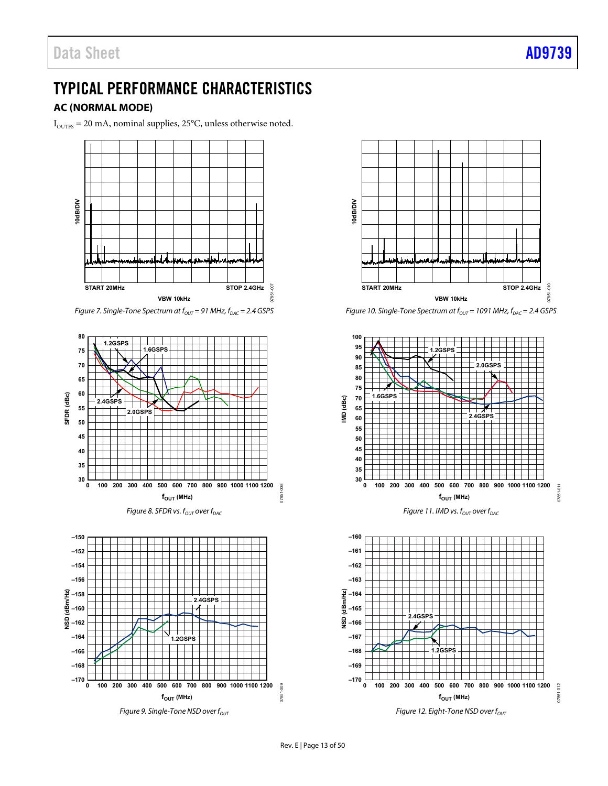# <span id="page-12-0"></span>TYPICAL PERFORMANCE CHARACTERISTICS

# <span id="page-12-1"></span>**AC (NORMAL MODE)**

 $I_{\text{OUTFS}} = 20 \text{ mA}$  , nominal supplies, 25°C, unless otherwise noted.



*Figure 7. Single-Tone Spectrum at*  $f_{OUT} = 91$  *MHz,*  $f_{DAC} = 2.4$  *GSPS* 









*Figure 10. Single-Tone Spectrum at f*<sub>OUT</sub> = 1091 MHz,  $f_{DAC}$  = 2.4 GSPS



*Figure 11. IMD vs. f<sub>OUT</sub>* over  $f_{DAC}$ 



*Figure 12. Eight-Tone NSD over f<sub>out</sub>*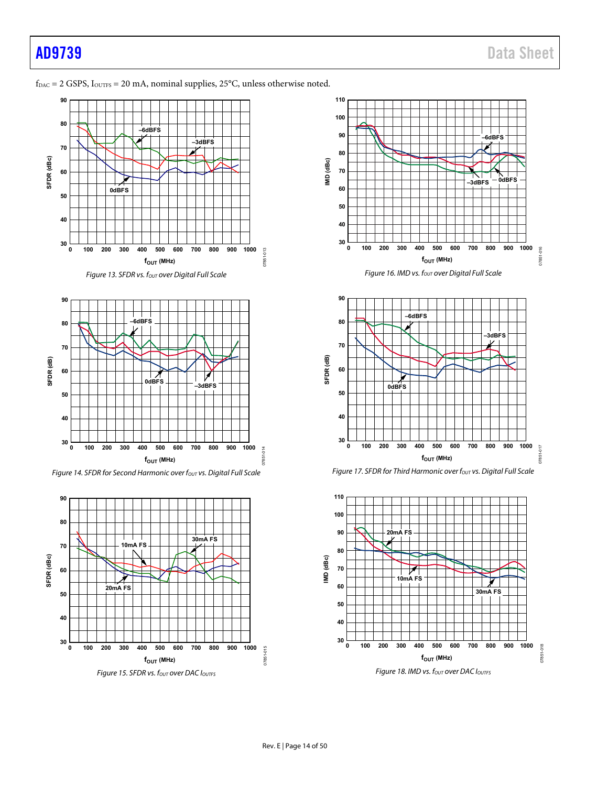## $f_{\text{DAC}} = 2$  GSPS,  $I_{\text{OUTFS}} = 20$  mA, nominal supplies,  $25^{\circ}$ C, unless otherwise noted.





Figure 14. SFDR for Second Harmonic over  $f_{\text{OUT}}$  vs. Digital Full Scale



Figure 15. SFDR vs. fout over DAC loutes









Figure 18. IMD vs. fout over DAC Ioutrs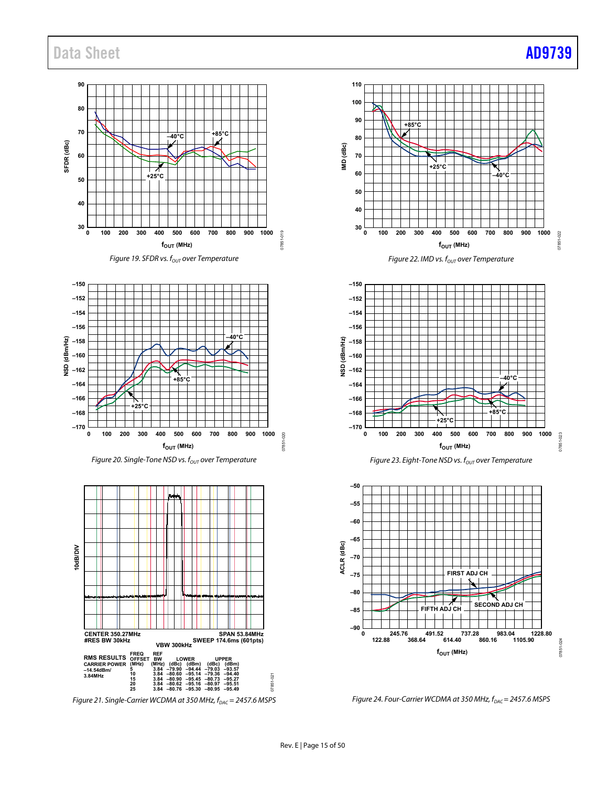# Data Sheet **AD9739**





*Figure 20. Single-Tone NSD vs. f<sub>OUT</sub> over Temperature* 



*Figure 21. Single-Carrier WCDMA at 350 MHz, f<sub>DAC</sub>* = 2457.6 MSPS

**110 100 90 +85°C 80 IMD (dBc) 70 +25°C 60 –40°C 50 40**  $30\frac{L}{0}$ 022 **0 100 200 300 400 500 600 700 800 900 1000** 07851-022 07851  $f_{\text{OUT}}$  (MHz)





*Figure 23. Eight-Tone NSD vs. f<sub>OUT</sub> over Temperature* 



*Figure 24. Four-Carrier WCDMA at 350 MHz, f<sub>DAC</sub> = 2457.6 MSPS*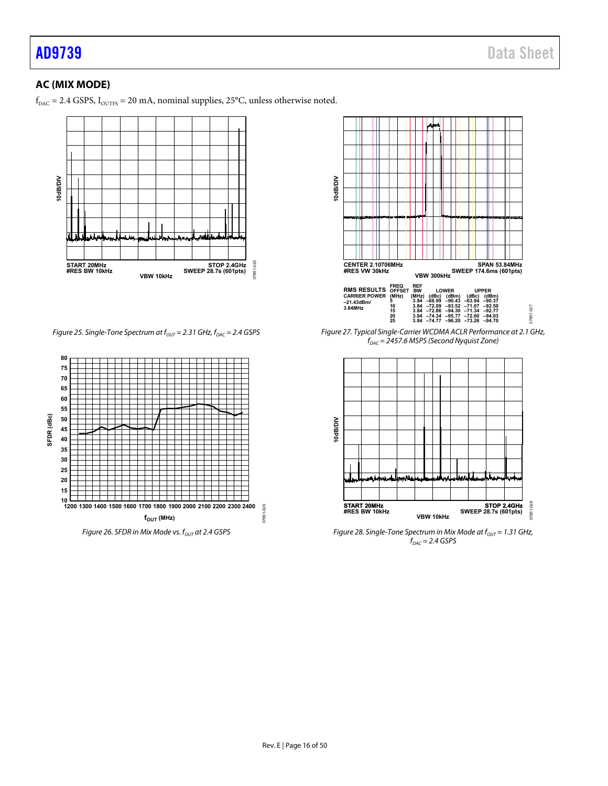# <span id="page-15-0"></span>**AC (MIX MODE)**

 $\rm\,f_{\rm DAC}$  = 2.4 GSPS,  $\rm\,I_{\rm OUTFS}$  = 20 mA, nominal supplies, 25°C, unless otherwise noted.



*Figure 25. Single-Tone Spectrum at*  $f_{OUT} = 2.31$  *GHz,*  $f_{DAC} = 2.4$  *GSPS* 





*Figure 27. Typical Single-Carrier WCDMA ACLR Performance at 2.1 GHz, fDAC = 2457.6 MSPS (Second Nyquist Zone)*



*Figure 28. Single-Tone Spectrum in Mix Mode at f<sub>our</sub>* = 1.31 GHz,  $f_{DAC} = 2.4$  *GSPS*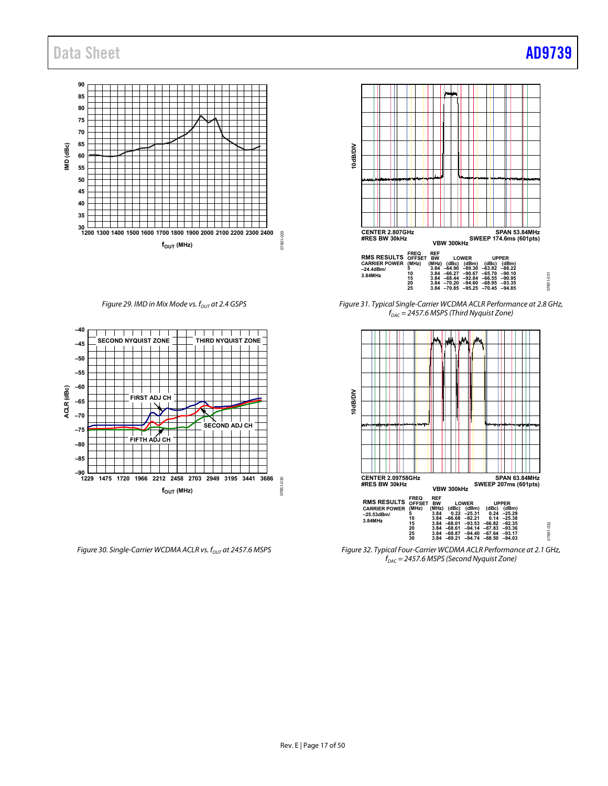# Data Sheet **[AD9739](http://www.analog.com/AD9739?doc=AD9739.pdf)**



*Figure 29. IMD in Mix Mode vs. f<sub>OUT</sub> at 2.4 GSPS* 



*Figure 30. Single-Carrier WCDMA ACLR vs. f<sub>out</sub> at 2457.6 MSPS* 



*Figure 31. Typical Single-Carrier WCDMA ACLR Performance at 2.8 GHz, fDAC = 2457.6 MSPS (Third Nyquist Zone)*



*Figure 32. Typical Four-Carrier WCDMA ACLR Performance at 2.1 GHz, fDAC = 2457.6 MSPS (Second Nyquist Zone)*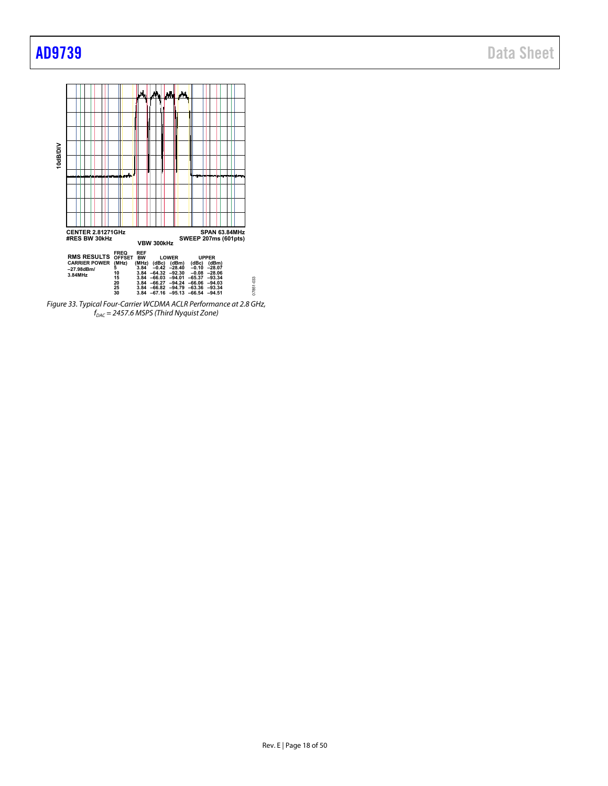

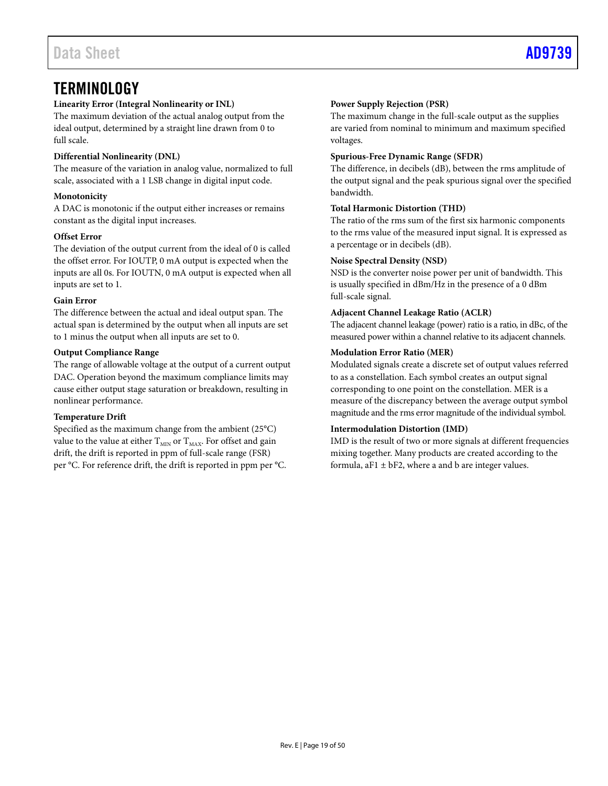# <span id="page-18-0"></span>**TERMINOLOGY**

# **Linearity Error (Integral Nonlinearity or INL)**

The maximum deviation of the actual analog output from the ideal output, determined by a straight line drawn from 0 to full scale.

## **Differential Nonlinearity (DNL)**

The measure of the variation in analog value, normalized to full scale, associated with a 1 LSB change in digital input code.

## **Monotonicity**

A DAC is monotonic if the output either increases or remains constant as the digital input increases.

## **Offset Error**

The deviation of the output current from the ideal of 0 is called the offset error. For IOUTP, 0 mA output is expected when the inputs are all 0s. For IOUTN, 0 mA output is expected when all inputs are set to 1.

## **Gain Error**

The difference between the actual and ideal output span. The actual span is determined by the output when all inputs are set to 1 minus the output when all inputs are set to 0.

## **Output Compliance Range**

The range of allowable voltage at the output of a current output DAC. Operation beyond the maximum compliance limits may cause either output stage saturation or breakdown, resulting in nonlinear performance.

## **Temperature Drift**

Specified as the maximum change from the ambient (25°C) value to the value at either  $T_{\text{MIN}}$  or  $T_{\text{MAX}}$ . For offset and gain drift, the drift is reported in ppm of full-scale range (FSR) per °C. For reference drift, the drift is reported in ppm per °C.

## **Power Supply Rejection (PSR)**

The maximum change in the full-scale output as the supplies are varied from nominal to minimum and maximum specified voltages.

#### **Spurious-Free Dynamic Range (SFDR)**

The difference, in decibels (dB), between the rms amplitude of the output signal and the peak spurious signal over the specified bandwidth.

## **Total Harmonic Distortion (THD)**

The ratio of the rms sum of the first six harmonic components to the rms value of the measured input signal. It is expressed as a percentage or in decibels (dB).

#### **Noise Spectral Density (NSD)**

NSD is the converter noise power per unit of bandwidth. This is usually specified in dBm/Hz in the presence of a 0 dBm full-scale signal.

#### **Adjacent Channel Leakage Ratio (ACLR)**

The adjacent channel leakage (power) ratio is a ratio, in dBc, of the measured power within a channel relative to its adjacent channels.

## **Modulation Error Ratio (MER)**

Modulated signals create a discrete set of output values referred to as a constellation. Each symbol creates an output signal corresponding to one point on the constellation. MER is a measure of the discrepancy between the average output symbol magnitude and the rms error magnitude of the individual symbol.

## **Intermodulation Distortion (IMD)**

IMD is the result of two or more signals at different frequencies mixing together. Many products are created according to the formula,  $aF1 \pm bF2$ , where a and b are integer values.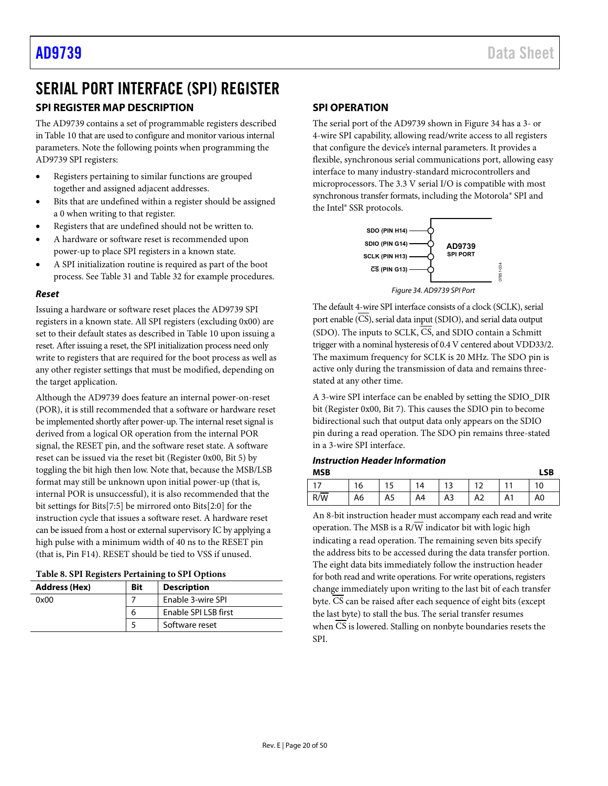# <span id="page-19-0"></span>SERIAL PORT INTERFACE (SPI) REGISTER

# <span id="page-19-1"></span>**SPI REGISTER MAP DESCRIPTION**

The [AD9739](http://www.analog.com/AD9739?doc=AD9739.pdf) contains a set of programmable registers described i[n Table 10](#page-23-4) that are used to configure and monitor various internal parameters. Note the following points when programming the [AD9739](http://www.analog.com/AD9739?doc=AD9739.pdf) SPI registers:

- Registers pertaining to similar functions are grouped together and assigned adjacent addresses.
- Bits that are undefined within a register should be assigned a 0 when writing to that register.
- Registers that are undefined should not be written to.
- A hardware or software reset is recommended upon power-up to place SPI registers in a known state.
- A SPI initialization routine is required as part of the boot process. Se[e Table 31](#page-47-0) an[d Table 32](#page-48-0) for example procedures.

## *Reset*

Issuing a hardware or software reset places th[e AD9739](http://www.analog.com/AD9739?doc=AD9739.pdf) SPI registers in a known state. All SPI registers (excluding 0x00) are set to their default states as described i[n Table 10](#page-23-4) upon issuing a reset. After issuing a reset, the SPI initialization process need only write to registers that are required for the boot process as well as any other register settings that must be modified, depending on the target application.

Although th[e AD9739 d](http://www.analog.com/AD9739?doc=AD9739.pdf)oes feature an internal power-on-reset (POR), it is still recommended that a software or hardware reset be implemented shortly after power-up. The internal reset signal is derived from a logical OR operation from the internal POR signal, the RESET pin, and the software reset state. A software reset can be issued via the reset bit (Register 0x00, Bit 5) by toggling the bit high then low. Note that, because the MSB/LSB format may still be unknown upon initial power-up (that is, internal POR is unsuccessful), it is also recommended that the bit settings for Bits[7:5] be mirrored onto Bits[2:0] for the instruction cycle that issues a software reset. A hardware reset can be issued from a host or external supervisory IC by applying a high pulse with a minimum width of 40 ns to the RESET pin (that is, Pin F14). RESET should be tied to VSS if unused.

#### **Table 8. SPI Registers Pertaining to SPI Options**

| <b>Address (Hex)</b> | Bit | <b>Description</b>   |
|----------------------|-----|----------------------|
| 0x00                 |     | Enable 3-wire SPI    |
|                      | O   | Enable SPI LSB first |
|                      |     | Software reset       |

## <span id="page-19-2"></span>**SPI OPERATION**

The serial port of the [AD9739](http://www.analog.com/AD9739?doc=AD9739.pdf) shown in [Figure 34](#page-19-3) has a 3- or 4-wire SPI capability, allowing read/write access to all registers that configure the device's internal parameters. It provides a flexible, synchronous serial communications port, allowing easy interface to many industry-standard microcontrollers and microprocessors. The 3.3 V serial I/O is compatible with most synchronous transfer formats, including the Motorola® SPI and the Intel® SSR protocols.



<span id="page-19-3"></span>The default 4-wire SPI interface consists of a clock (SCLK), serial port enable (CS), serial data input (SDIO), and serial data output (SDO). The inputs to SCLK, CS, and SDIO contain a Schmitt trigger with a nominal hysteresis of 0.4 V centered about VDD33/2. The maximum frequency for SCLK is 20 MHz. The SDO pin is active only during the transmission of data and remains threestated at any other time.

A 3-wire SPI interface can be enabled by setting the SDIO\_DIR bit (Register 0x00, Bit 7). This causes the SDIO pin to become bidirectional such that output data only appears on the SDIO pin during a read operation. The SDO pin remains three-stated in a 3-wire SPI interface.

## *Instruction Header Information*

| <b>MSB</b> |    |    |    |     |                  |    | <b>LSB</b> |
|------------|----|----|----|-----|------------------|----|------------|
|            | 16 |    | 14 | 1 ว | $1^{\circ}$<br>᠂ |    | 10         |
| R/W        | A6 | A5 | A4 | A3  | A2               | A1 | A0         |

An 8-bit instruction header must accompany each read and write operation. The MSB is a  $R/\overline{W}$  indicator bit with logic high indicating a read operation. The remaining seven bits specify the address bits to be accessed during the data transfer portion. The eight data bits immediately follow the instruction header for both read and write operations. For write operations, registers change immediately upon writing to the last bit of each transfer byte. CS can be raised after each sequence of eight bits (except the last byte) to stall the bus. The serial transfer resumes when CS is lowered. Stalling on nonbyte boundaries resets the SPI.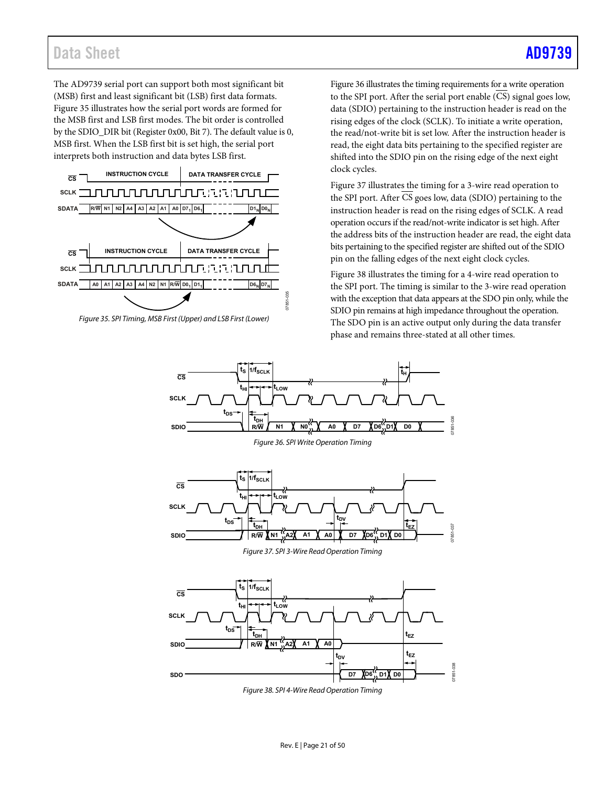# Data Sheet AD9739

The [AD9739](http://www.analog.com/AD9739?doc=AD9739.pdf) serial port can support both most significant bit (MSB) first and least significant bit (LSB) first data formats. [Figure 35](#page-20-3) illustrates how the serial port words are formed for the MSB first and LSB first modes. The bit order is controlled by the SDIO\_DIR bit (Register 0x00, Bit 7). The default value is 0, MSB first. When the LSB first bit is set high, the serial port interprets both instruction and data bytes LSB first.



<span id="page-20-3"></span><span id="page-20-0"></span>*Figure 35. SPI Timing, MSB First (Upper) and LSB First (Lower)* 

[Figure 36](#page-20-0) illustrates the timing requirements for a write operation to the SPI port. After the serial port enable (CS) signal goes low, data (SDIO) pertaining to the instruction header is read on the rising edges of the clock (SCLK). To initiate a write operation, the read/not-write bit is set low. After the instruction header is read, the eight data bits pertaining to the specified register are shifted into the SDIO pin on the rising edge of the next eight clock cycles.

[Figure 37](#page-20-1) illustrates the timing for a 3-wire read operation to the SPI port. After  $\overline{CS}$  goes low, data (SDIO) pertaining to the instruction header is read on the rising edges of SCLK. A read operation occurs if the read/not-write indicator is set high. After the address bits of the instruction header are read, the eight data bits pertaining to the specified register are shifted out of the SDIO pin on the falling edges of the next eight clock cycles.

[Figure 38](#page-20-2) illustrates the timing for a 4-wire read operation to the SPI port. The timing is similar to the 3-wire read operation with the exception that data appears at the SDO pin only, while the SDIO pin remains at high impedance throughout the operation. The SDO pin is an active output only during the data transfer phase and remains three-stated at all other times.

<span id="page-20-1"></span>

<span id="page-20-2"></span>*Figure 38. SPI 4-Wire Read Operation Timing*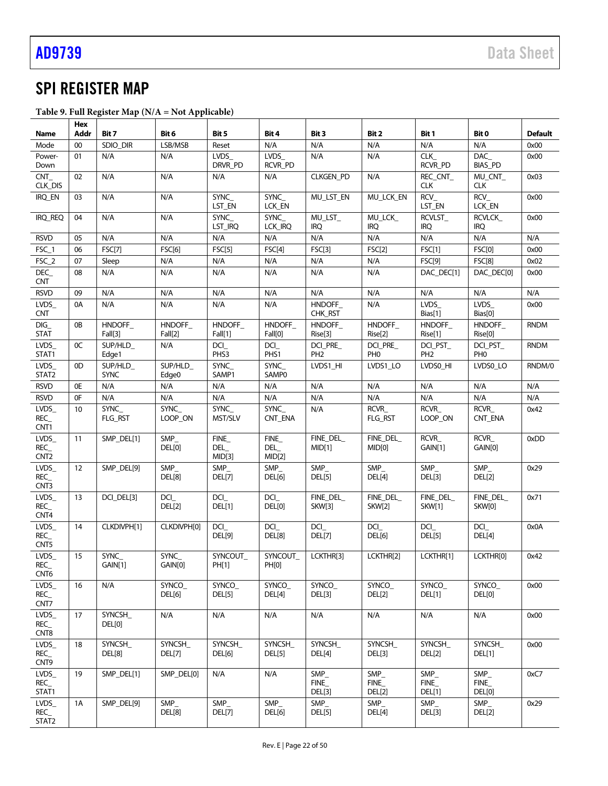# <span id="page-21-0"></span>SPI REGISTER MAP

|  |  |  | Table 9. Full Register Map $(N/A = Not Apple)$ |
|--|--|--|------------------------------------------------|
|--|--|--|------------------------------------------------|

|                                                   | Hex      |                        |                               |                        |                       |                            |                            |                               |                                     |                        |
|---------------------------------------------------|----------|------------------------|-------------------------------|------------------------|-----------------------|----------------------------|----------------------------|-------------------------------|-------------------------------------|------------------------|
| Name                                              | Addr     | Bit 7                  | Bit 6<br>LSB/MSB              | Bit 5                  | Bit 4<br>N/A          | Bit 3<br>N/A               | Bit 2                      | Bit 1<br>N/A                  | Bit 0<br>N/A                        | <b>Default</b><br>0x00 |
| Mode<br>Power-                                    | 00<br>01 | SDIO DIR<br>N/A        | N/A                           | Reset<br>LVDS          | $LVDS_$               | N/A                        | N/A<br>N/A                 | CLK_                          | DAC                                 | 0x00                   |
| Down                                              |          |                        |                               | DRVR_PD                | RCVR PD               |                            |                            | <b>RCVR_PD</b>                | <b>BIAS_PD</b>                      |                        |
| CNT<br>CLK_DIS                                    | 02       | N/A                    | N/A                           | N/A                    | N/A                   | <b>CLKGEN_PD</b>           | N/A                        | REC CNT<br><b>CLK</b>         | MU_CNT_<br><b>CLK</b>               | 0x03                   |
| IRQ_EN                                            | 03       | N/A                    | N/A                           | SYNC_<br>LST_EN        | SYNC_<br>LCK_EN       | MU_LST_EN                  | MU LCK EN                  | RCV_<br>LST_EN                | $RCV_$<br>LCK_EN                    | 0x00                   |
| IRQ_REQ                                           | 04       | N/A                    | N/A                           | <b>SYNC</b><br>LST_IRQ | SYNC_<br>LCK_IRQ      | MU_LST_<br><b>IRQ</b>      | MU_LCK<br><b>IRQ</b>       | RCVLST_<br><b>IRQ</b>         | <b>RCVLCK</b><br><b>IRQ</b>         | 0x00                   |
| <b>RSVD</b>                                       | 05       | N/A                    | N/A                           | N/A                    | N/A                   | N/A                        | N/A                        | N/A                           | N/A                                 | N/A                    |
| FSC_1                                             | 06       | <b>FSC[7]</b>          | FSC[6]                        | FSC[5]                 | FSC[4]                | FSC[3]                     | FSC[2]                     | FSC[1]                        | <b>FSC[0]</b>                       | 0x00                   |
| FSC_2                                             | 07       | Sleep                  | N/A                           | N/A                    | N/A                   | N/A                        | N/A                        | <b>FSC[9]</b>                 | <b>FSC[8]</b>                       | 0x02                   |
| DEC_<br><b>CNT</b>                                | 08       | N/A                    | N/A                           | N/A                    | N/A                   | N/A                        | N/A                        | DAC DEC[1]                    | DAC_DEC[0]                          | 0x00                   |
| <b>RSVD</b>                                       | 09       | N/A                    | N/A                           | N/A                    | N/A                   | N/A                        | N/A                        | N/A                           | N/A                                 | N/A                    |
| LVDS_<br><b>CNT</b>                               | 0A       | N/A                    | N/A                           | N/A                    | N/A                   | HNDOFF_<br>CHK_RST         | N/A                        | LVDS_<br>Bias[1]              | $LVDS_$<br>Bias[0]                  | 0x00                   |
| DIG<br><b>STAT</b>                                | 0B       | HNDOFF_<br>Fall[3]     | HNDOFF_<br>Fall[2]            | HNDOFF_<br>Fall[1]     | HNDOFF_<br>Fall[0]    | HNDOFF_<br>Rise[3]         | HNDOFF_<br>Rise[2]         | HNDOFF_<br>Rise[1]            | HNDOFF_<br>Rise[0]                  | <b>RNDM</b>            |
| LVDS<br>STAT1                                     | 0C       | SUP/HLD<br>Edge1       | N/A                           | DCI_<br>PHS3           | DCI<br>PHS1           | DCI_PRE<br>PH <sub>2</sub> | DCI PRE<br>PH <sub>0</sub> | DCI PST<br>PH <sub>2</sub>    | DCI_PST_<br>PH <sub>0</sub>         | <b>RNDM</b>            |
| LVDS<br>STAT2                                     | 0D       | SUP/HLD<br><b>SYNC</b> | SUP/HLD_<br>Edge <sub>0</sub> | SYNC_<br>SAMP1         | SYNC_<br><b>SAMPO</b> | LVDS1 HI                   | LVDS1 LO                   | LVDS0_HI                      | LVDS0_LO                            | RNDM/0                 |
| <b>RSVD</b>                                       | 0E       | N/A                    | N/A                           | N/A                    | N/A                   | N/A                        | N/A                        | N/A                           | N/A                                 | N/A                    |
| <b>RSVD</b>                                       | 0F       | N/A                    | N/A                           | N/A                    | N/A                   | N/A                        | N/A                        | N/A                           | N/A                                 | N/A                    |
| LVDS_<br>REC<br>CNT1                              | 10       | <b>SYNC</b><br>FLG RST | <b>SYNC</b><br>LOOP ON        | SYNC_<br>MST/SLV       | SYNC_<br>CNT_ENA      | N/A                        | <b>RCVR</b><br>FLG_RST     | RCVR_<br>LOOP_ON              | <b>RCVR</b><br>CNT_ENA              | 0x42                   |
| LVDS<br>REC<br>CNT <sub>2</sub>                   | 11       | SMP_DEL[1]             | SMP<br>DEL[0]                 | FINE<br>DEL<br>MID[3]  | FINE<br>DEL<br>MID[2] | FINE_DEL<br>MID[1]         | FINE_DEL<br>MID[0]         | RCVR<br>GAIN[1]               | RCVR<br>GAIN[0]                     | 0xDD                   |
| LVDS_<br>REC<br>CNT <sub>3</sub>                  | 12       | SMP_DEL[9]             | SMP<br>DEL[8]                 | SMP_<br><b>DEL[7]</b>  | SMP<br>DEL[6]         | SMP<br>DEL[5]              | SMP_<br>DEL[4]             | SMP<br>DEL[3]                 | SMP<br>DEL[2]                       | 0x29                   |
| LVDS_<br>REC_<br>CNT4                             | 13       | DCI_DEL[3]             | DCI<br>DEL[2]                 | DCI_<br><b>DEL[1]</b>  | DCI<br>DEL[0]         | FINE_DEL<br><b>SKW[3]</b>  | FINE_DEL<br><b>SKW[2]</b>  | FINE_DEL<br><b>SKW[1]</b>     | FINE_DEL<br>SKW[0]                  | 0x71                   |
| LVDS<br>REC<br>CNT5                               | 14       | CLKDIVPH[1]            | CLKDIVPH[0]                   | DCI_<br><b>DEL[9]</b>  | DCI<br>DEL[8]         | DCI<br><b>DEL[7]</b>       | DCI<br>DEL[6]              | DCI_<br>DEL[5]                | DCI_<br>DEL[4]                      | 0x0A                   |
| LVDS_<br>$\mathsf{REC}\_$<br>CNT6                 | 15       | SYNC_<br>GAIN[1]       | SYNC<br>GAIN[0]               | SYNCOUT_<br>PH[1]      | SYNCOUT<br>PH[0]      | LCKTHR[3]                  | LCKTHR[2]                  | LCKTHR[1]                     | LCKTHR[0]                           | 0x42                   |
| LVDS_<br>REC<br>CNT7                              | 16       | N/A                    | SYNCO_<br>DEL[6]              | SYNCO_<br>DEL[5]       | SYNCO_<br>DEL[4]      | SYNCO_<br>DEL[3]           | SYNCO_<br>DEL[2]           | SYNCO_<br>DEL[1]              | SYNCO_<br>DEL[0]                    | 0x00                   |
| LVDS_<br>REC<br>CNT8                              | 17       | SYNCSH_<br>DEL[0]      | N/A                           | N/A                    | N/A                   | N/A                        | N/A                        | N/A                           | N/A                                 | 0x00                   |
| LVDS_<br>REC<br>CNT9                              | 18       | SYNCSH_<br>DEL[8]      | SYNCSH_<br>DEL[7]             | SYNCSH_<br>DEL[6]      | SYNCSH_<br>DEL[5]     | SYNCSH_<br>DEL[4]          | SYNCSH_<br>DEL[3]          | SYNCSH<br>DEL[2]              | SYNCSH_<br>DEL[1]                   | 0x00                   |
| LVDS_<br>REC<br>STAT1                             | 19       | SMP_DEL[1]             | SMP_DEL[0]                    | N/A                    | N/A                   | SMP<br>FINE<br>DEL[3]      | SMP_<br>FINE<br>DEL[2]     | SMP_<br>FINE<br><b>DEL[1]</b> | SMP<br><b>FINE</b><br><b>DEL[0]</b> | 0xC7                   |
| LVDS_<br>$REC$ <sub><math>-</math></sub><br>STAT2 | 1A       | SMP_DEL[9]             | SMP_<br>DEL[8]                | SMP<br><b>DEL[7]</b>   | SMP<br>DEL[6]         | SMP_<br>DEL[5]             | SMP<br>DEL[4]              | SMP_<br>DEL[3]                | SMP<br>DEL[2]                       | 0x29                   |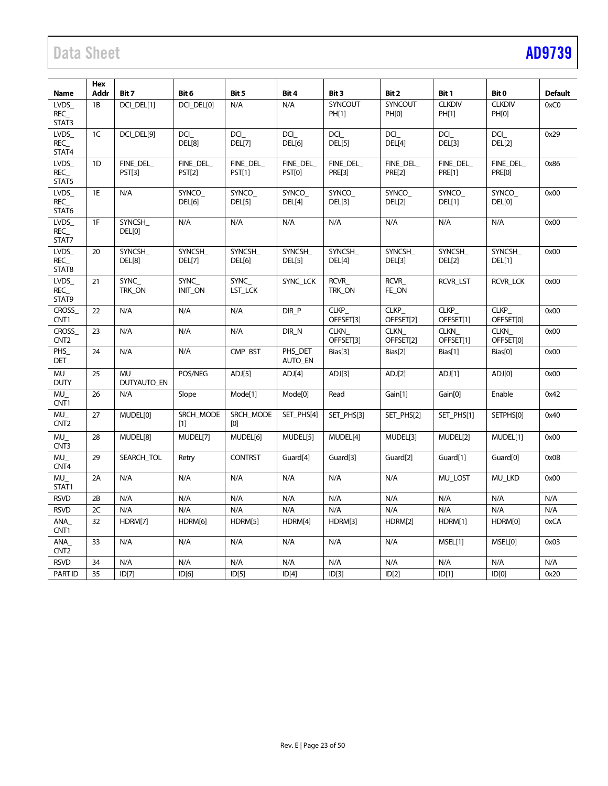# Data Sheet [AD9739](http://www.analog.com/AD9739?doc=AD9739.pdf)

|                                  | Hex            |                     |                     |                  |                      |                          |                          |                          |                          |                        |
|----------------------------------|----------------|---------------------|---------------------|------------------|----------------------|--------------------------|--------------------------|--------------------------|--------------------------|------------------------|
| Name<br>LVDS_                    | Addr<br>1B     | Bit 7<br>DCI_DEL[1] | Bit 6<br>DCI_DEL[0] | Bit 5<br>N/A     | Bit 4<br>N/A         | Bit 3<br>SYNCOUT         | Bit 2<br>SYNCOUT         | Bit 1<br><b>CLKDIV</b>   | Bit 0<br><b>CLKDIV</b>   | <b>Default</b><br>0xC0 |
| REC_                             |                |                     |                     |                  |                      | PH[1]                    | PH[0]                    | PH[1]                    | PH[0]                    |                        |
| STAT3                            |                |                     |                     |                  |                      |                          |                          |                          |                          |                        |
| LVDS                             | 1 <sup>C</sup> | DCI DEL[9]          | <b>DCI</b>          | DCI              | <b>DCI</b>           | DCI                      | DCI                      | <b>DCI</b>               | DCI                      | 0x29                   |
| REC<br>STAT4                     |                |                     | DEL[8]              | <b>DEL[7]</b>    | DEL[6]               | DEL[5]                   | DEL[4]                   | DEL[3]                   | DEL[2]                   |                        |
| LVDS_                            | 1 <sub>D</sub> | FINE_DEL_           | FINE_DEL_           | FINE_DEL_        | FINE_DEL             | FINE_DEL_                | FINE_DEL_                | FINE_DEL                 | FINE_DEL                 | 0x86                   |
| REC_<br>STAT5                    |                | <b>PST[3]</b>       | <b>PST[2]</b>       | <b>PST[1]</b>    | <b>PST[0]</b>        | <b>PRE[3]</b>            | <b>PRE[2]</b>            | <b>PRE[1]</b>            | <b>PRE[0]</b>            |                        |
| LVDS                             | 1E             | N/A                 | SYNCO               | SYNCO            | SYNCO                | SYNCO                    | SYNCO                    | SYNCO                    | SYNCO                    | 0x00                   |
| REC<br>STAT6                     |                |                     | DEL[6]              | DEL[5]           | DEL[4]               | DEL[3]                   | <b>DEL[2]</b>            | DEL[1]                   | DEL[0]                   |                        |
| LVDS                             | 1F             | <b>SYNCSH</b>       | N/A                 | N/A              | N/A                  | N/A                      | N/A                      | N/A                      | N/A                      | 0x00                   |
| REC                              |                | DEL[0]              |                     |                  |                      |                          |                          |                          |                          |                        |
| STAT7<br><b>LVDS</b>             | 20             | SYNCSH_             | SYNCSH              | <b>SYNCSH</b>    |                      | SYNCSH                   | <b>SYNCSH</b>            | SYNCSH_                  | SYNCSH                   | 0x00                   |
| <b>REC</b>                       |                | DEL[8]              | DEL[7]              | DEL[6]           | SYNCSH_<br>DEL[5]    | DEL[4]                   | DEL[3]                   | DEL[2]                   | DEL[1]                   |                        |
| STAT8                            |                |                     |                     |                  |                      |                          |                          |                          |                          |                        |
| LVDS_                            | 21             | <b>SYNC</b>         | <b>SYNC</b>         | <b>SYNC</b>      | SYNC LCK             | RCVR_                    | RCVR                     | <b>RCVR LST</b>          | RCVR_LCK                 | 0x00                   |
| REC<br>STAT9                     |                | TRK ON              | INIT_ON             | LST LCK          |                      | TRK ON                   | FE_ON                    |                          |                          |                        |
| <b>CROSS</b>                     | 22             | N/A                 | N/A                 | N/A              | DIR P                | <b>CLKP</b>              | <b>CLKP</b>              | CLKP                     | <b>CLKP</b>              | 0x00                   |
| CNT1                             |                |                     |                     |                  |                      | OFFSET[3]                | OFFSET[2]                | OFFSET[1]                | OFFSET[0]                |                        |
| <b>CROSS</b><br>CNT <sub>2</sub> | 23             | N/A                 | N/A                 | N/A              | DIR N                | <b>CLKN</b><br>OFFSET[3] | <b>CLKN</b><br>OFFSET[2] | <b>CLKN</b><br>OFFSET[1] | <b>CLKN</b><br>OFFSET[0] | 0x00                   |
| PHS_<br><b>DET</b>               | 24             | N/A                 | N/A                 | CMP_BST          | PHS DET<br>AUTO_EN   | Bias[3]                  | Bias[2]                  | Bias[1]                  | Bias[0]                  | 0x00                   |
| MU                               | 25             | MU                  | POS/NEG             | ADJ[5]           | ADJ[4]               | ADJ[3]                   | ADJ[2]                   | ADJ[1]                   | ADJ[0]                   | 0x00                   |
| <b>DUTY</b>                      |                | <b>DUTYAUTO EN</b>  |                     |                  |                      |                          |                          |                          |                          |                        |
| MU<br>CNT1                       | 26             | N/A                 | Slope               | Mode[1]          | Mode[0]              | Read                     | Gain[1]                  | Gain[0]                  | Enable                   | 0x42                   |
| MU<br>CNT <sub>2</sub>           | 27             | MUDEL[0]            | SRCH MODE<br>[1]    | SRCH MODE<br>[O] | SET PHS[4]           | SET_PHS[3]               | SET_PHS[2]               | SET PHS[1]               | SETPHS[0]                | 0x40                   |
| $MU_{-}$                         | 28             | MUDEL[8]            | MUDEL[7]            | MUDEL[6]         | MUDEL[5]             | MUDEL[4]                 | MUDEL[3]                 | MUDEL[2]                 | MUDEL[1]                 | 0x00                   |
| CNT <sub>3</sub>                 |                |                     |                     |                  |                      |                          |                          |                          |                          |                        |
| MU<br>CNT4                       | 29             | SEARCH TOL          | Retry               | <b>CONTRST</b>   | Guard <sup>[4]</sup> | Guard[3]                 | Guard <sup>[2]</sup>     | Guard <sup>[1]</sup>     | Guard <sup>[0]</sup>     | 0x0B                   |
| MU<br>STAT1                      | 2A             | N/A                 | N/A                 | N/A              | N/A                  | N/A                      | N/A                      | MU LOST                  | MU LKD                   | 0x00                   |
| <b>RSVD</b>                      | 2B             | N/A                 | N/A                 | N/A              | N/A                  | N/A                      | N/A                      | N/A                      | N/A                      | N/A                    |
| <b>RSVD</b>                      | 2C             | N/A                 | N/A                 | N/A              | N/A                  | N/A                      | N/A                      | N/A                      | N/A                      | N/A                    |
| ANA<br>CNT1                      | 32             | HDRM[7]             | HDRM[6]             | HDRM[5]          | HDRM[4]              | HDRM[3]                  | HDRM[2]                  | HDRM[1]                  | HDRM[0]                  | 0xCA                   |
| ANA<br>CNT <sub>2</sub>          | 33             | N/A                 | N/A                 | N/A              | N/A                  | N/A                      | N/A                      | MSEL[1]                  | MSEL[0]                  | 0x03                   |
| <b>RSVD</b>                      | 34             | N/A                 | N/A                 | N/A              | N/A                  | N/A                      | N/A                      | N/A                      | N/A                      | N/A                    |
| <b>PARTID</b>                    | 35             | ID[7]               | ID[6]               | ID[5]            | ID[4]                | ID[3]                    | ID[2]                    | ID[1]                    | ID[0]                    | 0x20                   |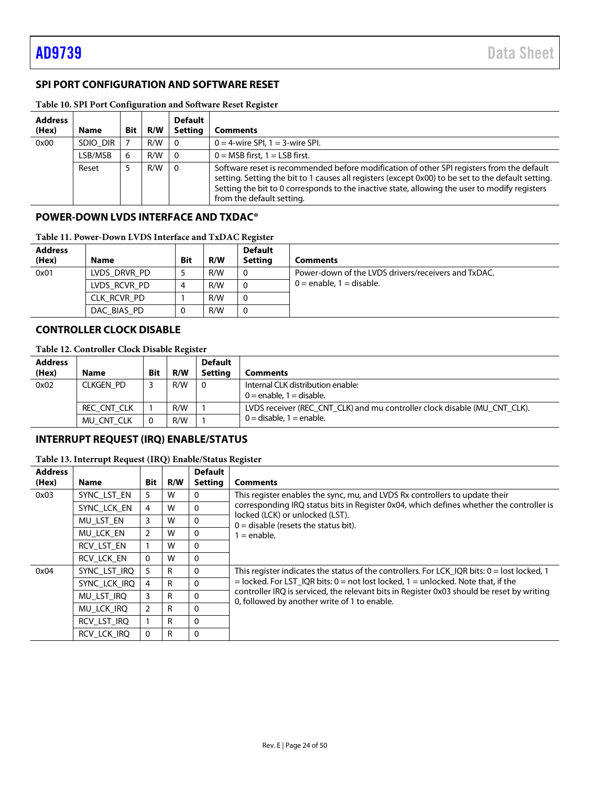# <span id="page-23-0"></span>**SPI PORT CONFIGURATION AND SOFTWARE RESET**

| <b>Address</b><br>(Hex) | <b>Name</b> | <b>Bit</b> | R/W | <b>Default</b><br><b>Setting</b> | Comments                                                                                                                                                                                                                                                                                                                      |
|-------------------------|-------------|------------|-----|----------------------------------|-------------------------------------------------------------------------------------------------------------------------------------------------------------------------------------------------------------------------------------------------------------------------------------------------------------------------------|
| 0x00                    | SDIO DIR    |            | R/W | - 0                              | $0 = 4$ -wire SPI, $1 = 3$ -wire SPI.                                                                                                                                                                                                                                                                                         |
|                         | LSB/MSB     | 6          | R/W | - 0                              | $0 = MSB$ first. $1 = LSB$ first.                                                                                                                                                                                                                                                                                             |
|                         | Reset       |            | R/W | $\Omega$                         | Software reset is recommended before modification of other SPI registers from the default<br>setting. Setting the bit to 1 causes all registers (except 0x00) to be set to the default setting.<br>Setting the bit to 0 corresponds to the inactive state, allowing the user to modify registers<br>from the default setting. |

# <span id="page-23-4"></span>**Table 10. SPI Port Configuration and Software Reset Register**

## <span id="page-23-1"></span>**POWER-DOWN LVDS INTERFACE AND TXDAC®**

| Table 11. Power-Down LVDS Interface and TxDAC Register |  |  |
|--------------------------------------------------------|--|--|
|--------------------------------------------------------|--|--|

| <b>Address</b><br>(Hex) | <b>Name</b>  | <b>Bit</b> | R/W | <b>Default</b><br><b>Setting</b> | <b>Comments</b>                                     |
|-------------------------|--------------|------------|-----|----------------------------------|-----------------------------------------------------|
| 0x01                    | LVDS DRVR PD |            | R/W | 0                                | Power-down of the LVDS drivers/receivers and TxDAC. |
|                         | LVDS RCVR PD | 4          | R/W | 0                                | $0 =$ enable, $1 =$ disable.                        |
|                         | CLK RCVR PD  |            | R/W | 0                                |                                                     |
|                         | DAC BIAS PD  | υ          | R/W | 0                                |                                                     |

# <span id="page-23-2"></span>**CONTROLLER CLOCK DISABLE**

# **Table 12. Controller Clock Disable Register**

| <b>Address</b> |             |            |     | <b>Default</b> |                                                                           |
|----------------|-------------|------------|-----|----------------|---------------------------------------------------------------------------|
| (Hex)          | <b>Name</b> | <b>Bit</b> | R/W | Settina        | Comments                                                                  |
| 0x02           | CLKGEN PD   |            | R/W | - 0            | Internal CLK distribution enable:<br>$0 =$ enable. 1 = disable.           |
|                | REC CNT CLK |            | R/W |                | LVDS receiver (REC_CNT_CLK) and mu controller clock disable (MU_CNT_CLK). |
|                | MU CNT CLK  |            | R/W |                | $0 =$ disable. 1 = enable.                                                |

# <span id="page-23-3"></span>**INTERRUPT REQUEST (IRQ) ENABLE/STATUS**

## **Table 13. Interrupt Request (IRQ) Enable/Status Register**

| <b>Address</b> |              |                |     | <b>Default</b>                |                                                                                                                                           |
|----------------|--------------|----------------|-----|-------------------------------|-------------------------------------------------------------------------------------------------------------------------------------------|
| (Hex)          | <b>Name</b>  | <b>Bit</b>     | R/W | <b>Setting</b>                | <b>Comments</b>                                                                                                                           |
| 0x03           | SYNC LST EN  | 5              | W   | 0                             | This register enables the sync, mu, and LVDS Rx controllers to update their                                                               |
|                | SYNC LCK EN  | 4              | W   | $\mathbf{0}$                  | corresponding IRQ status bits in Register 0x04, which defines whether the controller is<br>locked (LCK) or unlocked (LST).                |
|                | MU LST EN    | 3              | W   | $\mathbf{0}$                  | $0 =$ disable (resets the status bit).                                                                                                    |
|                | MU LCK EN    | 2              | W   | $\mathbf{0}$<br>$1 =$ enable. |                                                                                                                                           |
|                | RCV LST EN   |                | W   | $\mathbf{0}$                  |                                                                                                                                           |
|                | RCV LCK EN   | $\Omega$       | W   | $\Omega$                      |                                                                                                                                           |
| 0x04           | SYNC LST IRQ | 5              | R   | 0                             | This register indicates the status of the controllers. For LCK IQR bits: $0 =$ lost locked, 1                                             |
|                | SYNC LCK IRQ | 4              | R   | $\mathbf{0}$                  | $=$ locked. For LST IQR bits: 0 = not lost locked, 1 = unlocked. Note that, if the                                                        |
|                | MU LST IRQ   | 3              | R   | $\mathbf{0}$                  | controller IRQ is serviced, the relevant bits in Register 0x03 should be reset by writing<br>0, followed by another write of 1 to enable. |
|                | MU LCK IRQ   | $\overline{2}$ | R   | $\mathbf{0}$                  |                                                                                                                                           |
|                | RCV LST IRQ  |                | R   | 0                             |                                                                                                                                           |
|                | RCV LCK IRQ  | $\mathbf{0}$   | R   | $\Omega$                      |                                                                                                                                           |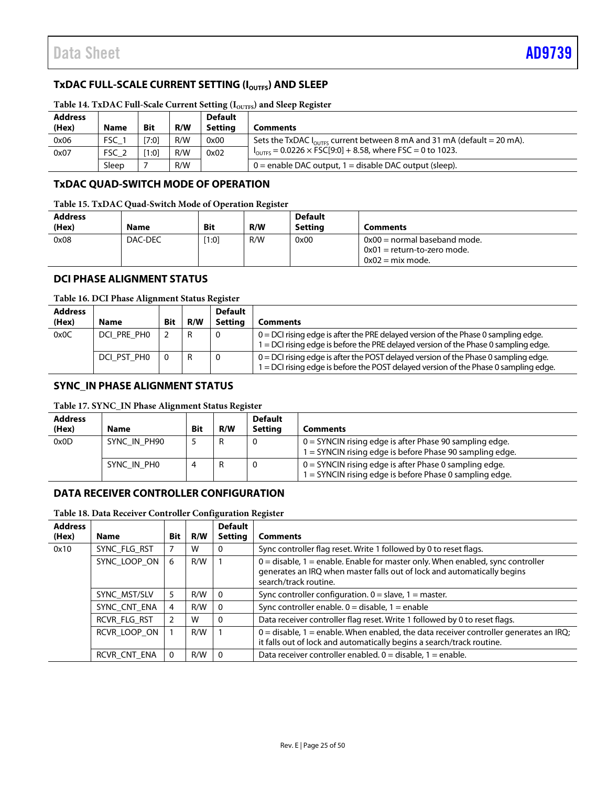# <span id="page-24-0"></span>**TxDAC FULL-SCALE CURRENT SETTING (IOUTFS) AND SLEEP**

| <b>Address</b><br>(Hex) | <b>Name</b> | <b>Bit</b> | R/W | <b>Default</b><br>Settina | Comments                                                                             |
|-------------------------|-------------|------------|-----|---------------------------|--------------------------------------------------------------------------------------|
| 0x06                    | <b>FSC</b>  | [7:0]      | R/W | 0x00                      | Sets the TxDAC $I_{\text{outres}}$ current between 8 mA and 31 mA (default = 20 mA). |
| 0x07                    | FSC_2       | [1:0]      | R/W | 0x02                      | $I_{\text{OUTFS}}$ = 0.0226 $\times$ FSC[9:0] + 8.58, where FSC = 0 to 1023.         |
|                         | Sleep       |            | R/W |                           | $0$ = enable DAC output, 1 = disable DAC output (sleep).                             |

# Table 14. TxDAC Full-Scale Current Setting (I<sub>OUTFS</sub>) and Sleep Register

# <span id="page-24-1"></span>**TxDAC QUAD-SWITCH MODE OF OPERATION**

#### **Table 15. TxDAC Quad-Switch Mode of Operation Register**

| <b>Address</b><br>(Hex) | <b>Name</b> | <b>Bit</b> | R/W | <b>Default</b><br><b>Setting</b> | Comments                                                                              |
|-------------------------|-------------|------------|-----|----------------------------------|---------------------------------------------------------------------------------------|
| 0x08                    | DAC-DEC     | [1:0]      | R/W | 0x00                             | $0x00$ = normal baseband mode.<br>$0x01$ = return-to-zero mode.<br>$0x02 = mix mode.$ |

# <span id="page-24-2"></span>**DCI PHASE ALIGNMENT STATUS**

#### **Table 16. DCI Phase Alignment Status Register**

| <b>Address</b> |             |            |     | <b>Default</b> |                                                                                                                                                                              |
|----------------|-------------|------------|-----|----------------|------------------------------------------------------------------------------------------------------------------------------------------------------------------------------|
| (Hex)          | <b>Name</b> | <b>Bit</b> | R/W | <b>Setting</b> | Comments                                                                                                                                                                     |
| 0x0C           | DCI PRE PHO |            |     |                | $0 = DCI$ rising edge is after the PRE delayed version of the Phase 0 sampling edge.<br>1 = DCI rising edge is before the PRE delayed version of the Phase 0 sampling edge.  |
|                | DCI PST PHO |            |     |                | $0 = DC$ rising edge is after the POST delayed version of the Phase 0 sampling edge.<br>1 = DCI rising edge is before the POST delayed version of the Phase 0 sampling edge. |

## <span id="page-24-3"></span>**SYNC\_IN PHASE ALIGNMENT STATUS**

#### **Table 17. SYNC\_IN Phase Alignment Status Register**

| <b>Address</b><br>(Hex) | Name         | <b>Bit</b> | R/W | <b>Default</b><br>Settina | Comments                                                                                                              |
|-------------------------|--------------|------------|-----|---------------------------|-----------------------------------------------------------------------------------------------------------------------|
| 0x0D                    | SYNC IN PH90 |            |     |                           | $0 = SYNCIN$ rising edge is after Phase 90 sampling edge.<br>1 = SYNCIN rising edge is before Phase 90 sampling edge. |
|                         | SYNC IN PHO  | 4          |     |                           | $0 = SYNCIN$ rising edge is after Phase 0 sampling edge.<br>1 = SYNCIN rising edge is before Phase 0 sampling edge.   |

# <span id="page-24-4"></span>**DATA RECEIVER CONTROLLER CONFIGURATION**

## **Table 18. Data Receiver Controller Configuration Register**

| <b>Address</b> |              |     |     | <b>Default</b> |                                                                                                                                                                                      |
|----------------|--------------|-----|-----|----------------|--------------------------------------------------------------------------------------------------------------------------------------------------------------------------------------|
| (Hex)          | Name         | Bit | R/W | <b>Setting</b> | <b>Comments</b>                                                                                                                                                                      |
| 0x10           | SYNC FLG RST |     | W   |                | Sync controller flag reset. Write 1 followed by 0 to reset flags.                                                                                                                    |
|                | SYNC_LOOP_ON | 6   | R/W |                | $0 =$ disable, 1 = enable. Enable for master only. When enabled, sync controller<br>generates an IRQ when master falls out of lock and automatically begins<br>search/track routine. |
|                | SYNC_MST/SLV | 5   | R/W | $\Omega$       | Sync controller configuration. $0 =$ slave, $1 =$ master.                                                                                                                            |
|                | SYNC CNT ENA | 4   | R/W |                | Sync controller enable, $0 =$ disable, $1 =$ enable                                                                                                                                  |
|                | RCVR FLG RST |     | w   | 0              | Data receiver controller flag reset. Write 1 followed by 0 to reset flags.                                                                                                           |
|                | RCVR LOOP ON |     | R/W |                | $0 =$ disable, 1 = enable. When enabled, the data receiver controller generates an IRQ;<br>it falls out of lock and automatically begins a search/track routine.                     |
|                | RCVR CNT ENA | 0   | R/W | $\Omega$       | Data receiver controller enabled. $0 =$ disable, $1 =$ enable.                                                                                                                       |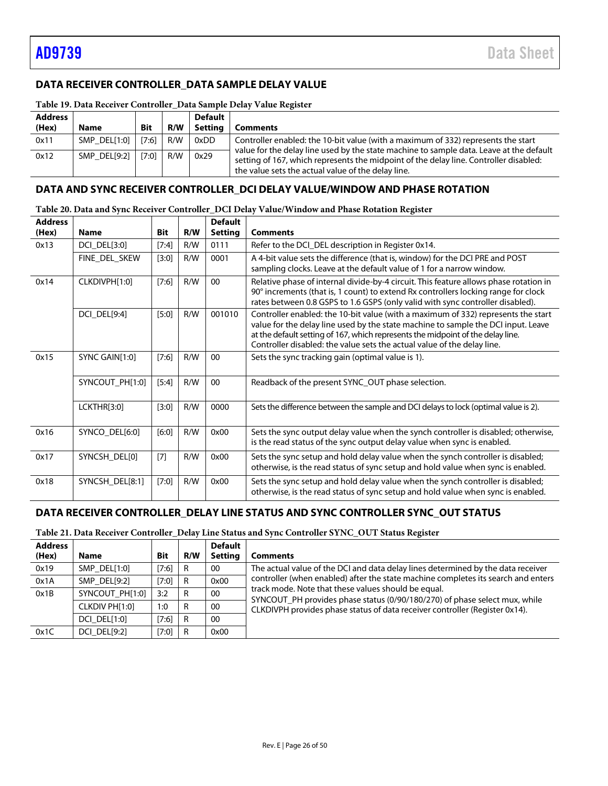# <span id="page-25-0"></span>**DATA RECEIVER CONTROLLER\_DATA SAMPLE DELAY VALUE**

| <b>Address</b> |              |            |     | <b>Default</b> |                                                                                                                                                                                                                                        |  |  |
|----------------|--------------|------------|-----|----------------|----------------------------------------------------------------------------------------------------------------------------------------------------------------------------------------------------------------------------------------|--|--|
| (Hex)          | <b>Name</b>  | <b>Bit</b> | R/W | Settina        | <b>Comments</b>                                                                                                                                                                                                                        |  |  |
| 0x11           | SMP DEL[1:0] | [7:6]      | R/W | 0xDD           | Controller enabled: the 10-bit value (with a maximum of 332) represents the start                                                                                                                                                      |  |  |
| 0x12           | SMP DEL[9:2] | [7:0]      | R/W | 0x29           | value for the delay line used by the state machine to sample data. Leave at the default<br>setting of 167, which represents the midpoint of the delay line. Controller disabled:<br>the value sets the actual value of the delay line. |  |  |

# **Table 19. Data Receiver Controller\_Data Sample Delay Value Register**

#### <span id="page-25-1"></span>**DATA AND SYNC RECEIVER CONTROLLER\_DCI DELAY VALUE/WINDOW AND PHASE ROTATION**

| <b>Address</b><br>(Hex) | <b>Name</b>     | <b>Bit</b> | R/W | <b>Default</b><br><b>Setting</b> | <b>Comments</b>                                                                                                                                                                                                                                                                                                                      |
|-------------------------|-----------------|------------|-----|----------------------------------|--------------------------------------------------------------------------------------------------------------------------------------------------------------------------------------------------------------------------------------------------------------------------------------------------------------------------------------|
| 0x13                    | DCI_DEL[3:0]    | [7:4]      | R/W | 0111                             | Refer to the DCI_DEL description in Register 0x14.                                                                                                                                                                                                                                                                                   |
|                         | FINE_DEL_SKEW   | [3:0]      | R/W | 0001                             | A 4-bit value sets the difference (that is, window) for the DCI PRE and POST<br>sampling clocks. Leave at the default value of 1 for a narrow window.                                                                                                                                                                                |
| 0x14                    | CLKDIVPH[1:0]   | $[7:6]$    | R/W | 00                               | Relative phase of internal divide-by-4 circuit. This feature allows phase rotation in<br>90° increments (that is, 1 count) to extend Rx controllers locking range for clock<br>rates between 0.8 GSPS to 1.6 GSPS (only valid with sync controller disabled).                                                                        |
|                         | DCI_DEL[9:4]    | $[5:0]$    | R/W | 001010                           | Controller enabled: the 10-bit value (with a maximum of 332) represents the start<br>value for the delay line used by the state machine to sample the DCI input. Leave<br>at the default setting of 167, which represents the midpoint of the delay line.<br>Controller disabled: the value sets the actual value of the delay line. |
| 0x15                    | SYNC GAIN[1:0]  | $[7:6]$    | R/W | 00                               | Sets the sync tracking gain (optimal value is 1).                                                                                                                                                                                                                                                                                    |
|                         | SYNCOUT_PH[1:0] | $[5:4]$    | R/W | $00\,$                           | Readback of the present SYNC_OUT phase selection.                                                                                                                                                                                                                                                                                    |
|                         | LCKTHR[3:0]     | [3:0]      | R/W | 0000                             | Sets the difference between the sample and DCI delays to lock (optimal value is 2).                                                                                                                                                                                                                                                  |
| 0x16                    | SYNCO_DEL[6:0]  | [6:0]      | R/W | 0x00                             | Sets the sync output delay value when the synch controller is disabled; otherwise,<br>is the read status of the sync output delay value when sync is enabled.                                                                                                                                                                        |
| 0x17                    | SYNCSH_DEL[0]   | $[7]$      | R/W | 0x00                             | Sets the sync setup and hold delay value when the synch controller is disabled;<br>otherwise, is the read status of sync setup and hold value when sync is enabled.                                                                                                                                                                  |
| 0x18                    | SYNCSH_DEL[8:1] | $[7:0]$    | R/W | 0x00                             | Sets the sync setup and hold delay value when the synch controller is disabled;<br>otherwise, is the read status of sync setup and hold value when sync is enabled.                                                                                                                                                                  |

#### **Table 20. Data and Sync Receiver Controller\_DCI Delay Value/Window and Phase Rotation Register**

## <span id="page-25-2"></span>**DATA RECEIVER CONTROLLER\_DELAY LINE STATUS AND SYNC CONTROLLER SYNC\_OUT STATUS**

#### **Table 21. Data Receiver Controller\_Delay Line Status and Sync Controller SYNC\_OUT Status Register**

| <b>Address</b> |                     |            |     | <b>Default</b> |                                                                                                                                   |  |  |
|----------------|---------------------|------------|-----|----------------|-----------------------------------------------------------------------------------------------------------------------------------|--|--|
| (Hex)          | Name                | <b>Bit</b> | R/W | Setting        | <b>Comments</b>                                                                                                                   |  |  |
| 0x19           | SMP DEL[1:0]        | [7:6]      | R   | 00             | The actual value of the DCI and data delay lines determined by the data receiver                                                  |  |  |
| 0x1A           | SMP DEL[9:2]        | [7:0]      | R   | 0x00           | controller (when enabled) after the state machine completes its search and enters                                                 |  |  |
| 0x1B           | SYNCOUT PH[1:0]     | 3:2        | R   | 00             | track mode. Note that these values should be equal.<br>SYNCOUT_PH provides phase status (0/90/180/270) of phase select mux, while |  |  |
|                | CLKDIV PH[1:0]      | 1:0        | R   | 00             | CLKDIVPH provides phase status of data receiver controller (Register 0x14).                                                       |  |  |
|                | DCI DEL[1:0]        | [7:6]      | R   | 00             |                                                                                                                                   |  |  |
| 0x1C           | <b>DCI DEL[9:2]</b> | [7:0]      | R   | 0x00           |                                                                                                                                   |  |  |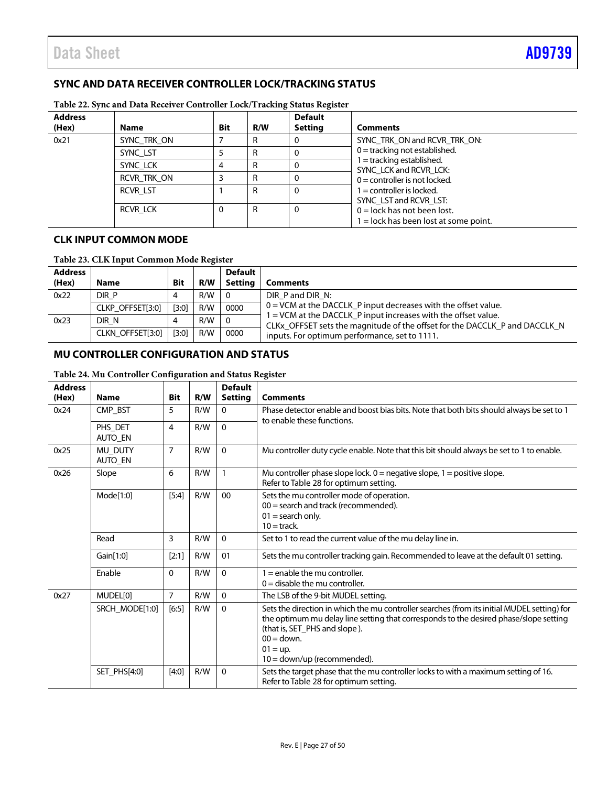# <span id="page-26-0"></span>**SYNC AND DATA RECEIVER CONTROLLER LOCK/TRACKING STATUS**

| <b>Address</b><br>(Hex) | <b>Name</b> | <b>Bit</b> | R/W | <b>Default</b><br><b>Setting</b> | <b>Comments</b>                                   |
|-------------------------|-------------|------------|-----|----------------------------------|---------------------------------------------------|
| 0x21                    | SYNC TRK ON |            |     |                                  | SYNC TRK ON and RCVR TRK ON:                      |
|                         | SYNC LST    |            |     |                                  | $0 =$ tracking not established.                   |
|                         | SYNC LCK    |            | R   |                                  | = tracking established.<br>SYNC LCK and RCVR LCK: |
|                         | RCVR TRK ON |            | R   |                                  | $0 =$ controller is not locked.                   |
|                         | RCVR LST    |            | R   | 0                                | I = controller is locked.                         |
|                         |             |            |     |                                  | SYNC LST and RCVR LST:                            |
|                         | RCVR LCK    |            | R   | 0                                | $0 =$ lock has not been lost.                     |
|                         |             |            |     |                                  | $1 =$ lock has been lost at some point.           |

**Table 22. Sync and Data Receiver Controller Lock/Tracking Status Register**

# <span id="page-26-1"></span>**CLK INPUT COMMON MODE**

| Table 23. CLK Input Common Mode Register |  |
|------------------------------------------|--|
|------------------------------------------|--|

| <b>Address</b> |                  |            |     | <b>Default</b> |                                                                                                                                              |
|----------------|------------------|------------|-----|----------------|----------------------------------------------------------------------------------------------------------------------------------------------|
| (Hex)          | <b>Name</b>      | <b>Bit</b> | R/W | Settina        | Comments                                                                                                                                     |
| 0x22           | DIR P            |            | R/W | - 0            | DIR P and DIR N:                                                                                                                             |
|                | CLKP OFFSET[3:0] | [3:0]      | R/W | 0000           | $0 = VCM$ at the DACCLK P input decreases with the offset value.                                                                             |
| 0x23           | DIR N            | 4          | R/W | - 0            | 1 = VCM at the DACCLK_P input increases with the offset value.<br>CLKx_OFFSET sets the magnitude of the offset for the DACCLK_P and DACCLK_N |
|                | CLKN OFFSET[3:0] | [3:0]      | R/W | 0000           | inputs. For optimum performance, set to 1111.                                                                                                |

# <span id="page-26-2"></span>**MU CONTROLLER CONFIGURATION AND STATUS**

| <b>Address</b> |                    |                         |     | <b>Default</b> |                                                                                                                                                                                                                                                                                       |  |
|----------------|--------------------|-------------------------|-----|----------------|---------------------------------------------------------------------------------------------------------------------------------------------------------------------------------------------------------------------------------------------------------------------------------------|--|
| (Hex)          | <b>Name</b>        | <b>Bit</b>              | R/W | <b>Setting</b> | <b>Comments</b>                                                                                                                                                                                                                                                                       |  |
| 0x24           | CMP BST            | 5                       | R/W | 0              | Phase detector enable and boost bias bits. Note that both bits should always be set to 1<br>to enable these functions.                                                                                                                                                                |  |
|                | PHS_DET<br>AUTO_EN | $\overline{\mathbf{4}}$ | R/W | $\Omega$       |                                                                                                                                                                                                                                                                                       |  |
| 0x25           | MU_DUTY<br>AUTO_EN | $\overline{7}$          | R/W | $\mathbf{0}$   | Mu controller duty cycle enable. Note that this bit should always be set to 1 to enable.                                                                                                                                                                                              |  |
| 0x26           | Slope              | 6                       | R/W | 1              | Mu controller phase slope lock. $0 =$ negative slope, $1 =$ positive slope.<br>Refer to Table 28 for optimum setting.                                                                                                                                                                 |  |
|                | Mode[1:0]          | [5:4]                   | R/W | $00\,$         | Sets the mu controller mode of operation.<br>$00 =$ search and track (recommended).<br>$01 =$ search only.<br>$10 =$ track.                                                                                                                                                           |  |
|                | Read               | 3                       | R/W | $\Omega$       | Set to 1 to read the current value of the mu delay line in.                                                                                                                                                                                                                           |  |
|                | Gain[1:0]          | [2:1]                   | R/W | 01             | Sets the mu controller tracking gain. Recommended to leave at the default 01 setting.                                                                                                                                                                                                 |  |
|                | Enable             | $\mathbf{0}$            | R/W | $\Omega$       | $1 =$ enable the mu controller.<br>$0 =$ disable the mu controller.                                                                                                                                                                                                                   |  |
| 0x27           | MUDEL[0]           | $\overline{7}$          | R/W | $\Omega$       | The LSB of the 9-bit MUDEL setting.                                                                                                                                                                                                                                                   |  |
|                | SRCH_MODE[1:0]     | [6:5]                   | R/W | 0              | Sets the direction in which the mu controller searches (from its initial MUDEL setting) for<br>the optimum mu delay line setting that corresponds to the desired phase/slope setting<br>(that is, SET PHS and slope).<br>$00 =$ down.<br>$01 = up$ .<br>$10 =$ down/up (recommended). |  |
|                | SET_PHS[4:0]       | [4:0]                   | R/W | $\mathbf{0}$   | Sets the target phase that the mu controller locks to with a maximum setting of 16.<br>Refer to Table 28 for optimum setting.                                                                                                                                                         |  |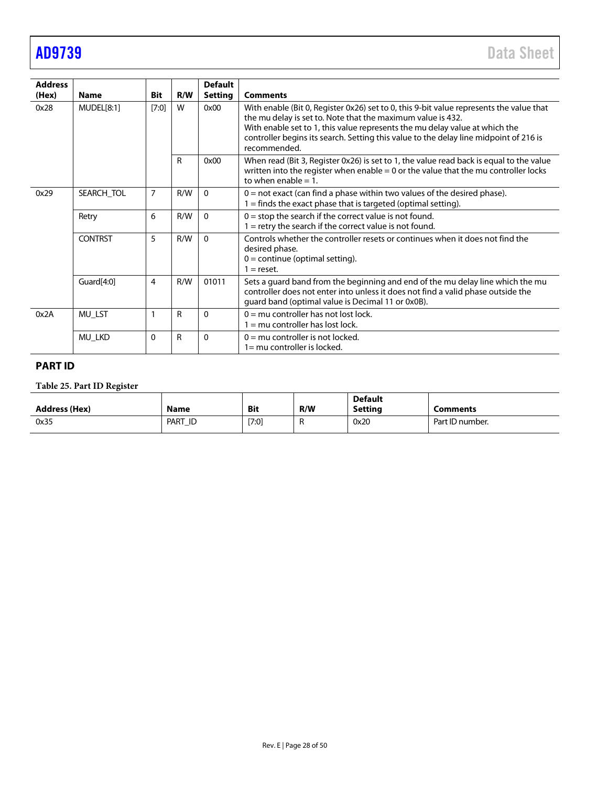| <b>Address</b><br>(Hex) | <b>Name</b>    | <b>Bit</b>     | R/W | <b>Default</b><br><b>Setting</b> | <b>Comments</b>                                                                                                                                                                                                                                                                                                                                |
|-------------------------|----------------|----------------|-----|----------------------------------|------------------------------------------------------------------------------------------------------------------------------------------------------------------------------------------------------------------------------------------------------------------------------------------------------------------------------------------------|
| 0x28                    | MUDEL[8:1]     | [7:0]          | W   | 0x00                             | With enable (Bit 0, Register 0x26) set to 0, this 9-bit value represents the value that<br>the mu delay is set to. Note that the maximum value is 432.<br>With enable set to 1, this value represents the mu delay value at which the<br>controller begins its search. Setting this value to the delay line midpoint of 216 is<br>recommended. |
|                         |                |                | R   | 0x00                             | When read (Bit 3, Register 0x26) is set to 1, the value read back is equal to the value<br>written into the register when enable $= 0$ or the value that the mu controller locks<br>to when enable $= 1$ .                                                                                                                                     |
| 0x29                    | SEARCH_TOL     | $\overline{7}$ | R/W | $\mathbf{0}$                     | $0 =$ not exact (can find a phase within two values of the desired phase).<br>$1 =$ finds the exact phase that is targeted (optimal setting).                                                                                                                                                                                                  |
|                         | Retry          | 6              | R/W | $\mathbf{0}$                     | $0 =$ stop the search if the correct value is not found.<br>$=$ retry the search if the correct value is not found.                                                                                                                                                                                                                            |
|                         | <b>CONTRST</b> | 5              | R/W | $\Omega$                         | Controls whether the controller resets or continues when it does not find the<br>desired phase.<br>$0 =$ continue (optimal setting).<br>$=$ reset.                                                                                                                                                                                             |
|                         | Guard[4:0]     | 4              | R/W | 01011                            | Sets a guard band from the beginning and end of the mu delay line which the mu<br>controller does not enter into unless it does not find a valid phase outside the<br>guard band (optimal value is Decimal 11 or 0x0B).                                                                                                                        |
| 0x2A                    | MU_LST         | 1              | R   | $\mathbf{0}$                     | $0 = mu$ controller has not lost lock.<br>$1 = mu$ controller has lost lock.                                                                                                                                                                                                                                                                   |
|                         | <b>MU_LKD</b>  | $\mathbf{0}$   | R   | $\mathbf{0}$                     | $0 = mu$ controller is not locked.<br>$1 = mu$ controller is locked.                                                                                                                                                                                                                                                                           |

# <span id="page-27-0"></span>**PART ID**

# **Table 25. Part ID Register**

| <b>Address (Hex)</b> | Name    | <b>Bit</b> | R/W | <b>Default</b><br>Settina | Comments        |
|----------------------|---------|------------|-----|---------------------------|-----------------|
| 0x35                 | PART ID | $[7:0]$    | . . | 0x20                      | Part ID number. |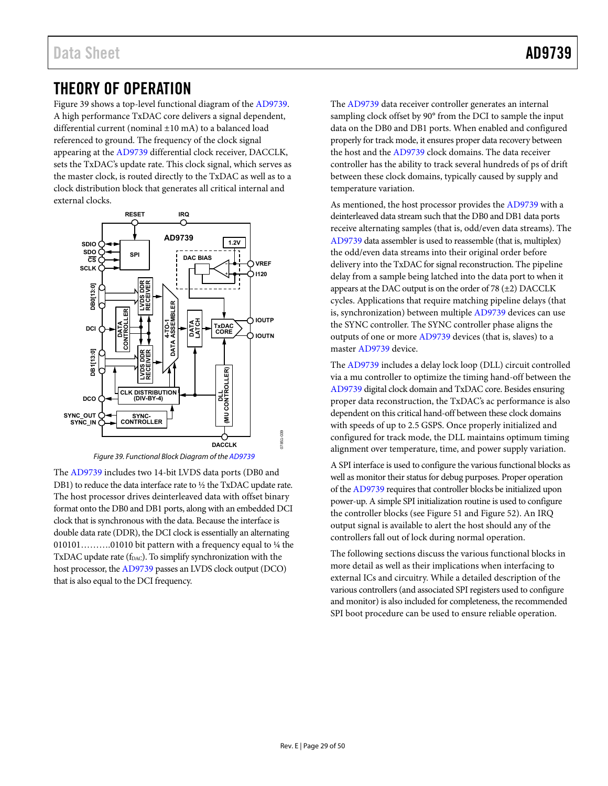# <span id="page-28-0"></span>THEORY OF OPERATION

[Figure 39 s](#page-28-1)hows a top-level functional diagram of th[e AD9739.](http://www.analog.com/AD9739?doc=AD9739.pdf)  A high performance TxDAC core delivers a signal dependent, differential current (nominal ±10 mA) to a balanced load referenced to ground. The frequency of the clock signal appearing at the [AD9739](http://www.analog.com/AD9739?doc=AD9739.pdf) differential clock receiver, DACCLK, sets the TxDAC's update rate. This clock signal, which serves as the master clock, is routed directly to the TxDAC as well as to a clock distribution block that generates all critical internal and external clocks.





<span id="page-28-1"></span>The [AD9739](http://www.analog.com/AD9739?doc=AD9739.pdf) includes two 14-bit LVDS data ports (DB0 and DB1) to reduce the data interface rate to ½ the TxDAC update rate. The host processor drives deinterleaved data with offset binary format onto the DB0 and DB1 ports, along with an embedded DCI clock that is synchronous with the data. Because the interface is double data rate (DDR), the DCI clock is essentially an alternating 010101............01010 bit pattern with a frequency equal to  $\frac{1}{4}$  the TxDAC update rate (fDAC). To simplify synchronization with the host processor, the [AD9739 p](http://www.analog.com/AD9739?doc=AD9739.pdf)asses an LVDS clock output (DCO) that is also equal to the DCI frequency.

The [AD9739](http://www.analog.com/AD9739?doc=AD9739.pdf) data receiver controller generates an internal sampling clock offset by 90° from the DCI to sample the input data on the DB0 and DB1 ports. When enabled and configured properly for track mode, it ensures proper data recovery between the host and the [AD9739](http://www.analog.com/AD9739?doc=AD9739.pdf) clock domains. The data receiver controller has the ability to track several hundreds of ps of drift between these clock domains, typically caused by supply and temperature variation.

As mentioned, the host processor provides th[e AD9739 w](http://www.analog.com/AD9739?doc=AD9739.pdf)ith a deinterleaved data stream such that the DB0 and DB1 data ports receive alternating samples (that is, odd/even data streams). The [AD9739 d](http://www.analog.com/AD9739?doc=AD9739.pdf)ata assembler is used to reassemble (that is, multiplex) the odd/even data streams into their original order before delivery into the TxDAC for signal reconstruction. The pipeline delay from a sample being latched into the data port to when it appears at the DAC output is on the order of  $78 (\pm 2)$  DACCLK cycles. Applications that require matching pipeline delays (that is, synchronization) between multipl[e AD9739 d](http://www.analog.com/AD9739?doc=AD9739.pdf)evices can use the SYNC controller. The SYNC controller phase aligns the outputs of one or more [AD9739 d](http://www.analog.com/AD9739?doc=AD9739.pdf)evices (that is, slaves) to a master [AD9739 d](http://www.analog.com/AD9739?doc=AD9739.pdf)evice.

The [AD9739 i](http://www.analog.com/AD9739?doc=AD9739.pdf)ncludes a delay lock loop (DLL) circuit controlled via a mu controller to optimize the timing hand-off between the [AD9739 d](http://www.analog.com/AD9739?doc=AD9739.pdf)igital clock domain and TxDAC core. Besides ensuring proper data reconstruction, the TxDAC's ac performance is also dependent on this critical hand-off between these clock domains with speeds of up to 2.5 GSPS. Once properly initialized and configured for track mode, the DLL maintains optimum timing alignment over temperature, time, and power supply variation.

A SPI interface is used to configure the various functional blocks as well as monitor their status for debug purposes. Proper operation of th[e AD9739 r](http://www.analog.com/AD9739?doc=AD9739.pdf)equires that controller blocks be initialized upon power-up. A simple SPI initialization routine is used to configure the controller blocks (see [Figure 51 a](#page-35-1)n[d Figure 52\)](#page-36-1). An IRQ output signal is available to alert the host should any of the controllers fall out of lock during normal operation.

The following sections discuss the various functional blocks in more detail as well as their implications when interfacing to external ICs and circuitry. While a detailed description of the various controllers (and associated SPI registers used to configure and monitor) is also included for completeness, the recommended SPI boot procedure can be used to ensure reliable operation.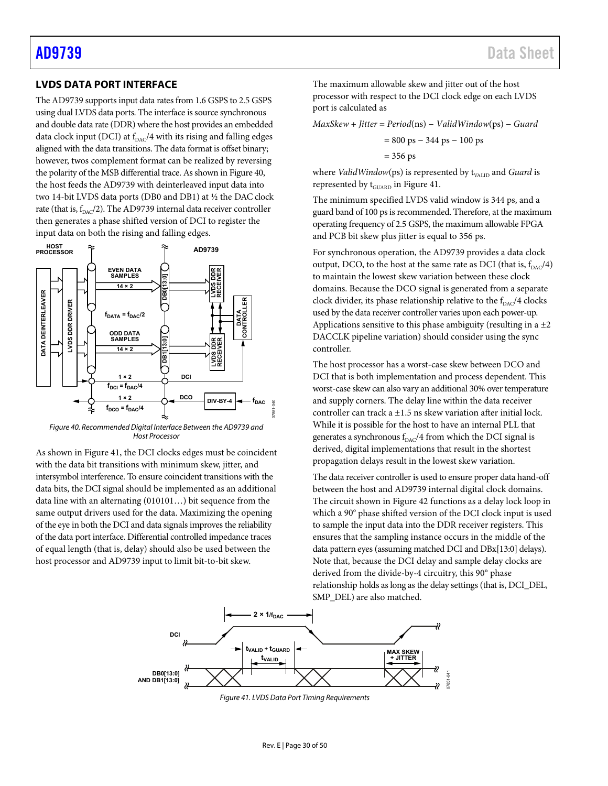## <span id="page-29-0"></span>**LVDS DATA PORT INTERFACE**

Th[e AD9739](http://www.analog.com/AD9739?doc=AD9739.pdf) supports input data rates from 1.6 GSPS to 2.5 GSPS using dual LVDS data ports. The interface is source synchronous and double data rate (DDR) where the host provides an embedded data clock input (DCI) at  $f<sub>DAC</sub>/4$  with its rising and falling edges aligned with the data transitions. The data format is offset binary; however, twos complement format can be realized by reversing the polarity of the MSB differential trace. As shown i[n Figure 40,](#page-29-2)  the host feeds the [AD9739](http://www.analog.com/AD9739?doc=AD9739.pdf) with deinterleaved input data into two 14-bit LVDS data ports (DB0 and DB1) at ½ the DAC clock rate (that is,  $f_{\text{DAC}}/2$ ). Th[e AD9739](http://www.analog.com/AD9739?doc=AD9739.pdf) internal data receiver controller then generates a phase shifted version of DCI to register the input data on both the rising and falling edges.



<span id="page-29-2"></span>*Figure 40. Recommended Digital Interface Between th[e AD9739](http://www.analog.com/AD9739?doc=AD9739.pdf) and Host Processor*

As shown in [Figure 41,](#page-29-1) the DCI clocks edges must be coincident with the data bit transitions with minimum skew, jitter, and intersymbol interference. To ensure coincident transitions with the data bits, the DCI signal should be implemented as an additional data line with an alternating (010101…) bit sequence from the same output drivers used for the data. Maximizing the opening of the eye in both the DCI and data signals improves the reliability of the data port interface. Differential controlled impedance traces of equal length (that is, delay) should also be used between the host processor an[d AD9739](http://www.analog.com/AD9739?doc=AD9739.pdf) input to limit bit-to-bit skew.

The maximum allowable skew and jitter out of the host processor with respect to the DCI clock edge on each LVDS port is calculated as

*MaxSkew* + *Jitter* = *Period*(ns) − *ValidWindow*(ps) − *Guard*

$$
= 800 \text{ ps} - 344 \text{ ps} - 100 \text{ ps}
$$

$$
= 356 \text{ ps}
$$

where *ValidWindow*(ps) is represented by t<sub>VALID</sub> and *Guard* is represented by  $t_{\text{GUARD}}$  i[n Figure 41.](#page-29-1)

The minimum specified LVDS valid window is 344 ps, and a guard band of 100 ps is recommended. Therefore, at the maximum operating frequency of 2.5 GSPS, the maximum allowable FPGA and PCB bit skew plus jitter is equal to 356 ps.

For synchronous operation, th[e AD9739](http://www.analog.com/AD9739?doc=AD9739.pdf) provides a data clock output, DCO, to the host at the same rate as DCI (that is,  $f_{\text{DAC}}/4$ ) to maintain the lowest skew variation between these clock domains. Because the DCO signal is generated from a separate clock divider, its phase relationship relative to the  $f_{\text{DAC}}/4$  clocks used by the data receiver controller varies upon each power-up. Applications sensitive to this phase ambiguity (resulting in a  $\pm 2$ ) DACCLK pipeline variation) should consider using the sync controller.

The host processor has a worst-case skew between DCO and DCI that is both implementation and process dependent. This worst-case skew can also vary an additional 30% over temperature and supply corners. The delay line within the data receiver controller can track a  $\pm 1.5$  ns skew variation after initial lock. While it is possible for the host to have an internal PLL that generates a synchronous  $f_{\text{DAC}}/4$  from which the DCI signal is derived, digital implementations that result in the shortest propagation delays result in the lowest skew variation.

The data receiver controller is used to ensure proper data hand-off between the host and [AD9739](http://www.analog.com/AD9739?doc=AD9739.pdf) internal digital clock domains. The circuit shown i[n Figure 42](#page-30-0) functions as a delay lock loop in which a 90° phase shifted version of the DCI clock input is used to sample the input data into the DDR receiver registers. This ensures that the sampling instance occurs in the middle of the data pattern eyes (assuming matched DCI and DBx[13:0] delays). Note that, because the DCI delay and sample delay clocks are derived from the divide-by-4 circuitry, this 90° phase relationship holds as long as the delay settings (that is, DCI\_DEL, SMP\_DEL) are also matched.

<span id="page-29-1"></span>

*Figure 41. LVDS Data Port Timing Requirements*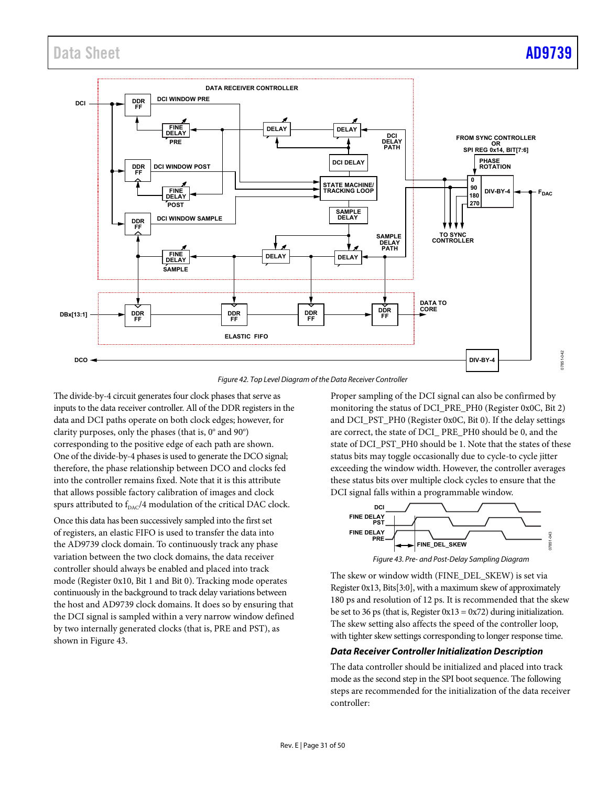# Data Sheet AD9739



*Figure 42. Top Level Diagram of the Data Receiver Controller*

<span id="page-30-0"></span>The divide-by-4 circuit generates four clock phases that serve as inputs to the data receiver controller. All of the DDR registers in the data and DCI paths operate on both clock edges; however, for clarity purposes, only the phases (that is,  $0^{\circ}$  and  $90^{\circ}$ ) corresponding to the positive edge of each path are shown. One of the divide-by-4 phases is used to generate the DCO signal; therefore, the phase relationship between DCO and clocks fed into the controller remains fixed. Note that it is this attribute that allows possible factory calibration of images and clock spurs attributed to  $f_{\text{DAC}}/4$  modulation of the critical DAC clock.

Once this data has been successively sampled into the first set of registers, an elastic FIFO is used to transfer the data into the [AD9739](http://www.analog.com/AD9739?doc=AD9739.pdf) clock domain. To continuously track any phase variation between the two clock domains, the data receiver controller should always be enabled and placed into track mode (Register 0x10, Bit 1 and Bit 0). Tracking mode operates continuously in the background to track delay variations between the host and [AD9739](http://www.analog.com/AD9739?doc=AD9739.pdf) clock domains. It does so by ensuring that the DCI signal is sampled within a very narrow window defined by two internally generated clocks (that is, PRE and PST), as shown in [Figure 43.](#page-30-1) 

Proper sampling of the DCI signal can also be confirmed by monitoring the status of DCI\_PRE\_PH0 (Register 0x0C, Bit 2) and DCI\_PST\_PH0 (Register 0x0C, Bit 0). If the delay settings are correct, the state of DCI\_ PRE\_PH0 should be 0, and the state of DCI\_PST\_PH0 should be 1. Note that the states of these status bits may toggle occasionally due to cycle-to cycle jitter exceeding the window width. However, the controller averages these status bits over multiple clock cycles to ensure that the DCI signal falls within a programmable window.



<span id="page-30-1"></span>The skew or window width (FINE\_DEL\_SKEW) is set via Register 0x13, Bits[3:0], with a maximum skew of approximately 180 ps and resolution of 12 ps. It is recommended that the skew be set to 36 ps (that is, Register  $0x13 = 0x72$ ) during initialization. The skew setting also affects the speed of the controller loop, with tighter skew settings corresponding to longer response time.

#### *Data Receiver Controller Initialization Description*

The data controller should be initialized and placed into track mode as the second step in the SPI boot sequence. The following steps are recommended for the initialization of the data receiver controller: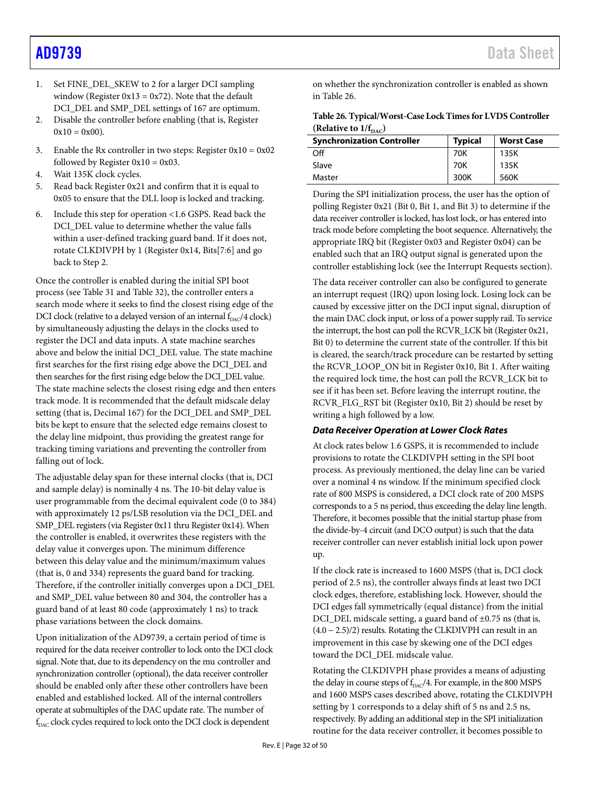- 1. Set FINE\_DEL\_SKEW to 2 for a larger DCI sampling window (Register  $0x13 = 0x72$ ). Note that the default DCI\_DEL and SMP\_DEL settings of 167 are optimum.
- 2. Disable the controller before enabling (that is, Register  $0x10 = 0x00$ .
- 3. Enable the Rx controller in two steps: Register  $0x10 = 0x02$ followed by Register  $0x10 = 0x03$ .
- 4. Wait 135K clock cycles.
- 5. Read back Register 0x21 and confirm that it is equal to 0x05 to ensure that the DLL loop is locked and tracking.
- 6. Include this step for operation <1.6 GSPS. Read back the DCI\_DEL value to determine whether the value falls within a user-defined tracking guard band. If it does not, rotate CLKDIVPH by 1 (Register 0x14, Bits[7:6] and go back to Step 2.

Once the controller is enabled during the initial SPI boot process (se[e Table 31](#page-47-0) an[d Table 32\)](#page-48-0), the controller enters a search mode where it seeks to find the closest rising edge of the DCI clock (relative to a delayed version of an internal  $f_{\text{DAC}}/4$  clock) by simultaneously adjusting the delays in the clocks used to register the DCI and data inputs. A state machine searches above and below the initial DCI\_DEL value. The state machine first searches for the first rising edge above the DCI\_DEL and then searches for the first rising edge below the DCI\_DEL value. The state machine selects the closest rising edge and then enters track mode. It is recommended that the default midscale delay setting (that is, Decimal 167) for the DCI\_DEL and SMP\_DEL bits be kept to ensure that the selected edge remains closest to the delay line midpoint, thus providing the greatest range for tracking timing variations and preventing the controller from falling out of lock.

The adjustable delay span for these internal clocks (that is, DCI and sample delay) is nominally 4 ns. The 10-bit delay value is user programmable from the decimal equivalent code (0 to 384) with approximately 12 ps/LSB resolution via the DCI\_DEL and SMP\_DEL registers (via Register 0x11 thru Register 0x14). When the controller is enabled, it overwrites these registers with the delay value it converges upon. The minimum difference between this delay value and the minimum/maximum values (that is, 0 and 334) represents the guard band for tracking. Therefore, if the controller initially converges upon a DCI\_DEL and SMP\_DEL value between 80 and 304, the controller has a guard band of at least 80 code (approximately 1 ns) to track phase variations between the clock domains.

Upon initialization of the [AD9739,](http://www.analog.com/AD9739?doc=AD9739.pdf) a certain period of time is required for the data receiver controller to lock onto the DCI clock signal. Note that, due to its dependency on the mu controller and synchronization controller (optional), the data receiver controller should be enabled only after these other controllers have been enabled and established locked. All of the internal controllers operate at submultiples of the DAC update rate. The number of  $f_{\text{DAC}}$  clock cycles required to lock onto the DCI clock is dependent

on whether the synchronization controller is enabled as shown in [Table 26.](#page-31-0) 

<span id="page-31-0"></span>

| Table 26. Typical/Worst-Case Lock Times for LVDS Controller |  |
|-------------------------------------------------------------|--|
| (Relative to $1/f_{\text{pac}}$ )                           |  |

| <b>Synchronization Controller</b> | <b>Typical</b> | <b>Worst Case</b> |
|-----------------------------------|----------------|-------------------|
| ၣff                               | 70K            | 135K              |
| Slave                             | 70K            | 135K              |
| Master                            | 300K           | 560K              |

During the SPI initialization process, the user has the option of polling Register 0x21 (Bit 0, Bit 1, and Bit 3) to determine if the data receiver controller is locked, has lost lock, or has entered into track mode before completing the boot sequence. Alternatively, the appropriate IRQ bit (Register 0x03 and Register 0x04) can be enabled such that an IRQ output signal is generated upon the controller establishing lock (see the [Interrupt Requests](#page-35-0) section).

The data receiver controller can also be configured to generate an interrupt request (IRQ) upon losing lock. Losing lock can be caused by excessive jitter on the DCI input signal, disruption of the main DAC clock input, or loss of a power supply rail. To service the interrupt, the host can poll the RCVR\_LCK bit (Register 0x21, Bit 0) to determine the current state of the controller. If this bit is cleared, the search/track procedure can be restarted by setting the RCVR\_LOOP\_ON bit in Register 0x10, Bit 1. After waiting the required lock time, the host can poll the RCVR\_LCK bit to see if it has been set. Before leaving the interrupt routine, the RCVR\_FLG\_RST bit (Register 0x10, Bit 2) should be reset by writing a high followed by a low.

## *Data Receiver Operation at Lower Clock Rates*

At clock rates below 1.6 GSPS, it is recommended to include provisions to rotate the CLKDIVPH setting in the SPI boot process. As previously mentioned, the delay line can be varied over a nominal 4 ns window. If the minimum specified clock rate of 800 MSPS is considered, a DCI clock rate of 200 MSPS corresponds to a 5 ns period, thus exceeding the delay line length. Therefore, it becomes possible that the initial startup phase from the divide-by-4 circuit (and DCO output) is such that the data receiver controller can never establish initial lock upon power up.

If the clock rate is increased to 1600 MSPS (that is, DCI clock period of 2.5 ns), the controller always finds at least two DCI clock edges, therefore, establishing lock. However, should the DCI edges fall symmetrically (equal distance) from the initial DCI\_DEL midscale setting, a guard band of ±0.75 ns (that is,  $(4.0 - 2.5)/2$ ) results. Rotating the CLKDIVPH can result in an improvement in this case by skewing one of the DCI edges toward the DCI\_DEL midscale value.

Rotating the CLKDIVPH phase provides a means of adjusting the delay in course steps of  $f_{\rm DAC}/4$ . For example, in the 800 MSPS and 1600 MSPS cases described above, rotating the CLKDIVPH setting by 1 corresponds to a delay shift of 5 ns and 2.5 ns, respectively. By adding an additional step in the SPI initialization routine for the data receiver controller, it becomes possible to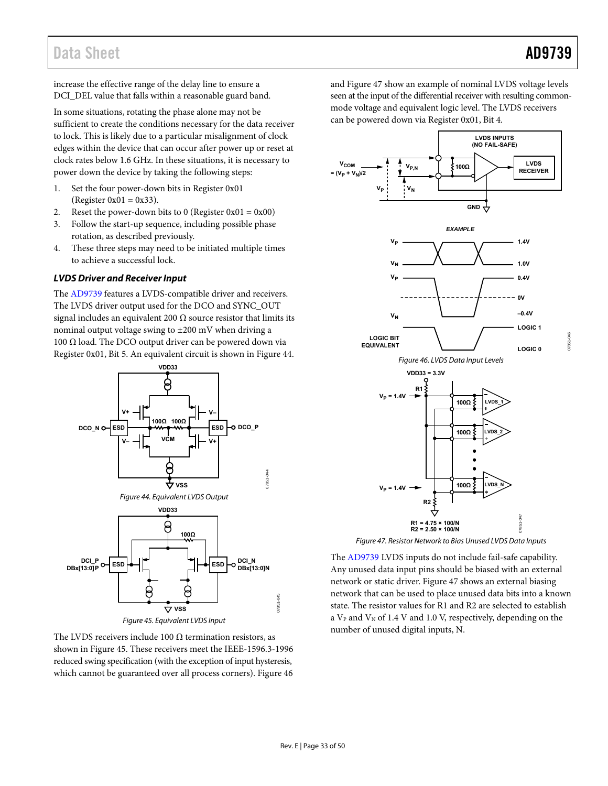# Data Sheet **[AD9739](http://www.analog.com/AD9739?doc=AD9739.pdf)**

increase the effective range of the delay line to ensure a DCI\_DEL value that falls within a reasonable guard band.

In some situations, rotating the phase alone may not be sufficient to create the conditions necessary for the data receiver to lock. This is likely due to a particular misalignment of clock edges within the device that can occur after power up or reset at clock rates below 1.6 GHz. In these situations, it is necessary to power down the device by taking the following steps:

- 1. Set the four power-down bits in Register 0x01 (Register  $0x01 = 0x33$ ).
- 2. Reset the power-down bits to 0 (Register  $0x01 = 0x00$ )
- 3. Follow the start-up sequence, including possible phase rotation, as described previously.
- 4. These three steps may need to be initiated multiple times to achieve a successful lock.

## **LVDS Driver and Receiver Input**

The [AD9739 f](http://www.analog.com/AD9739?doc=AD9739.pdf)eatures a LVDS-compatible driver and receivers. The LVDS driver output used for the DCO and SYNC\_OUT signal includes an equivalent 200  $\Omega$  source resistor that limits its nominal output voltage swing to ±200 mV when driving a 100 Ω load. The DCO output driver can be powered down via Register 0x01, Bit 5. An equivalent circuit is shown i[n Figure 44.](#page-32-0)

<span id="page-32-0"></span>

<span id="page-32-1"></span>The LVDS receivers include 100  $\Omega$  termination resistors, as shown in [Figure 45.](#page-32-1) These receivers meet the IEEE-1596.3-1996 reduced swing specification (with the exception of input hysteresis, which cannot be guaranteed over all process corners)[. Figure 46](#page-32-2) 

an[d Figure 47](#page-32-3) show an example of nominal LVDS voltage levels seen at the input of the differential receiver with resulting commonmode voltage and equivalent logic level. The LVDS receivers can be powered down via Register 0x01, Bit 4.



<span id="page-32-2"></span>Figure 47. Resistor Network to Bias Unused LVDS Data Inputs

<span id="page-32-3"></span>Th[e AD9739](http://www.analog.com/AD9739?doc=AD9739.pdf) LVDS inputs do not include fail-safe capability. Any unused data input pins should be biased with an external network or static driver. [Figure 47 s](#page-32-3)hows an external biasing network that can be used to place unused data bits into a known state. The resistor values for R1 and R2 are selected to establish a  $V_{P}$  and  $V_{N}$  of 1.4 V and 1.0 V, respectively, depending on the number of unused digital inputs, N.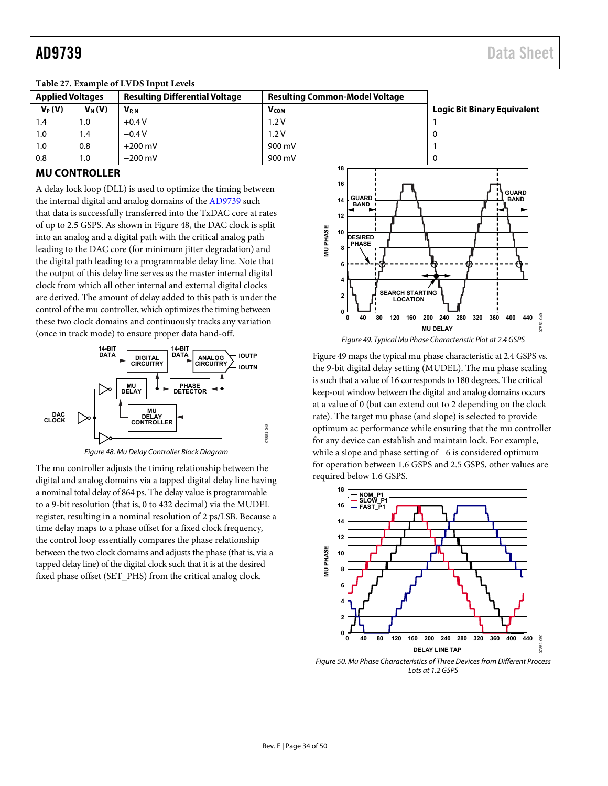|                         | Table $27.$ Example of L $\overline{V}$ DS model Levels |                                       |                                       |                                    |  |  |  |  |
|-------------------------|---------------------------------------------------------|---------------------------------------|---------------------------------------|------------------------------------|--|--|--|--|
| <b>Applied Voltages</b> |                                                         | <b>Resulting Differential Voltage</b> | <b>Resulting Common-Model Voltage</b> |                                    |  |  |  |  |
| $V_P(V)$                | $V_N(V)$                                                | $V_{P.N}$                             | <b>V</b> <sub>COM</sub>               | <b>Logic Bit Binary Equivalent</b> |  |  |  |  |
| 1.4                     | 1.0                                                     | $+0.4V$                               | 1.2V                                  |                                    |  |  |  |  |
| 1.0                     | 1.4                                                     | $-0.4V$                               | 1.2V                                  |                                    |  |  |  |  |
| 1.0                     | 0.8                                                     | $+200$ mV                             | 900 mV                                |                                    |  |  |  |  |
| 0.8                     | 1.0                                                     | $-200$ mV                             | 900 mV                                |                                    |  |  |  |  |

**Table 27. Example of LVDS Input Levels** 

## <span id="page-33-0"></span>**MU CONTROLLER**

A delay lock loop (DLL) is used to optimize the timing between the internal digital and analog domains of the [AD9739 s](http://www.analog.com/AD9739?doc=AD9739.pdf)uch that data is successfully transferred into the TxDAC core at rates of up to 2.5 GSPS. As shown i[n Figure 48,](#page-33-1) the DAC clock is split into an analog and a digital path with the critical analog path leading to the DAC core (for minimum jitter degradation) and the digital path leading to a programmable delay line. Note that the output of this delay line serves as the master internal digital clock from which all other internal and external digital clocks are derived. The amount of delay added to this path is under the control of the mu controller, which optimizes the timing between these two clock domains and continuously tracks any variation (once in track mode) to ensure proper data hand-off.



Figure 48. Mu Delay Controller Block Diagram

<span id="page-33-1"></span>The mu controller adjusts the timing relationship between the digital and analog domains via a tapped digital delay line having a nominal total delay of 864 ps. The delay value is programmable to a 9-bit resolution (that is, 0 to 432 decimal) via the MUDEL register, resulting in a nominal resolution of 2 ps/LSB. Because a time delay maps to a phase offset for a fixed clock frequency, the control loop essentially compares the phase relationship between the two clock domains and adjusts the phase (that is, via a tapped delay line) of the digital clock such that it is at the desired fixed phase offset (SET\_PHS) from the critical analog clock.



<span id="page-33-2"></span>[Figure 49 m](#page-33-2)aps the typical mu phase characteristic at 2.4 GSPS vs. the 9-bit digital delay setting (MUDEL). The mu phase scaling is such that a value of 16 corresponds to 180 degrees. The critical keep-out window between the digital and analog domains occurs at a value of 0 (but can extend out to 2 depending on the clock rate). The target mu phase (and slope) is selected to provide optimum ac performance while ensuring that the mu controller for any device can establish and maintain lock. For example, while a slope and phase setting of −6 is considered optimum for operation between 1.6 GSPS and 2.5 GSPS, other values are required below 1.6 GSPS.



<span id="page-33-3"></span>Figure 50. Mu Phase Characteristics of Three Devices from Different Process Lots at 1.2 GSPS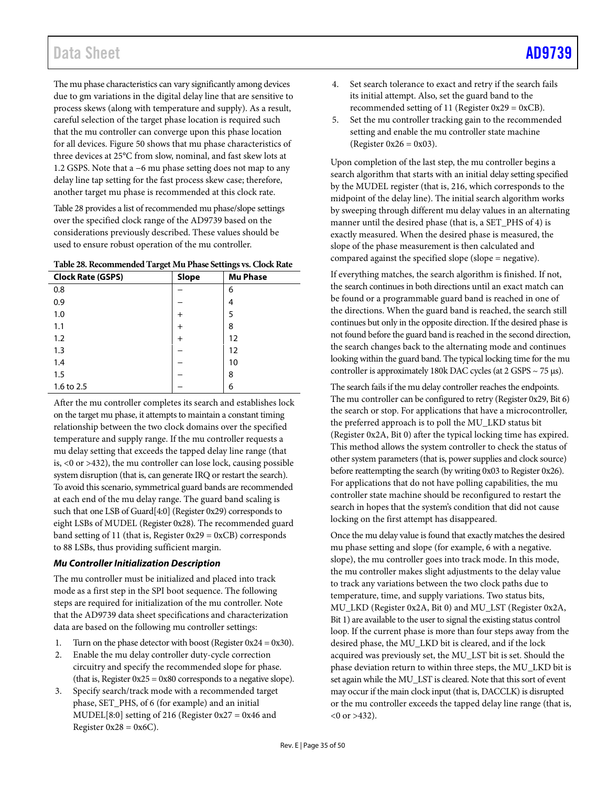# Data Sheet [AD9739](http://www.analog.com/AD9739?doc=AD9739.pdf)

The mu phase characteristics can vary significantly among devices due to gm variations in the digital delay line that are sensitive to process skews (along with temperature and supply). As a result, careful selection of the target phase location is required such that the mu controller can converge upon this phase location for all devices[. Figure 50](#page-33-3) shows that mu phase characteristics of three devices at 25°C from slow, nominal, and fast skew lots at 1.2 GSPS. Note that a −6 mu phase setting does not map to any delay line tap setting for the fast process skew case; therefore, another target mu phase is recommended at this clock rate.

[Table 28](#page-34-0) provides a list of recommended mu phase/slope settings over the specified clock range of the [AD9739](http://www.analog.com/AD9739?doc=AD9739.pdf) based on the considerations previously described. These values should be used to ensure robust operation of the mu controller.

<span id="page-34-0"></span>**Table 28. Recommended Target Mu Phase Settings vs. Clock Rate**

| <b>Clock Rate (GSPS)</b> | Slope  | <b>Mu Phase</b> |
|--------------------------|--------|-----------------|
| 0.8                      |        | 6               |
| 0.9                      |        | 4               |
| 1.0                      | $^{+}$ | 5               |
| 1.1                      | $^{+}$ | 8               |
| 1.2                      | $^{+}$ | 12              |
| 1.3                      |        | 12              |
| 1.4                      |        | 10              |
| 1.5                      |        | 8               |
| 1.6 to 2.5               |        | 6               |

After the mu controller completes its search and establishes lock on the target mu phase, it attempts to maintain a constant timing relationship between the two clock domains over the specified temperature and supply range. If the mu controller requests a mu delay setting that exceeds the tapped delay line range (that is, <0 or >432), the mu controller can lose lock, causing possible system disruption (that is, can generate IRQ or restart the search). To avoid this scenario, symmetrical guard bands are recommended at each end of the mu delay range. The guard band scaling is such that one LSB of Guard[4:0] (Register 0x29) corresponds to eight LSBs of MUDEL (Register 0x28). The recommended guard band setting of 11 (that is, Register  $0x29 = 0xCB$ ) corresponds to 88 LSBs, thus providing sufficient margin.

# *Mu Controller Initialization Description*

The mu controller must be initialized and placed into track mode as a first step in the SPI boot sequence. The following steps are required for initialization of the mu controller. Note that the [AD9739](http://www.analog.com/AD9739?doc=AD9739.pdf) data sheet specifications and characterization data are based on the following mu controller settings:

- 1. Turn on the phase detector with boost (Register  $0x24 = 0x30$ ).
- 2. Enable the mu delay controller duty-cycle correction circuitry and specify the recommended slope for phase. (that is, Register  $0x25 = 0x80$  corresponds to a negative slope).
- 3. Specify search/track mode with a recommended target phase, SET\_PHS, of 6 (for example) and an initial MUDEL[8:0] setting of 216 (Register 0x27 = 0x46 and Register  $0x28 = 0x6C$ .
- 4. Set search tolerance to exact and retry if the search fails its initial attempt. Also, set the guard band to the recommended setting of 11 (Register  $0x29 = 0xCB$ ).
- 5. Set the mu controller tracking gain to the recommended setting and enable the mu controller state machine (Register  $0x26 = 0x03$ ).

Upon completion of the last step, the mu controller begins a search algorithm that starts with an initial delay setting specified by the MUDEL register (that is, 216, which corresponds to the midpoint of the delay line). The initial search algorithm works by sweeping through different mu delay values in an alternating manner until the desired phase (that is, a SET\_PHS of 4) is exactly measured. When the desired phase is measured, the slope of the phase measurement is then calculated and compared against the specified slope (slope = negative).

If everything matches, the search algorithm is finished. If not, the search continues in both directions until an exact match can be found or a programmable guard band is reached in one of the directions. When the guard band is reached, the search still continues but only in the opposite direction. If the desired phase is not found before the guard band is reached in the second direction, the search changes back to the alternating mode and continues looking within the guard band. The typical locking time for the mu controller is approximately 180k DAC cycles (at 2 GSPS ~ 75 µs).

The search fails if the mu delay controller reaches the endpoints. The mu controller can be configured to retry (Register 0x29, Bit 6) the search or stop. For applications that have a microcontroller, the preferred approach is to poll the MU\_LKD status bit (Register 0x2A, Bit 0) after the typical locking time has expired. This method allows the system controller to check the status of other system parameters (that is, power supplies and clock source) before reattempting the search (by writing 0x03 to Register 0x26). For applications that do not have polling capabilities, the mu controller state machine should be reconfigured to restart the search in hopes that the system's condition that did not cause locking on the first attempt has disappeared.

Once the mu delay value is found that exactly matches the desired mu phase setting and slope (for example, 6 with a negative. slope), the mu controller goes into track mode. In this mode, the mu controller makes slight adjustments to the delay value to track any variations between the two clock paths due to temperature, time, and supply variations. Two status bits, MU\_LKD (Register 0x2A, Bit 0) and MU\_LST (Register 0x2A, Bit 1) are available to the user to signal the existing status control loop. If the current phase is more than four steps away from the desired phase, the MU\_LKD bit is cleared, and if the lock acquired was previously set, the MU\_LST bit is set. Should the phase deviation return to within three steps, the MU\_LKD bit is set again while the MU\_LST is cleared. Note that this sort of event may occur if the main clock input (that is, DACCLK) is disrupted or the mu controller exceeds the tapped delay line range (that is,  $(0 \text{ or } > 432)$ .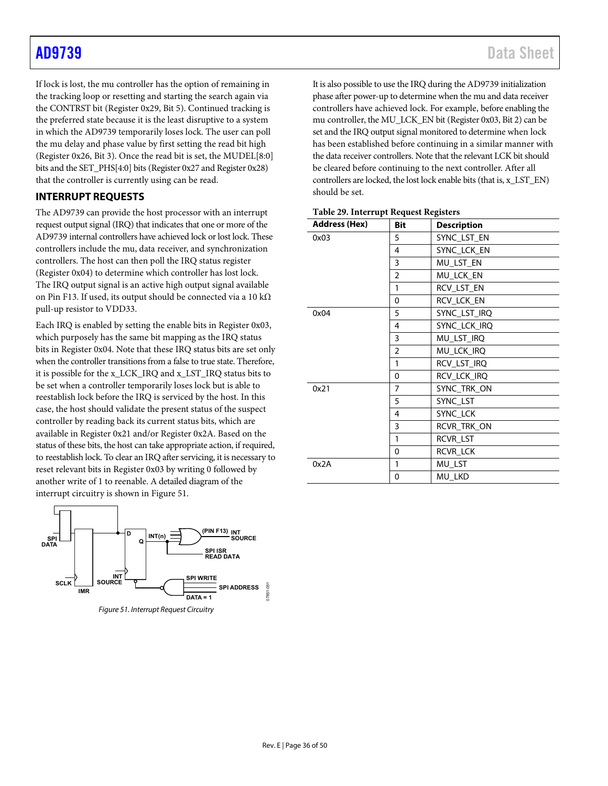If lock is lost, the mu controller has the option of remaining in the tracking loop or resetting and starting the search again via the CONTRST bit (Register 0x29, Bit 5). Continued tracking is the preferred state because it is the least disruptive to a system in which th[e AD9739](http://www.analog.com/AD9739?doc=AD9739.pdf) temporarily loses lock. The user can poll the mu delay and phase value by first setting the read bit high (Register 0x26, Bit 3). Once the read bit is set, the MUDEL[8:0] bits and the SET\_PHS[4:0] bits (Register 0x27 and Register 0x28) that the controller is currently using can be read.

# <span id="page-35-0"></span>**INTERRUPT REQUESTS**

The [AD9739](http://www.analog.com/AD9739?doc=AD9739.pdf) can provide the host processor with an interrupt request output signal (IRQ) that indicates that one or more of the [AD9739](http://www.analog.com/AD9739?doc=AD9739.pdf) internal controllers have achieved lock or lost lock. These controllers include the mu, data receiver, and synchronization controllers. The host can then poll the IRQ status register (Register 0x04) to determine which controller has lost lock. The IRQ output signal is an active high output signal available on Pin F13. If used, its output should be connected via a 10 kΩ pull-up resistor to VDD33.

Each IRQ is enabled by setting the enable bits in Register 0x03, which purposely has the same bit mapping as the IRQ status bits in Register 0x04. Note that these IRQ status bits are set only when the controller transitions from a false to true state. Therefore, it is possible for the x\_LCK\_IRQ and x\_LST\_IRQ status bits to be set when a controller temporarily loses lock but is able to reestablish lock before the IRQ is serviced by the host. In this case, the host should validate the present status of the suspect controller by reading back its current status bits, which are available in Register 0x21 and/or Register 0x2A. Based on the status of these bits, the host can take appropriate action, if required, to reestablish lock. To clear an IRQ after servicing, it is necessary to reset relevant bits in Register 0x03 by writing 0 followed by another write of 1 to reenable. A detailed diagram of the interrupt circuitry is shown i[n Figure 51.](#page-35-1)



<span id="page-35-1"></span>*Figure 51. Interrupt Request Circuitry*

It is also possible to use the IRQ during the [AD9739](http://www.analog.com/AD9739?doc=AD9739.pdf) initialization phase after power-up to determine when the mu and data receiver controllers have achieved lock. For example, before enabling the mu controller, the MU\_LCK\_EN bit (Register 0x03, Bit 2) can be set and the IRQ output signal monitored to determine when lock has been established before continuing in a similar manner with the data receiver controllers. Note that the relevant LCK bit should be cleared before continuing to the next controller. After all controllers are locked, the lost lock enable bits (that is, x\_LST\_EN) should be set.

| <b>Address (Hex)</b> | Bit            | <b>Description</b> |
|----------------------|----------------|--------------------|
| 0x03                 | 5              | SYNC_LST_EN        |
|                      | 4              | SYNC_LCK_EN        |
|                      | 3              | MU_LST_EN          |
|                      | $\overline{2}$ | MU_LCK_EN          |
|                      | 1              | RCV_LST_EN         |
|                      | 0              | RCV_LCK_EN         |
| 0x04                 | 5              | SYNC_LST_IRQ       |
|                      | 4              | SYNC_LCK_IRQ       |
|                      | 3              | MU_LST_IRQ         |
|                      | $\overline{2}$ | MU_LCK_IRQ         |
|                      | 1              | RCV_LST_IRQ        |
|                      | 0              | RCV_LCK_IRQ        |
| 0x21                 | $\overline{7}$ | SYNC_TRK_ON        |
|                      | 5              | SYNC_LST           |
|                      | 4              | SYNC_LCK           |
|                      | 3              | RCVR_TRK_ON        |
|                      | 1              | RCVR LST           |
|                      | 0              | RCVR_LCK           |
| 0x2A                 | 1              | MU_LST             |
|                      | 0              | MU_LKD             |

|  | Table 29. Interrupt Request Registers |  |
|--|---------------------------------------|--|
|--|---------------------------------------|--|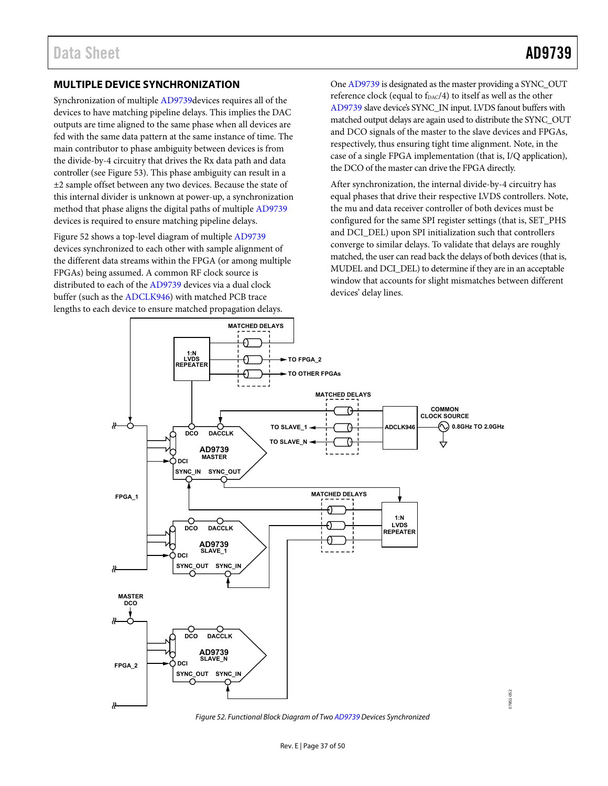# <span id="page-36-0"></span>**MULTIPLE DEVICE SYNCHRONIZATION**

Synchronization of multiple [AD9739d](http://www.analog.com/AD9739?doc=AD9739.pdf)evices requires all of the devices to have matching pipeline delays. This implies the DAC outputs are time aligned to the same phase when all devices are fed with the same data pattern at the same instance of time. The main contributor to phase ambiguity between devices is from the divide-by-4 circuitry that drives the Rx data path and data controller (se[e Figure 53\)](#page-37-0). This phase ambiguity can result in a ±2 sample offset between any two devices. Because the state of this internal divider is unknown at power-up, a synchronization method that phase aligns the digital paths of multiple [AD9739](http://www.analog.com/AD9739?doc=AD9739.pdf) devices is required to ensure matching pipeline delays.

[Figure 52 s](#page-36-1)hows a top-level diagram of multiple [AD9739](http://www.analog.com/AD9739?doc=AD9739.pdf) devices synchronized to each other with sample alignment of the different data streams within the FPGA (or among multiple FPGAs) being assumed. A common RF clock source is distributed to each of the [AD9739 d](http://www.analog.com/AD9739?doc=AD9739.pdf)evices via a dual clock buffer (such as the [ADCLK946\)](http://www.analog.com/ADCLK946?doc=AD9739.pdf) with matched PCB trace lengths to each device to ensure matched propagation delays.

On[e AD9739 i](http://www.analog.com/AD9739?doc=AD9739.pdf)s designated as the master providing a SYNC\_OUT reference clock (equal to f<sub>DAC</sub>/4) to itself as well as the other [AD9739 s](http://www.analog.com/AD9739?doc=AD9739.pdf)lave device's SYNC\_IN input. LVDS fanout buffers with matched output delays are again used to distribute the SYNC\_OUT and DCO signals of the master to the slave devices and FPGAs, respectively, thus ensuring tight time alignment. Note, in the case of a single FPGA implementation (that is, I/Q application), the DCO of the master can drive the FPGA directly.

After synchronization, the internal divide-by-4 circuitry has equal phases that drive their respective LVDS controllers. Note, the mu and data receiver controller of both devices must be configured for the same SPI register settings (that is, SET\_PHS and DCI\_DEL) upon SPI initialization such that controllers converge to similar delays. To validate that delays are roughly matched, the user can read back the delays of both devices (that is, MUDEL and DCI\_DEL) to determine if they are in an acceptable window that accounts for slight mismatches between different devices' delay lines.



<span id="page-36-1"></span>Figure 52. Functional Block Diagram of Tw[o AD9739 D](http://www.analog.com/AD9739?doc=AD9739.pdf)evices Synchronized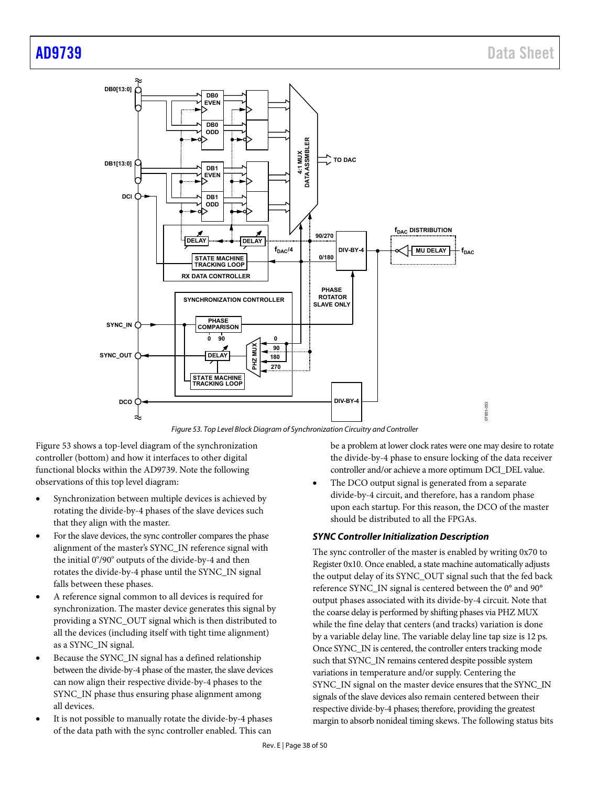

*Figure 53. Top Level Block Diagram of Synchronization Circuitry and Controller* 

<span id="page-37-0"></span>[Figure 53](#page-37-0) shows a top-level diagram of the synchronization controller (bottom) and how it interfaces to other digital functional blocks within the [AD9739.](http://www.analog.com/AD9739?doc=AD9739.pdf) Note the following observations of this top level diagram:

- Synchronization between multiple devices is achieved by rotating the divide-by-4 phases of the slave devices such that they align with the master.
- For the slave devices, the sync controller compares the phase alignment of the master's SYNC\_IN reference signal with the initial 0°/90° outputs of the divide-by-4 and then rotates the divide-by-4 phase until the SYNC\_IN signal falls between these phases.
- A reference signal common to all devices is required for synchronization. The master device generates this signal by providing a SYNC\_OUT signal which is then distributed to all the devices (including itself with tight time alignment) as a SYNC\_IN signal.
- Because the SYNC\_IN signal has a defined relationship between the divide-by-4 phase of the master, the slave devices can now align their respective divide-by-4 phases to the SYNC\_IN phase thus ensuring phase alignment among all devices.
- It is not possible to manually rotate the divide-by-4 phases of the data path with the sync controller enabled. This can

be a problem at lower clock rates were one may desire to rotate the divide-by-4 phase to ensure locking of the data receiver controller and/or achieve a more optimum DCI\_DEL value.

The DCO output signal is generated from a separate divide-by-4 circuit, and therefore, has a random phase upon each startup. For this reason, the DCO of the master should be distributed to all the FPGAs.

# *SYNC Controller Initialization Description*

The sync controller of the master is enabled by writing 0x70 to Register 0x10. Once enabled, a state machine automatically adjusts the output delay of its SYNC\_OUT signal such that the fed back reference SYNC\_IN signal is centered between the 0° and 90° output phases associated with its divide-by-4 circuit. Note that the coarse delay is performed by shifting phases via PHZ MUX while the fine delay that centers (and tracks) variation is done by a variable delay line. The variable delay line tap size is 12 ps. Once SYNC\_IN is centered, the controller enters tracking mode such that SYNC\_IN remains centered despite possible system variations in temperature and/or supply. Centering the SYNC\_IN signal on the master device ensures that the SYNC\_IN signals of the slave devices also remain centered between their respective divide-by-4 phases; therefore, providing the greatest margin to absorb nonideal timing skews. The following status bits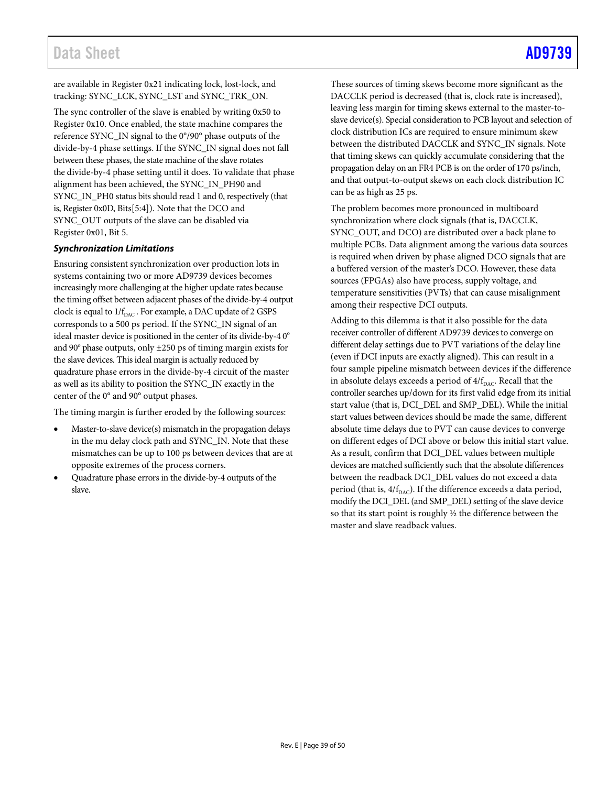# Data Sheet [AD9739](http://www.analog.com/AD9739?doc=AD9739.pdf)

are available in Register 0x21 indicating lock, lost-lock, and tracking: SYNC\_LCK, SYNC\_LST and SYNC\_TRK\_ON.

The sync controller of the slave is enabled by writing 0x50 to Register 0x10. Once enabled, the state machine compares the reference SYNC\_IN signal to the 0°/90° phase outputs of the divide-by-4 phase settings. If the SYNC\_IN signal does not fall between these phases, the state machine of the slave rotates the divide-by-4 phase setting until it does. To validate that phase alignment has been achieved, the SYNC\_IN\_PH90 and SYNC\_IN\_PH0 status bits should read 1 and 0, respectively (that is, Register 0x0D, Bits[5:4]). Note that the DCO and SYNC\_OUT outputs of the slave can be disabled via Register 0x01, Bit 5.

## *Synchronization Limitations*

Ensuring consistent synchronization over production lots in systems containing two or more [AD9739](http://www.analog.com/AD9739?doc=AD9739.pdf) devices becomes increasingly more challenging at the higher update rates because the timing offset between adjacent phases of the divide-by-4 output clock is equal to  $1/f_{\text{DAC}}$ . For example, a DAC update of 2 GSPS corresponds to a 500 ps period. If the SYNC\_IN signal of an ideal master device is positioned in the center of its divide-by-4  $0^{\circ}$ and 90 $^{\circ}$  phase outputs, only  $\pm 250$  ps of timing margin exists for the slave devices. This ideal margin is actually reduced by quadrature phase errors in the divide-by-4 circuit of the master as well as its ability to position the SYNC\_IN exactly in the center of the 0° and 90° output phases.

The timing margin is further eroded by the following sources:

- Master-to-slave device(s) mismatch in the propagation delays in the mu delay clock path and SYNC\_IN. Note that these mismatches can be up to 100 ps between devices that are at opposite extremes of the process corners.
- Quadrature phase errors in the divide-by-4 outputs of the slave.

These sources of timing skews become more significant as the DACCLK period is decreased (that is, clock rate is increased), leaving less margin for timing skews external to the master-toslave device(s). Special consideration to PCB layout and selection of clock distribution ICs are required to ensure minimum skew between the distributed DACCLK and SYNC\_IN signals. Note that timing skews can quickly accumulate considering that the propagation delay on an FR4 PCB is on the order of 170 ps/inch, and that output-to-output skews on each clock distribution IC can be as high as 25 ps.

The problem becomes more pronounced in multiboard synchronization where clock signals (that is, DACCLK, SYNC\_OUT, and DCO) are distributed over a back plane to multiple PCBs. Data alignment among the various data sources is required when driven by phase aligned DCO signals that are a buffered version of the master's DCO. However, these data sources (FPGAs) also have process, supply voltage, and temperature sensitivities (PVTs) that can cause misalignment among their respective DCI outputs.

Adding to this dilemma is that it also possible for the data receiver controller of differen[t AD9739](http://www.analog.com/AD9739?doc=AD9739.pdf) devices to converge on different delay settings due to PVT variations of the delay line (even if DCI inputs are exactly aligned). This can result in a four sample pipeline mismatch between devices if the difference in absolute delays exceeds a period of  $4/f_{\text{DAC}}$ . Recall that the controller searches up/down for its first valid edge from its initial start value (that is, DCI\_DEL and SMP\_DEL). While the initial start values between devices should be made the same, different absolute time delays due to PVT can cause devices to converge on different edges of DCI above or below this initial start value. As a result, confirm that DCI\_DEL values between multiple devices are matched sufficiently such that the absolute differences between the readback DCI\_DEL values do not exceed a data period (that is,  $4/f_{\text{DAC}}$ ). If the difference exceeds a data period, modify the DCI\_DEL (and SMP\_DEL) setting of the slave device so that its start point is roughly ½ the difference between the master and slave readback values.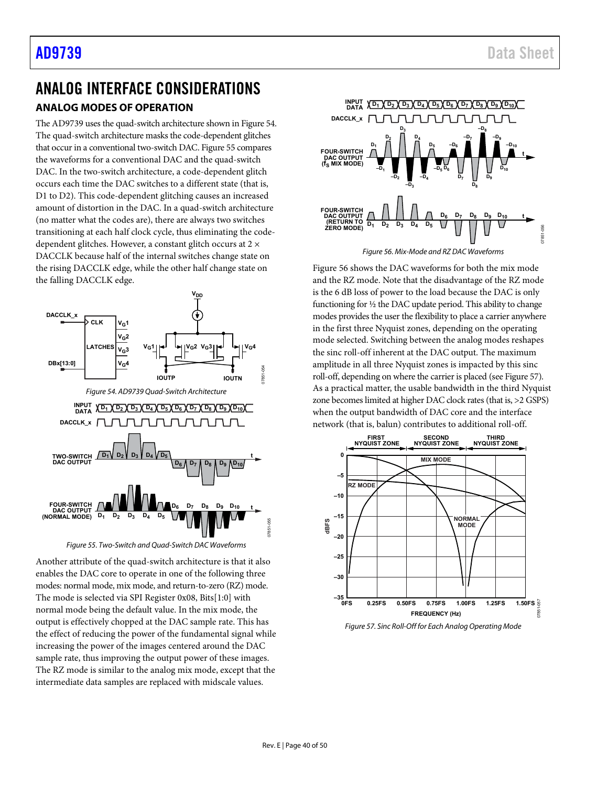# <span id="page-39-1"></span><span id="page-39-0"></span>ANALOG INTERFACE CONSIDERATIONS **ANALOG MODES OF OPERATION**

Th[e AD9739](http://www.analog.com/AD9739?doc=AD9739.pdf) uses the quad-switch architecture shown i[n Figure 54.](#page-39-2)  The quad-switch architecture masks the code-dependent glitches that occur in a conventional two-switch DAC[. Figure 55](#page-39-3) compares the waveforms for a conventional DAC and the quad-switch DAC. In the two-switch architecture, a code-dependent glitch occurs each time the DAC switches to a different state (that is, D1 to D2). This code-dependent glitching causes an increased amount of distortion in the DAC. In a quad-switch architecture (no matter what the codes are), there are always two switches transitioning at each half clock cycle, thus eliminating the codedependent glitches. However, a constant glitch occurs at 2 × DACCLK because half of the internal switches change state on the rising DACCLK edge, while the other half change state on the falling DACCLK edge.

<span id="page-39-2"></span>

*Figure 55. Two-Switch and Quad-Switch DAC Waveforms*

<span id="page-39-3"></span>Another attribute of the quad-switch architecture is that it also enables the DAC core to operate in one of the following three modes: normal mode, mix mode, and return-to-zero (RZ) mode. The mode is selected via SPI Register 0x08, Bits[1:0] with normal mode being the default value. In the mix mode, the output is effectively chopped at the DAC sample rate. This has the effect of reducing the power of the fundamental signal while increasing the power of the images centered around the DAC sample rate, thus improving the output power of these images. The RZ mode is similar to the analog mix mode, except that the intermediate data samples are replaced with midscale values.



*Figure 56. Mix-Mode and RZ DAC Waveforms*

<span id="page-39-4"></span>[Figure 56](#page-39-4) shows the DAC waveforms for both the mix mode and the RZ mode. Note that the disadvantage of the RZ mode is the 6 dB loss of power to the load because the DAC is only functioning for ½ the DAC update period. This ability to change modes provides the user the flexibility to place a carrier anywhere in the first three Nyquist zones, depending on the operating mode selected. Switching between the analog modes reshapes the sinc roll-off inherent at the DAC output. The maximum amplitude in all three Nyquist zones is impacted by this sinc roll-off, depending on where the carrier is placed (see [Figure 57\)](#page-39-5). As a practical matter, the usable bandwidth in the third Nyquist zone becomes limited at higher DAC clock rates (that is, >2 GSPS) when the output bandwidth of DAC core and the interface network (that is, balun) contributes to additional roll-off.



<span id="page-39-5"></span>*Figure 57. Sinc Roll-Off for Each Analog Operating Mode*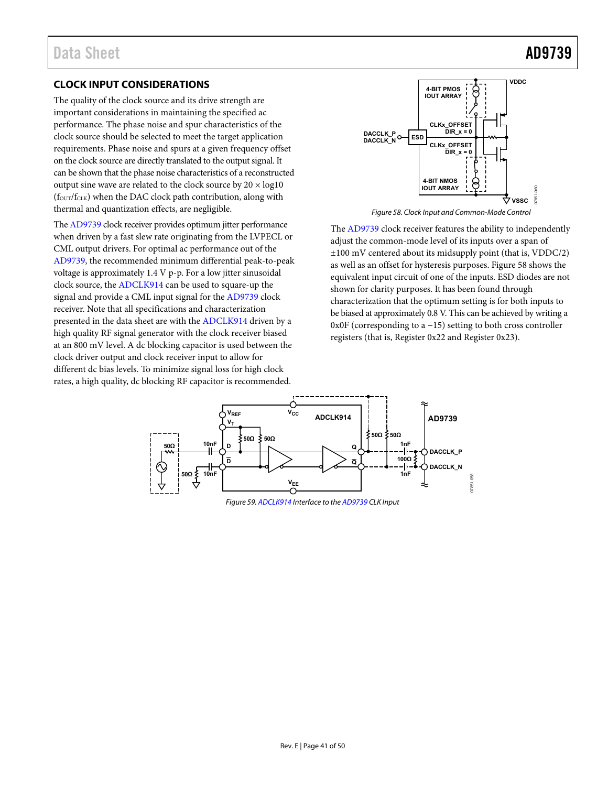# <span id="page-40-0"></span>**CLOCK INPUT CONSIDERATIONS**

The quality of the clock source and its drive strength are important considerations in maintaining the specified ac performance. The phase noise and spur characteristics of the clock source should be selected to meet the target application requirements. Phase noise and spurs at a given frequency offset on the clock source are directly translated to the output signal. It can be shown that the phase noise characteristics of a reconstructed output sine wave are related to the clock source by  $20 \times log10$  $(f<sub>OUT</sub>/f<sub>CLK</sub>)$  when the DAC clock path contribution, along with thermal and quantization effects, are negligible.

Th[e AD9739 c](http://www.analog.com/AD9739?doc=AD9739.pdf)lock receiver provides optimum jitter performance when driven by a fast slew rate originating from the LVPECL or CML output drivers. For optimal ac performance out of the [AD9739,](http://www.analog.com/AD9739?doc=AD9739.pdf) the recommended minimum differential peak-to-peak voltage is approximately 1.4 V p-p. For a low jitter sinusoidal clock source, th[e ADCLK914 c](http://www.analog.com/ADCLK914?doc=AD9739.pdf)an be used to square-up the signal and provide a CML input signal for th[e AD9739 c](http://www.analog.com/AD9739?doc=AD9739.pdf)lock receiver. Note that all specifications and characterization presented in the data sheet are with the [ADCLK914 d](http://www.analog.com/ADCLK914?doc=AD9739.pdf)riven by a high quality RF signal generator with the clock receiver biased at an 800 mV level. A dc blocking capacitor is used between the clock driver output and clock receiver input to allow for different dc bias levels. To minimize signal loss for high clock rates, a high quality, dc blocking RF capacitor is recommended.



Figure 58. Clock Input and Common-Mode Control

<span id="page-40-1"></span>The [AD9739 c](http://www.analog.com/AD9739?doc=AD9739.pdf)lock receiver features the ability to independently adjust the common-mode level of its inputs over a span of ±100 mV centered about its midsupply point (that is, VDDC/2) as well as an offset for hysteresis purposes. [Figure 58 s](#page-40-1)hows the equivalent input circuit of one of the inputs. ESD diodes are not shown for clarity purposes. It has been found through characterization that the optimum setting is for both inputs to be biased at approximately 0.8 V. This can be achieved by writing a 0x0F (corresponding to a −15) setting to both cross controller registers (that is, Register 0x22 and Register 0x23).



Figure 59[. ADCLK914 I](http://www.analog.com/ADCLK914?doc=AD9739.pdf)nterface to th[e AD9739 C](http://www.analog.com/AD9739?doc=AD9739.pdf)LK Input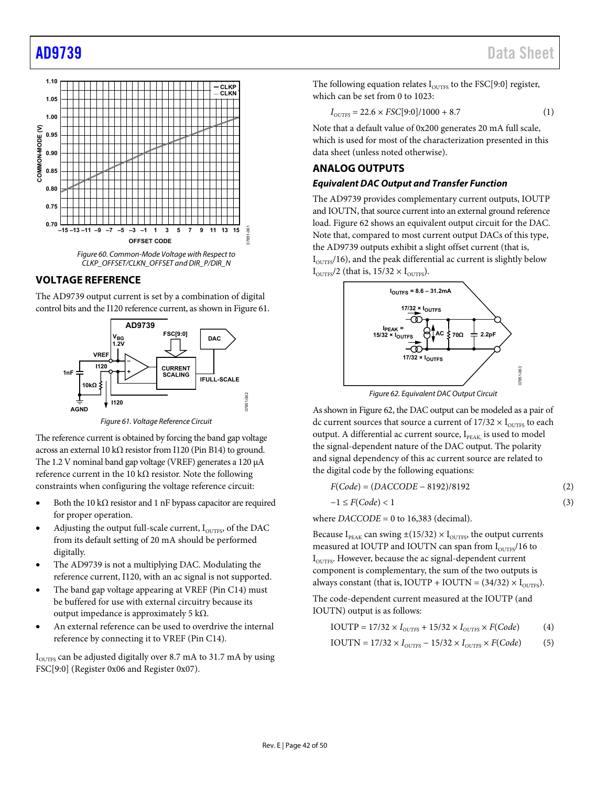

## <span id="page-41-0"></span>**VOLTAGE REFERENCE**

The [AD9739](http://www.analog.com/AD9739?doc=AD9739.pdf) output current is set by a combination of digital control bits and the I120 reference current, as shown i[n Figure 61.](#page-41-2) 



*Figure 61. Voltage Reference Circuit* 

07851-062

7851-062

<span id="page-41-2"></span>The reference current is obtained by forcing the band gap voltage across an external 10 kΩ resistor from I120 (Pin B14) to ground. The 1.2 V nominal band gap voltage (VREF) generates a 120 µA reference current in the 10 kΩ resistor. Note the following constraints when configuring the voltage reference circuit:

- Both the 10 kΩ resistor and 1 nF bypass capacitor are required for proper operation.
- Adjusting the output full-scale current,  $I<sub>OUTFS</sub>$ , of the DAC from its default setting of 20 mA should be performed digitally.
- The [AD9739](http://www.analog.com/AD9739?doc=AD9739.pdf) is not a multiplying DAC. Modulating the reference current, I120, with an ac signal is not supported.
- The band gap voltage appearing at VREF (Pin C14) must be buffered for use with external circuitry because its output impedance is approximately 5 kΩ.
- An external reference can be used to overdrive the internal reference by connecting it to VREF (Pin C14).

 $I<sub>OUTFS</sub>$  can be adjusted digitally over 8.7 mA to 31.7 mA by using FSC[9:0] (Register 0x06 and Register 0x07).

The following equation relates  $I_{\text{OUTFS}}$  to the FSC[9:0] register, which can be set from 0 to 1023:

$$
I_{\text{OUTFS}} = 22.6 \times FSC[9:0]/1000 + 8.7 \tag{1}
$$

Note that a default value of 0x200 generates 20 mA full scale, which is used for most of the characterization presented in this data sheet (unless noted otherwise).

# <span id="page-41-1"></span>**ANALOG OUTPUTS**

## *Equivalent DAC Output and Transfer Function*

The [AD9739](http://www.analog.com/AD9739?doc=AD9739.pdf) provides complementary current outputs, IOUTP and IOUTN, that source current into an external ground reference load[. Figure 62](#page-41-3) shows an equivalent output circuit for the DAC. Note that, compared to most current output DACs of this type, the [AD9739](http://www.analog.com/AD9739?doc=AD9739.pdf) outputs exhibit a slight offset current (that is,  $I<sub>OUTFS</sub>/16$ , and the peak differential ac current is slightly below  $I_{\text{OUTFS}}/2$  (that is,  $15/32 \times I_{\text{OUTFS}}$ ).



*Figure 62. Equivalent DAC Output Circuit*

<span id="page-41-3"></span>As shown in [Figure 62,](#page-41-3) the DAC output can be modeled as a pair of dc current sources that source a current of  $17/32 \times I_{\text{OUTFS}}$  to each output. A differential ac current source,  $I_{\text{PEAK}}$  is used to model the signal-dependent nature of the DAC output. The polarity and signal dependency of this ac current source are related to the digital code by the following equations:

$$
F(Code) = (DACCODE - 8192)/8192\tag{2}
$$

$$
-1 \le F(Code) < 1\tag{3}
$$

where *DACCODE* = 0 to 16,383 (decimal).

Because  $I_{PEAK}$  can swing  $\pm(15/32) \times I_{\text{OUTFS}}$ , the output currents measured at IOUTP and IOUTN can span from  $I<sub>outers</sub>/16$  to I<sub>OUTFS</sub>. However, because the ac signal-dependent current component is complementary, the sum of the two outputs is always constant (that is, IOUTP + IOUTN =  $(34/32) \times I_{\text{OUTFS}}$ ).

The code-dependent current measured at the IOUTP (and IOUTN) output is as follows:

$$
IOUTP = 17/32 \times I_{\text{OUTFS}} + 15/32 \times I_{\text{OUTFS}} \times F(Code) \tag{4}
$$

$$
IOUTN = 17/32 \times I_{\text{OUTFS}} - 15/32 \times I_{\text{OUTFS}} \times F(Code) \tag{5}
$$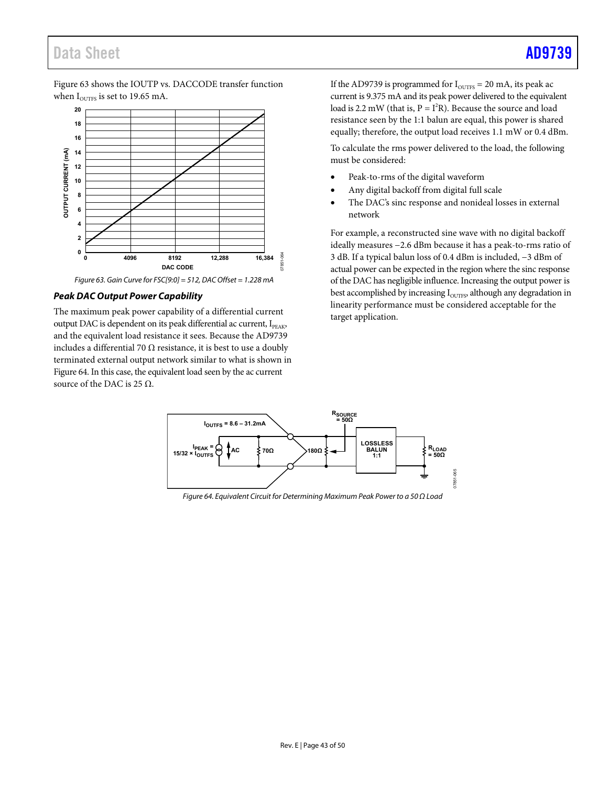# Data Sheet **[AD9739](http://www.analog.com/AD9739?doc=AD9739.pdf)**

[Figure 63](#page-42-0) shows the IOUTP vs. DACCODE transfer function when  $I_{\text{out}}$  is set to 19.65 mA.



*Figure 63. Gain Curve for FSC[9:0] = 512, DAC Offset = 1.228 mA*

#### <span id="page-42-0"></span>*Peak DAC Output Power Capability*

The maximum peak power capability of a differential current output DAC is dependent on its peak differential ac current,  $I_{PFAK}$ , and the equivalent load resistance it sees. Because the [AD9739](http://www.analog.com/AD9739?doc=AD9739.pdf) includes a differential 70  $\Omega$  resistance, it is best to use a doubly terminated external output network similar to what is shown in [Figure 64.](#page-42-1) In this case, the equivalent load seen by the ac current source of the DAC is 25  $Ω$ .

If the [AD9739](http://www.analog.com/AD9739?doc=AD9739.pdf) is programmed for  $I_{\text{OUTFS}} = 20 \text{ mA}$ , its peak ac current is 9.375 mA and its peak power delivered to the equivalent load is 2.2 mW (that is,  $P = I^2R$ ). Because the source and load resistance seen by the 1:1 balun are equal, this power is shared equally; therefore, the output load receives 1.1 mW or 0.4 dBm.

To calculate the rms power delivered to the load, the following must be considered:

- Peak-to-rms of the digital waveform
- Any digital backoff from digital full scale
- The DAC's sinc response and nonideal losses in external network

For example, a reconstructed sine wave with no digital backoff ideally measures −2.6 dBm because it has a peak-to-rms ratio of 3 dB. If a typical balun loss of 0.4 dBm is included, −3 dBm of actual power can be expected in the region where the sinc response of the DAC has negligible influence. Increasing the output power is best accomplished by increasing  $I<sub>OUTFS</sub>$  although any degradation in linearity performance must be considered acceptable for the target application.



<span id="page-42-1"></span>*Figure 64. Equivalent Circuit for Determining Maximum Peak Power to a 50 Ω Load*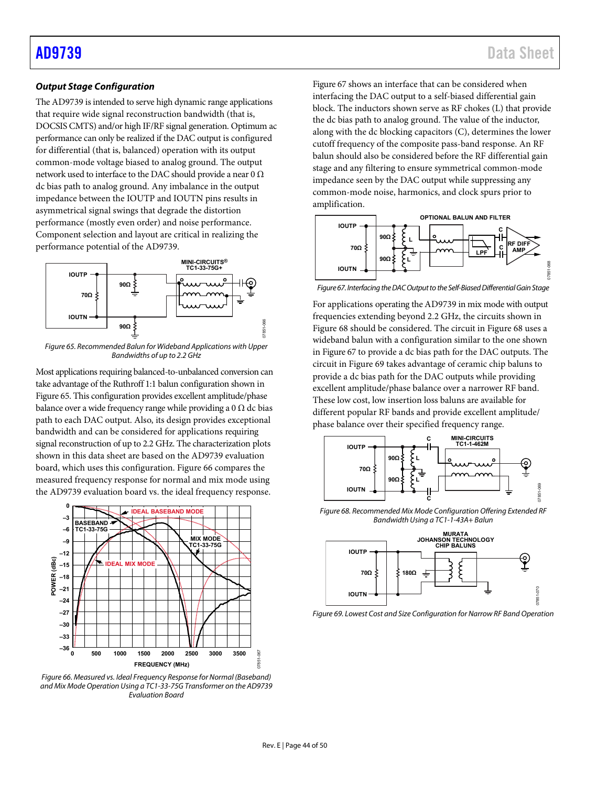## *Output Stage Configuration*

Th[e AD9739](http://www.analog.com/AD9739?doc=AD9739.pdf) is intended to serve high dynamic range applications that require wide signal reconstruction bandwidth (that is, DOCSIS CMTS) and/or high IF/RF signal generation. Optimum ac performance can only be realized if the DAC output is configured for differential (that is, balanced) operation with its output common-mode voltage biased to analog ground. The output network used to interface to the DAC should provide a near 0  $\Omega$ dc bias path to analog ground. Any imbalance in the output impedance between the IOUTP and IOUTN pins results in asymmetrical signal swings that degrade the distortion performance (mostly even order) and noise performance. Component selection and layout are critical in realizing the performance potential of the [AD9739.](http://www.analog.com/AD9739?doc=AD9739.pdf) 



<span id="page-43-0"></span>*Figure 65. Recommended Balun for Wideband Applications with Upper Bandwidths of up to 2.2 GHz*

Most applications requiring balanced-to-unbalanced conversion can take advantage of the Ruthroff 1:1 balun configuration shown in [Figure 65.](#page-43-0) This configuration provides excellent amplitude/phase balance over a wide frequency range while providing a 0  $\Omega$  dc bias path to each DAC output. Also, its design provides exceptional bandwidth and can be considered for applications requiring signal reconstruction of up to 2.2 GHz. The characterization plots shown in this data sheet are based on the [AD9739](http://www.analog.com/AD9739?doc=AD9739.pdf) evaluation board, which uses this configuration[. Figure 66](#page-43-1) compares the measured frequency response for normal and mix mode using the [AD9739](http://www.analog.com/AD9739?doc=AD9739.pdf) evaluation board vs. the ideal frequency response.



<span id="page-43-1"></span>*Figure 66. Measured vs. Ideal Frequency Response for Normal (Baseband) and Mix Mode Operation Using a TC1-33-75G Transformer on th[e AD9739](http://www.analog.com/AD9739?doc=AD9739.pdf) Evaluation Board*

[Figure 67](#page-43-2) shows an interface that can be considered when interfacing the DAC output to a self-biased differential gain block. The inductors shown serve as RF chokes (L) that provide the dc bias path to analog ground. The value of the inductor, along with the dc blocking capacitors (C), determines the lower cutoff frequency of the composite pass-band response. An RF balun should also be considered before the RF differential gain stage and any filtering to ensure symmetrical common-mode impedance seen by the DAC output while suppressing any common-mode noise, harmonics, and clock spurs prior to amplification.



<span id="page-43-2"></span>*Figure 67. Interfacing the DAC Output to the Self-Biased Differential Gain Stage*

For applications operating th[e AD9739](http://www.analog.com/AD9739?doc=AD9739.pdf) in mix mode with output frequencies extending beyond 2.2 GHz, the circuits shown in [Figure 68](#page-43-3) should be considered. The circuit in [Figure 68](#page-43-3) uses a wideband balun with a configuration similar to the one shown in [Figure 67](#page-43-2) to provide a dc bias path for the DAC outputs. The circuit i[n Figure 69](#page-43-4) takes advantage of ceramic chip baluns to provide a dc bias path for the DAC outputs while providing excellent amplitude/phase balance over a narrower RF band. These low cost, low insertion loss baluns are available for different popular RF bands and provide excellent amplitude/ phase balance over their specified frequency range.



<span id="page-43-3"></span>*Figure 68. Recommended Mix Mode Configuration Offering Extended RF Bandwidth Using a TC1-1-43A+ Balun*



<span id="page-43-4"></span>*Figure 69. Lowest Cost and Size Configuration for Narrow RF Band Operation*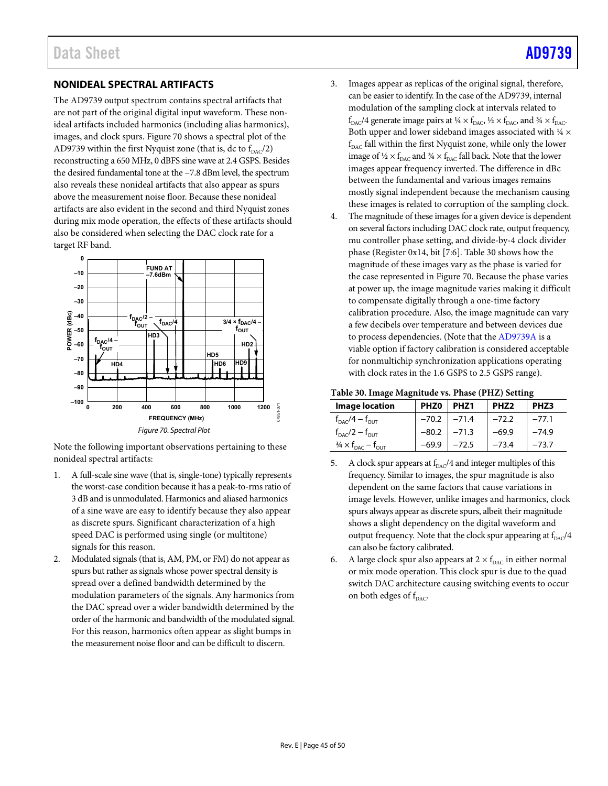# <span id="page-44-0"></span>**NONIDEAL SPECTRAL ARTIFACTS**

The [AD9739](http://www.analog.com/AD9739?doc=AD9739.pdf) output spectrum contains spectral artifacts that are not part of the original digital input waveform. These nonideal artifacts included harmonics (including alias harmonics), images, and clock spurs. [Figure 70](#page-44-1) shows a spectral plot of the [AD9739](http://www.analog.com/AD9739?doc=AD9739.pdf) within the first Nyquist zone (that is, dc to  $f_{\text{DAC}}/2$ ) reconstructing a 650 MHz, 0 dBFS sine wave at 2.4 GSPS. Besides the desired fundamental tone at the −7.8 dBm level, the spectrum also reveals these nonideal artifacts that also appear as spurs above the measurement noise floor. Because these nonideal artifacts are also evident in the second and third Nyquist zones during mix mode operation, the effects of these artifacts should also be considered when selecting the DAC clock rate for a target RF band.



<span id="page-44-1"></span>Note the following important observations pertaining to these nonideal spectral artifacts:

- 1. A full-scale sine wave (that is, single-tone) typically represents the worst-case condition because it has a peak-to-rms ratio of 3 dB and is unmodulated. Harmonics and aliased harmonics of a sine wave are easy to identify because they also appear as discrete spurs. Significant characterization of a high speed DAC is performed using single (or multitone) signals for this reason.
- 2. Modulated signals (that is, AM, PM, or FM) do not appear as spurs but rather as signals whose power spectral density is spread over a defined bandwidth determined by the modulation parameters of the signals. Any harmonics from the DAC spread over a wider bandwidth determined by the order of the harmonic and bandwidth of the modulated signal. For this reason, harmonics often appear as slight bumps in the measurement noise floor and can be difficult to discern.
- 3. Images appear as replicas of the original signal, therefore, can be easier to identify. In the case of th[e AD9739,](http://www.analog.com/AD9739?doc=AD9739.pdf) internal modulation of the sampling clock at intervals related to  $f_{\text{DAC}}/4$  generate image pairs at  $\frac{1}{4} \times f_{\text{DAC}}$ ,  $\frac{1}{2} \times f_{\text{DAC}}$ , and  $\frac{3}{4} \times f_{\text{DAC}}$ . Both upper and lower sideband images associated with  $\frac{1}{4} \times$  $f_{\text{DAC}}$  fall within the first Nyquist zone, while only the lower image of  $\frac{1}{2} \times f_{\text{DAC}}$  and  $\frac{3}{4} \times f_{\text{DAC}}$  fall back. Note that the lower images appear frequency inverted. The difference in dBc between the fundamental and various images remains mostly signal independent because the mechanism causing these images is related to corruption of the sampling clock.
- 4. The magnitude of these images for a given device is dependent on several factors including DAC clock rate, output frequency, mu controller phase setting, and divide-by-4 clock divider phase (Register 0x14, bit [7:6]. [Table 30](#page-44-2) shows how the magnitude of these images vary as the phase is varied for the case represented i[n Figure 70.](#page-44-1) Because the phase varies at power up, the image magnitude varies making it difficult to compensate digitally through a one-time factory calibration procedure. Also, the image magnitude can vary a few decibels over temperature and between devices due to process dependencies. (Note that the [AD9739A](http://www.analog.com/AD9739A?doc=AD9739.pdf) is a viable option if factory calibration is considered acceptable for nonmultichip synchronization applications operating with clock rates in the 1.6 GSPS to 2.5 GSPS range).

#### <span id="page-44-2"></span>**Table 30. Image Magnitude vs. Phase (PHZ) Setting**

| <b>Image location</b>                                | PHZ <sub>0</sub> | PHZ <sub>1</sub> | PHZ <sub>2</sub> | PHZ3    |
|------------------------------------------------------|------------------|------------------|------------------|---------|
| $f_{\text{DAC}}/4 - f_{\text{OUT}}$                  | $-70.2$          | $-71.4$          | $-72.2$          | $-77.1$ |
| $f_{\text{DAC}}/2 - f_{\text{OUT}}$                  | $-80.2$          | $-71.3$          | $-69.9$          | $-74.9$ |
| $\frac{3}{4} \times f_{\text{DAC}} - f_{\text{OUT}}$ | -69.9            | $-72.5$          | $-73.4$          | $-73.7$ |

- 5. A clock spur appears at  $f_{\text{DAC}}/4$  and integer multiples of this frequency. Similar to images, the spur magnitude is also dependent on the same factors that cause variations in image levels. However, unlike images and harmonics, clock spurs always appear as discrete spurs, albeit their magnitude shows a slight dependency on the digital waveform and output frequency. Note that the clock spur appearing at  $f_{\text{DAC}}/4$ can also be factory calibrated.
- 6. A large clock spur also appears at  $2 \times f_{\text{DAC}}$  in either normal or mix mode operation. This clock spur is due to the quad switch DAC architecture causing switching events to occur on both edges of  $f_{\text{DAC}}$ .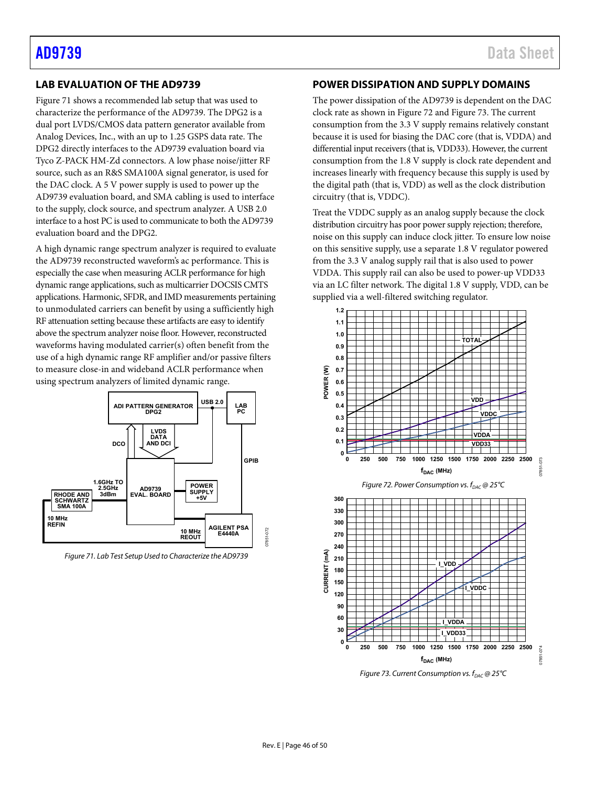# <span id="page-45-0"></span>**LAB EVALUATION OF TH[E AD9739](http://www.analog.com/AD9739?doc=AD9739.pdf)**

[Figure 71](#page-45-2) shows a recommended lab setup that was used to characterize the performance of the [AD9739.](http://www.analog.com/AD9739?doc=AD9739.pdf) The DPG2 is a dual port LVDS/CMOS data pattern generator available from Analog Devices, Inc., with an up to 1.25 GSPS data rate. The DPG2 directly interfaces to th[e AD9739](http://www.analog.com/AD9739?doc=AD9739.pdf) evaluation board via Tyco Z-PACK HM-Zd connectors. A low phase noise/jitter RF source, such as an R&S SMA100A signal generator, is used for the DAC clock. A 5 V power supply is used to power up the [AD9739](http://www.analog.com/AD9739?doc=AD9739.pdf) evaluation board, and SMA cabling is used to interface to the supply, clock source, and spectrum analyzer. A USB 2.0 interface to a host PC is used to communicate to both the AD9739 evaluation board and the DPG2.

A high dynamic range spectrum analyzer is required to evaluate the [AD9739](http://www.analog.com/AD9739?doc=AD9739.pdf) reconstructed waveform's ac performance. This is especially the case when measuring ACLR performance for high dynamic range applications, such as multicarrier DOCSIS CMTS applications. Harmonic, SFDR, and IMD measurements pertaining to unmodulated carriers can benefit by using a sufficiently high RF attenuation setting because these artifacts are easy to identify above the spectrum analyzer noise floor. However, reconstructed waveforms having modulated carrier(s) often benefit from the use of a high dynamic range RF amplifier and/or passive filters to measure close-in and wideband ACLR performance when using spectrum analyzers of limited dynamic range.



<span id="page-45-2"></span>*Figure 71. Lab Test Setup Used to Characterize th[e AD9739](http://www.analog.com/AD9739?doc=AD9739.pdf)*

## <span id="page-45-1"></span>**POWER DISSIPATION AND SUPPLY DOMAINS**

The power dissipation of th[e AD9739](http://www.analog.com/AD9739?doc=AD9739.pdf) is dependent on the DAC clock rate as shown i[n Figure 72](#page-45-3) an[d Figure 73.](#page-45-4) The current consumption from the 3.3 V supply remains relatively constant because it is used for biasing the DAC core (that is, VDDA) and differential input receivers (that is, VDD33). However, the current consumption from the 1.8 V supply is clock rate dependent and increases linearly with frequency because this supply is used by the digital path (that is, VDD) as well as the clock distribution circuitry (that is, VDDC).

Treat the VDDC supply as an analog supply because the clock distribution circuitry has poor power supply rejection; therefore, noise on this supply can induce clock jitter. To ensure low noise on this sensitive supply, use a separate 1.8 V regulator powered from the 3.3 V analog supply rail that is also used to power VDDA. This supply rail can also be used to power-up VDD33 via an LC filter network. The digital 1.8 V supply, VDD, can be supplied via a well-filtered switching regulator.

<span id="page-45-3"></span>

<span id="page-45-4"></span>*Figure 73. Current Consumption vs.*  $f_{DAC}$  *@ 25°C*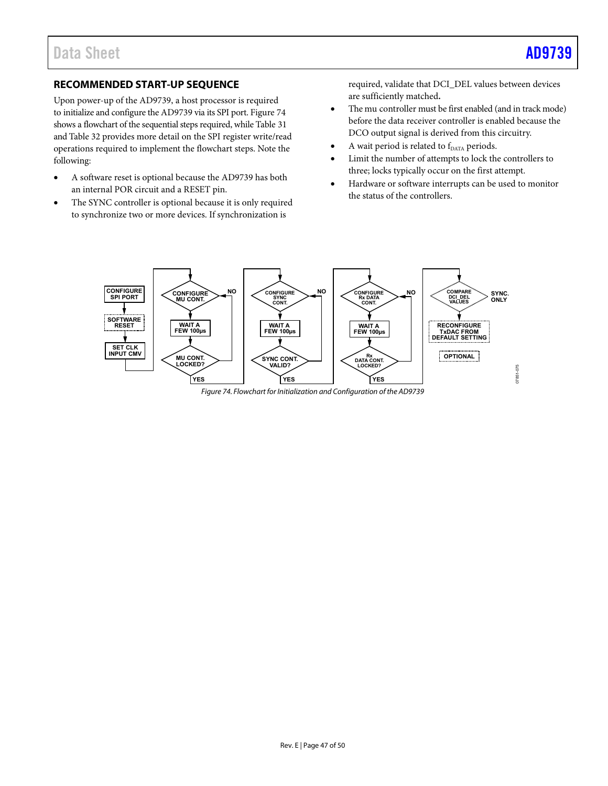07851-075

# <span id="page-46-0"></span>**RECOMMENDED START-UP SEQUENCE**

Upon power-up of th[e AD9739,](http://www.analog.com/AD9739?doc=AD9739.pdf) a host processor is required to initialize and configure th[e AD9739](http://www.analog.com/AD9739?doc=AD9739.pdf) via its SPI port. [Figure 74](#page-46-1) shows a flowchart of the sequential steps required, while [Table 31](#page-47-0) an[d Table 32](#page-48-0) provides more detail on the SPI register write/read operations required to implement the flowchart steps. Note the following:

- A software reset is optional because the [AD9739](http://www.analog.com/AD9739?doc=AD9739.pdf) has both an internal POR circuit and a RESET pin.
- The SYNC controller is optional because it is only required to synchronize two or more devices. If synchronization is

required, validate that DCI\_DEL values between devices are sufficiently matched**.**

- The mu controller must be first enabled (and in track mode) before the data receiver controller is enabled because the DCO output signal is derived from this circuitry.
- A wait period is related to f<sub>DATA</sub> periods.
- Limit the number of attempts to lock the controllers to three; locks typically occur on the first attempt.
- Hardware or software interrupts can be used to monitor the status of the controllers.

<span id="page-46-1"></span>

*Figure 74. Flowchart for Initialization and Configuration of the [AD9739](http://www.analog.com/AD9739?doc=AD9739.pdf)*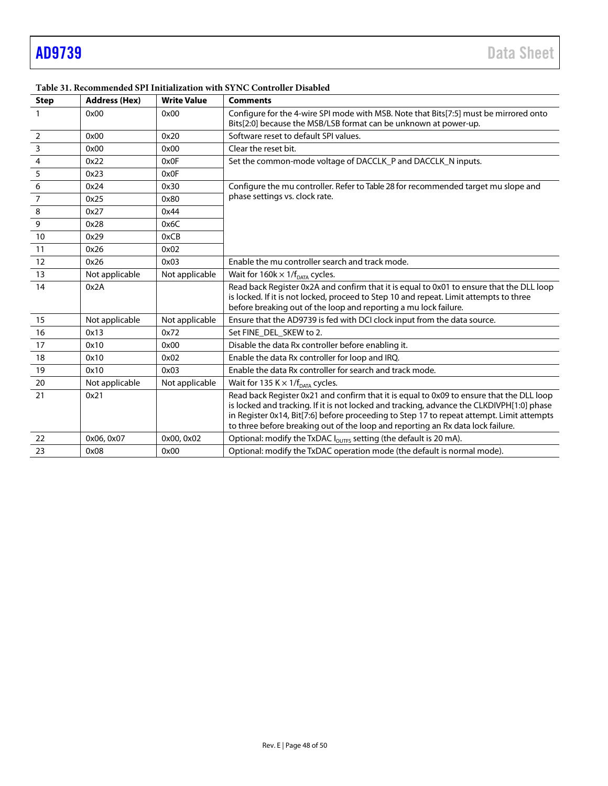| <b>Step</b>    | <b>Address (Hex)</b> | <b>Write Value</b> | <b>Comments</b>                                                                                                                                                                                                                                                                                                                                                       |
|----------------|----------------------|--------------------|-----------------------------------------------------------------------------------------------------------------------------------------------------------------------------------------------------------------------------------------------------------------------------------------------------------------------------------------------------------------------|
|                | 0x00                 | 0x00               | Configure for the 4-wire SPI mode with MSB. Note that Bits[7:5] must be mirrored onto<br>Bits[2:0] because the MSB/LSB format can be unknown at power-up.                                                                                                                                                                                                             |
| $\overline{2}$ | 0x00                 | 0x20               | Software reset to default SPI values.                                                                                                                                                                                                                                                                                                                                 |
| $\overline{3}$ | 0x00                 | 0x00               | Clear the reset bit.                                                                                                                                                                                                                                                                                                                                                  |
| $\overline{4}$ | 0x22                 | 0x0F               | Set the common-mode voltage of DACCLK_P and DACCLK_N inputs.                                                                                                                                                                                                                                                                                                          |
| 5              | 0x23                 | 0x0F               |                                                                                                                                                                                                                                                                                                                                                                       |
| 6              | 0x24                 | 0x30               | Configure the mu controller. Refer to Table 28 for recommended target mu slope and                                                                                                                                                                                                                                                                                    |
| $\overline{7}$ | 0x25                 | 0x80               | phase settings vs. clock rate.                                                                                                                                                                                                                                                                                                                                        |
| 8              | 0x27                 | 0x44               |                                                                                                                                                                                                                                                                                                                                                                       |
| 9              | 0x28                 | 0x6C               |                                                                                                                                                                                                                                                                                                                                                                       |
| 10             | 0x29                 | 0xCB               |                                                                                                                                                                                                                                                                                                                                                                       |
| 11             | 0x26                 | 0x02               |                                                                                                                                                                                                                                                                                                                                                                       |
| 12             | 0x26                 | 0x03               | Enable the mu controller search and track mode.                                                                                                                                                                                                                                                                                                                       |
| 13             | Not applicable       | Not applicable     | Wait for $160k \times 1/f_{DATA}$ cycles.                                                                                                                                                                                                                                                                                                                             |
| 14             | 0x2A                 |                    | Read back Register 0x2A and confirm that it is equal to 0x01 to ensure that the DLL loop<br>is locked. If it is not locked, proceed to Step 10 and repeat. Limit attempts to three<br>before breaking out of the loop and reporting a mu lock failure.                                                                                                                |
| 15             | Not applicable       | Not applicable     | Ensure that the AD9739 is fed with DCI clock input from the data source.                                                                                                                                                                                                                                                                                              |
| 16             | 0x13                 | 0x72               | Set FINE_DEL_SKEW to 2.                                                                                                                                                                                                                                                                                                                                               |
| 17             | 0x10                 | 0x00               | Disable the data Rx controller before enabling it.                                                                                                                                                                                                                                                                                                                    |
| 18             | 0x10                 | 0x02               | Enable the data Rx controller for loop and IRO.                                                                                                                                                                                                                                                                                                                       |
| 19             | 0x10                 | 0x03               | Enable the data Rx controller for search and track mode.                                                                                                                                                                                                                                                                                                              |
| 20             | Not applicable       | Not applicable     | Wait for 135 K $\times$ 1/f <sub>DATA</sub> cycles.                                                                                                                                                                                                                                                                                                                   |
| 21             | 0x21                 |                    | Read back Register 0x21 and confirm that it is equal to 0x09 to ensure that the DLL loop<br>is locked and tracking. If it is not locked and tracking, advance the CLKDIVPH[1:0] phase<br>in Register 0x14, Bit[7:6] before proceeding to Step 17 to repeat attempt. Limit attempts<br>to three before breaking out of the loop and reporting an Rx data lock failure. |
| 22             | 0x06, 0x07           | 0x00, 0x02         | Optional: modify the TxDAC I <sub>OUTFS</sub> setting (the default is 20 mA).                                                                                                                                                                                                                                                                                         |
| 23             | 0x08                 | 0x00               | Optional: modify the TxDAC operation mode (the default is normal mode).                                                                                                                                                                                                                                                                                               |

#### <span id="page-47-0"></span>**Table 31. Recommended SPI Initialization with SYNC Controller Disabled**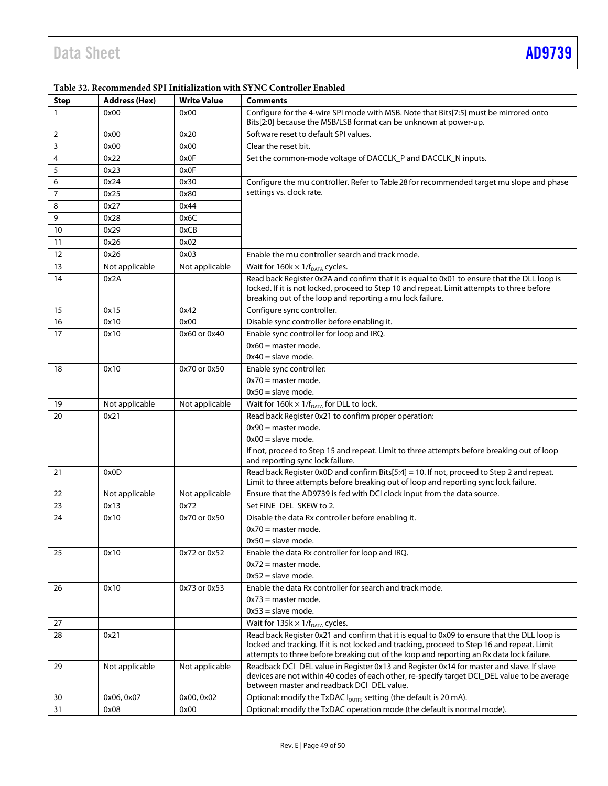L

| <b>Step</b>             | <b>Address (Hex)</b> | <b>Write Value</b> | <b>Comments</b>                                                                                                                                                                                                                                                                        |
|-------------------------|----------------------|--------------------|----------------------------------------------------------------------------------------------------------------------------------------------------------------------------------------------------------------------------------------------------------------------------------------|
| $\mathbf{1}$            | 0x00                 | 0x00               | Configure for the 4-wire SPI mode with MSB. Note that Bits[7:5] must be mirrored onto<br>Bits[2:0] because the MSB/LSB format can be unknown at power-up.                                                                                                                              |
| $\overline{2}$          | 0x00                 | 0x20               | Software reset to default SPI values.                                                                                                                                                                                                                                                  |
| $\overline{\mathbf{3}}$ | 0x00                 | 0x00               | Clear the reset bit.                                                                                                                                                                                                                                                                   |
| $\overline{4}$          | 0x22                 | 0x0F               | Set the common-mode voltage of DACCLK_P and DACCLK_N inputs.                                                                                                                                                                                                                           |
| $\sqrt{5}$              | 0x23                 | 0x0F               |                                                                                                                                                                                                                                                                                        |
| 6                       | 0x24                 | 0x30               | Configure the mu controller. Refer to Table 28 for recommended target mu slope and phase                                                                                                                                                                                               |
| $\overline{7}$          | 0x25                 | 0x80               | settings vs. clock rate.                                                                                                                                                                                                                                                               |
| 8                       | 0x27                 | 0x44               |                                                                                                                                                                                                                                                                                        |
| 9                       | 0x28                 | 0x6C               |                                                                                                                                                                                                                                                                                        |
| 10                      | 0x29                 | 0xCB               |                                                                                                                                                                                                                                                                                        |
| 11                      | 0x26                 | 0x02               |                                                                                                                                                                                                                                                                                        |
| 12                      | 0x26                 | 0x03               | Enable the mu controller search and track mode.                                                                                                                                                                                                                                        |
| 13                      | Not applicable       | Not applicable     | Wait for $160k \times 1/f_{DATA}$ cycles.                                                                                                                                                                                                                                              |
| 14                      | 0x2A                 |                    | Read back Register 0x2A and confirm that it is equal to 0x01 to ensure that the DLL loop is<br>locked. If it is not locked, proceed to Step 10 and repeat. Limit attempts to three before<br>breaking out of the loop and reporting a mu lock failure.                                 |
| 15                      | 0x15                 | 0x42               | Configure sync controller.                                                                                                                                                                                                                                                             |
| 16                      | 0x10                 | 0x00               | Disable sync controller before enabling it.                                                                                                                                                                                                                                            |
| 17                      | 0x10                 | 0x60 or 0x40       | Enable sync controller for loop and IRQ.                                                                                                                                                                                                                                               |
|                         |                      |                    | $0x60$ = master mode.                                                                                                                                                                                                                                                                  |
|                         |                      |                    | $0x40 =$ slave mode.                                                                                                                                                                                                                                                                   |
| 18                      | 0x10                 | 0x70 or 0x50       | Enable sync controller:                                                                                                                                                                                                                                                                |
|                         |                      |                    | $0x70$ = master mode.                                                                                                                                                                                                                                                                  |
|                         |                      |                    | $0x50 =$ slave mode.                                                                                                                                                                                                                                                                   |
| 19                      | Not applicable       | Not applicable     | Wait for 160k $\times$ 1/f <sub>DATA</sub> for DLL to lock.                                                                                                                                                                                                                            |
| 20                      | 0x21                 |                    | Read back Register 0x21 to confirm proper operation:                                                                                                                                                                                                                                   |
|                         |                      |                    | $0x90$ = master mode.                                                                                                                                                                                                                                                                  |
|                         |                      |                    | $0x00 =$ slave mode.                                                                                                                                                                                                                                                                   |
|                         |                      |                    | If not, proceed to Step 15 and repeat. Limit to three attempts before breaking out of loop<br>and reporting sync lock failure.                                                                                                                                                         |
| 21                      | 0x0D                 |                    | Read back Register 0x0D and confirm Bits[5:4] = 10. If not, proceed to Step 2 and repeat.                                                                                                                                                                                              |
|                         |                      |                    | Limit to three attempts before breaking out of loop and reporting sync lock failure.                                                                                                                                                                                                   |
| 22                      | Not applicable       | Not applicable     | Ensure that the AD9739 is fed with DCI clock input from the data source.                                                                                                                                                                                                               |
| 23                      | 0x13                 | 0x72               | Set FINE_DEL_SKEW to 2.                                                                                                                                                                                                                                                                |
| 24                      | 0x10                 | 0x70 or 0x50       | Disable the data Rx controller before enabling it.                                                                                                                                                                                                                                     |
|                         |                      |                    | $0x70$ = master mode.                                                                                                                                                                                                                                                                  |
|                         |                      |                    | $0x50 =$ slave mode.                                                                                                                                                                                                                                                                   |
| 25                      | 0x10                 | 0x72 or 0x52       | Enable the data Rx controller for loop and IRQ.                                                                                                                                                                                                                                        |
|                         |                      |                    | $0x72$ = master mode.                                                                                                                                                                                                                                                                  |
|                         |                      |                    | $0x52$ = slave mode.                                                                                                                                                                                                                                                                   |
| 26                      | 0x10                 | 0x73 or 0x53       | Enable the data Rx controller for search and track mode.                                                                                                                                                                                                                               |
|                         |                      |                    | $0x73$ = master mode.                                                                                                                                                                                                                                                                  |
|                         |                      |                    | $0x53$ = slave mode.                                                                                                                                                                                                                                                                   |
| 27                      |                      |                    | Wait for $135k \times 1/f_{DATA}$ cycles.                                                                                                                                                                                                                                              |
| 28                      | 0x21                 |                    | Read back Register 0x21 and confirm that it is equal to 0x09 to ensure that the DLL loop is<br>locked and tracking. If it is not locked and tracking, proceed to Step 16 and repeat. Limit<br>attempts to three before breaking out of the loop and reporting an Rx data lock failure. |
| 29                      | Not applicable       | Not applicable     | Readback DCI_DEL value in Register 0x13 and Register 0x14 for master and slave. If slave                                                                                                                                                                                               |
|                         |                      |                    | devices are not within 40 codes of each other, re-specify target DCI_DEL value to be average                                                                                                                                                                                           |
|                         |                      |                    | between master and readback DCI_DEL value.                                                                                                                                                                                                                                             |
| 30                      | 0x06, 0x07           | 0x00, 0x02         | Optional: modify the TxDAC I <sub>OUTFS</sub> setting (the default is 20 mA).                                                                                                                                                                                                          |

# <span id="page-48-0"></span>**Table 32. Recommended SPI Initialization with SYNC Controller Enabled**

31 0x08 0x00 0x00 0ptional: modify the TxDAC operation mode (the default is normal mode).